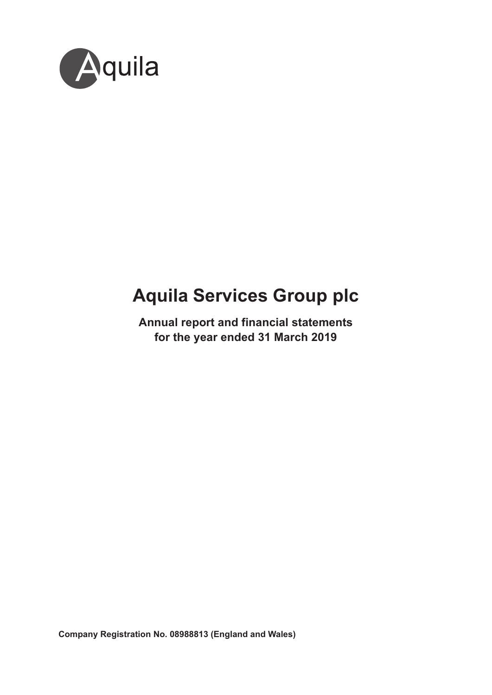

# **Aquila Services Group plc**

**Annual report and financial statements for the year ended 31 March 2019**

**Company Registration No. 08988813 (England and Wales)**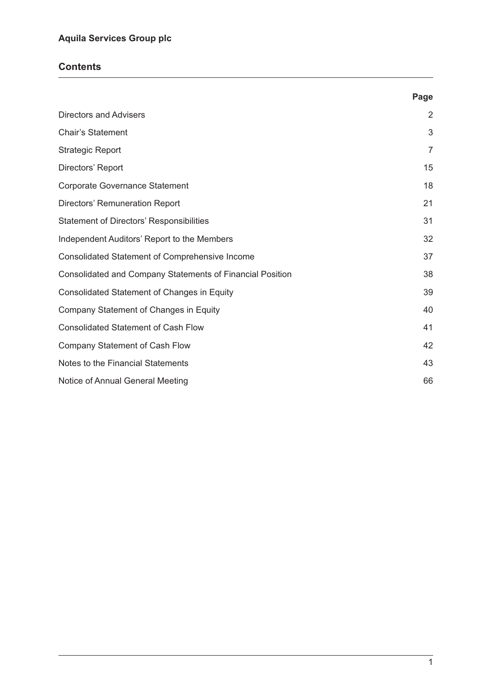# **Contents**

|                                                           | Page |
|-----------------------------------------------------------|------|
| <b>Directors and Advisers</b>                             | 2    |
| <b>Chair's Statement</b>                                  | 3    |
| <b>Strategic Report</b>                                   | 7    |
| Directors' Report                                         | 15   |
| Corporate Governance Statement                            | 18   |
| Directors' Remuneration Report                            | 21   |
| <b>Statement of Directors' Responsibilities</b>           | 31   |
| Independent Auditors' Report to the Members               | 32   |
| <b>Consolidated Statement of Comprehensive Income</b>     | 37   |
| Consolidated and Company Statements of Financial Position | 38   |
| Consolidated Statement of Changes in Equity               | 39   |
| Company Statement of Changes in Equity                    | 40   |
| <b>Consolidated Statement of Cash Flow</b>                | 41   |
| Company Statement of Cash Flow                            | 42   |
| Notes to the Financial Statements                         | 43   |
| Notice of Annual General Meeting                          | 66   |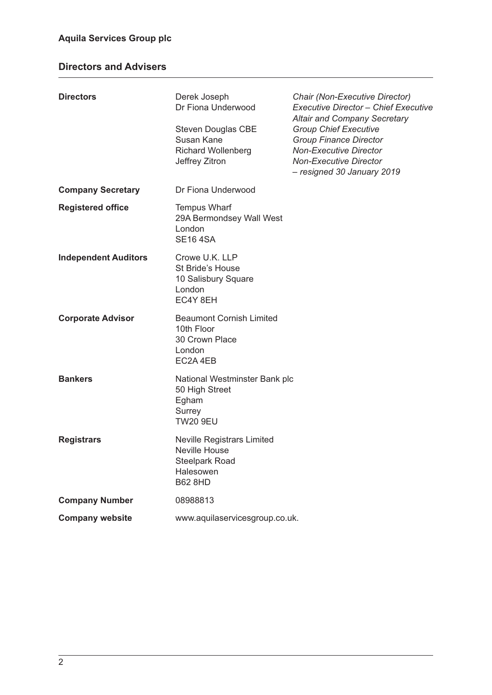# **Directors and Advisers**

| <b>Directors</b>            | Derek Joseph<br>Dr Fiona Underwood<br>Steven Douglas CBE                                                          | Chair (Non-Executive Director)<br>Executive Director - Chief Executive<br><b>Altair and Company Secretary</b><br><b>Group Chief Executive</b> |  |  |
|-----------------------------|-------------------------------------------------------------------------------------------------------------------|-----------------------------------------------------------------------------------------------------------------------------------------------|--|--|
|                             | Susan Kane<br><b>Richard Wollenberg</b><br>Jeffrey Zitron                                                         | <b>Group Finance Director</b><br><b>Non-Executive Director</b><br><b>Non-Executive Director</b><br>- resigned 30 January 2019                 |  |  |
| <b>Company Secretary</b>    | Dr Fiona Underwood                                                                                                |                                                                                                                                               |  |  |
| <b>Registered office</b>    | <b>Tempus Wharf</b><br>29A Bermondsey Wall West<br>London<br><b>SE16 4SA</b>                                      |                                                                                                                                               |  |  |
| <b>Independent Auditors</b> | Crowe U.K. LLP<br>St Bride's House<br>10 Salisbury Square<br>London<br>EC4Y 8EH                                   |                                                                                                                                               |  |  |
| <b>Corporate Advisor</b>    | <b>Beaumont Cornish Limited</b><br>10th Floor<br>30 Crown Place<br>London<br>EC2A4EB                              |                                                                                                                                               |  |  |
| <b>Bankers</b>              | National Westminster Bank plc<br>50 High Street<br>Egham<br>Surrey<br><b>TW20 9EU</b>                             |                                                                                                                                               |  |  |
| <b>Registrars</b>           | <b>Neville Registrars Limited</b><br><b>Neville House</b><br><b>Steelpark Road</b><br>Halesowen<br><b>B62 8HD</b> |                                                                                                                                               |  |  |
| <b>Company Number</b>       | 08988813                                                                                                          |                                                                                                                                               |  |  |
| <b>Company website</b>      | www.aquilaservicesgroup.co.uk.                                                                                    |                                                                                                                                               |  |  |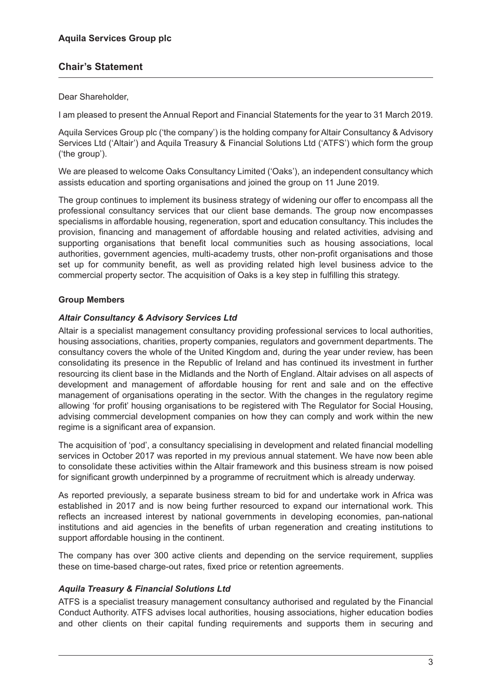Dear Shareholder,

I am pleased to present the Annual Report and Financial Statements for the year to 31 March 2019.

Aquila Services Group plc ('the company') is the holding company for Altair Consultancy & Advisory Services Ltd ('Altair') and Aquila Treasury & Financial Solutions Ltd ('ATFS') which form the group ('the group').

We are pleased to welcome Oaks Consultancy Limited ('Oaks'), an independent consultancy which assists education and sporting organisations and joined the group on 11 June 2019.

The group continues to implement its business strategy of widening our offer to encompass all the professional consultancy services that our client base demands. The group now encompasses specialisms in affordable housing, regeneration, sport and education consultancy. This includes the provision, financing and management of affordable housing and related activities, advising and supporting organisations that benefit local communities such as housing associations, local authorities, government agencies, multi-academy trusts, other non-profit organisations and those set up for community benefit, as well as providing related high level business advice to the commercial property sector. The acquisition of Oaks is a key step in fulfilling this strategy.

# **Group Members**

# *Altair Consultancy & Advisory Services Ltd*

Altair is a specialist management consultancy providing professional services to local authorities, housing associations, charities, property companies, regulators and government departments. The consultancy covers the whole of the United Kingdom and, during the year under review, has been consolidating its presence in the Republic of Ireland and has continued its investment in further resourcing its client base in the Midlands and the North of England. Altair advises on all aspects of development and management of affordable housing for rent and sale and on the effective management of organisations operating in the sector. With the changes in the regulatory regime allowing 'for profit' housing organisations to be registered with The Regulator for Social Housing, advising commercial development companies on how they can comply and work within the new regime is a significant area of expansion.

The acquisition of 'pod', a consultancy specialising in development and related financial modelling services in October 2017 was reported in my previous annual statement. We have now been able to consolidate these activities within the Altair framework and this business stream is now poised for significant growth underpinned by a programme of recruitment which is already underway.

As reported previously, a separate business stream to bid for and undertake work in Africa was established in 2017 and is now being further resourced to expand our international work. This reflects an increased interest by national governments in developing economies, pan-national institutions and aid agencies in the benefits of urban regeneration and creating institutions to support affordable housing in the continent.

The company has over 300 active clients and depending on the service requirement, supplies these on time-based charge-out rates, fixed price or retention agreements.

# *Aquila Treasury & Financial Solutions Ltd*

ATFS is a specialist treasury management consultancy authorised and regulated by the Financial Conduct Authority. ATFS advises local authorities, housing associations, higher education bodies and other clients on their capital funding requirements and supports them in securing and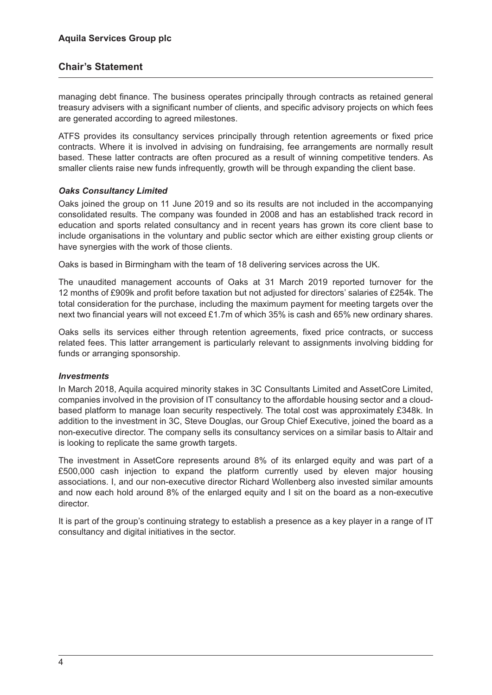managing debt finance. The business operates principally through contracts as retained general treasury advisers with a significant number of clients, and specific advisory projects on which fees are generated according to agreed milestones.

ATFS provides its consultancy services principally through retention agreements or fixed price contracts. Where it is involved in advising on fundraising, fee arrangements are normally result based. These latter contracts are often procured as a result of winning competitive tenders. As smaller clients raise new funds infrequently, growth will be through expanding the client base.

## *Oaks Consultancy Limited*

Oaks joined the group on 11 June 2019 and so its results are not included in the accompanying consolidated results. The company was founded in 2008 and has an established track record in education and sports related consultancy and in recent years has grown its core client base to include organisations in the voluntary and public sector which are either existing group clients or have synergies with the work of those clients.

Oaks is based in Birmingham with the team of 18 delivering services across the UK.

The unaudited management accounts of Oaks at 31 March 2019 reported turnover for the 12 months of £909k and profit before taxation but not adjusted for directors' salaries of £254k. The total consideration for the purchase, including the maximum payment for meeting targets over the next two financial years will not exceed £1.7m of which 35% is cash and 65% new ordinary shares.

Oaks sells its services either through retention agreements, fixed price contracts, or success related fees. This latter arrangement is particularly relevant to assignments involving bidding for funds or arranging sponsorship.

#### *Investments*

In March 2018, Aquila acquired minority stakes in 3C Consultants Limited and AssetCore Limited, companies involved in the provision of IT consultancy to the affordable housing sector and a cloudbased platform to manage loan security respectively. The total cost was approximately £348k. In addition to the investment in 3C, Steve Douglas, our Group Chief Executive, joined the board as a non-executive director. The company sells its consultancy services on a similar basis to Altair and is looking to replicate the same growth targets.

The investment in AssetCore represents around 8% of its enlarged equity and was part of a £500,000 cash injection to expand the platform currently used by eleven major housing associations. I, and our non-executive director Richard Wollenberg also invested similar amounts and now each hold around 8% of the enlarged equity and I sit on the board as a non-executive director.

It is part of the group's continuing strategy to establish a presence as a key player in a range of IT consultancy and digital initiatives in the sector.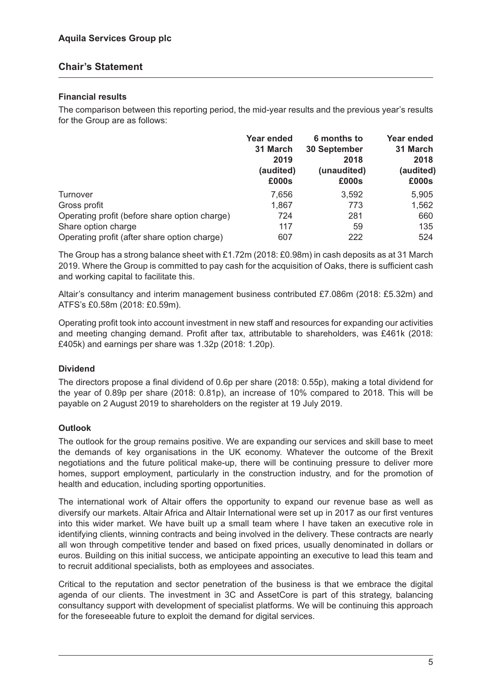## **Financial results**

The comparison between this reporting period, the mid-year results and the previous year's results for the Group are as follows:

|                                               | <b>Year ended</b><br>31 March<br>2019<br>(audited)<br>£000s | 6 months to<br>30 September<br>2018<br>(unaudited)<br>£000s | Year ended<br>31 March<br>2018<br>(audited)<br>£000s |
|-----------------------------------------------|-------------------------------------------------------------|-------------------------------------------------------------|------------------------------------------------------|
| Turnover                                      | 7,656                                                       | 3,592                                                       | 5,905                                                |
| Gross profit                                  | 1,867                                                       | 773                                                         | 1,562                                                |
| Operating profit (before share option charge) | 724                                                         | 281                                                         | 660                                                  |
| Share option charge                           | 117                                                         | 59                                                          | 135                                                  |
| Operating profit (after share option charge)  | 607                                                         | 222                                                         | 524                                                  |

The Group has a strong balance sheet with £1.72m (2018: £0.98m) in cash deposits as at 31 March 2019. Where the Group is committed to pay cash for the acquisition of Oaks, there is sufficient cash and working capital to facilitate this.

Altair's consultancy and interim management business contributed £7.086m (2018: £5.32m) and ATFS's £0.58m (2018: £0.59m).

Operating profit took into account investment in new staff and resources for expanding our activities and meeting changing demand. Profit after tax, attributable to shareholders, was £461k (2018: £405k) and earnings per share was 1.32p (2018: 1.20p).

# **Dividend**

The directors propose a final dividend of 0.6p per share (2018: 0.55p), making a total dividend for the year of 0.89p per share (2018: 0.81p), an increase of 10% compared to 2018. This will be payable on 2 August 2019 to shareholders on the register at 19 July 2019.

# **Outlook**

The outlook for the group remains positive. We are expanding our services and skill base to meet the demands of key organisations in the UK economy. Whatever the outcome of the Brexit negotiations and the future political make-up, there will be continuing pressure to deliver more homes, support employment, particularly in the construction industry, and for the promotion of health and education, including sporting opportunities.

The international work of Altair offers the opportunity to expand our revenue base as well as diversify our markets. Altair Africa and Altair International were set up in 2017 as our first ventures into this wider market. We have built up a small team where I have taken an executive role in identifying clients, winning contracts and being involved in the delivery. These contracts are nearly all won through competitive tender and based on fixed prices, usually denominated in dollars or euros. Building on this initial success, we anticipate appointing an executive to lead this team and to recruit additional specialists, both as employees and associates.

Critical to the reputation and sector penetration of the business is that we embrace the digital agenda of our clients. The investment in 3C and AssetCore is part of this strategy, balancing consultancy support with development of specialist platforms. We will be continuing this approach for the foreseeable future to exploit the demand for digital services.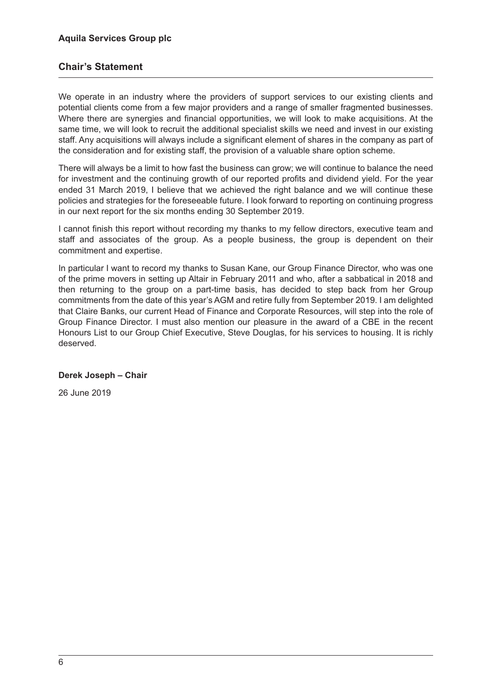We operate in an industry where the providers of support services to our existing clients and potential clients come from a few major providers and a range of smaller fragmented businesses. Where there are synergies and financial opportunities, we will look to make acquisitions. At the same time, we will look to recruit the additional specialist skills we need and invest in our existing staff. Any acquisitions will always include a significant element of shares in the company as part of the consideration and for existing staff, the provision of a valuable share option scheme.

There will always be a limit to how fast the business can grow; we will continue to balance the need for investment and the continuing growth of our reported profits and dividend yield. For the year ended 31 March 2019, I believe that we achieved the right balance and we will continue these policies and strategies for the foreseeable future. I look forward to reporting on continuing progress in our next report for the six months ending 30 September 2019.

I cannot finish this report without recording my thanks to my fellow directors, executive team and staff and associates of the group. As a people business, the group is dependent on their commitment and expertise.

In particular I want to record my thanks to Susan Kane, our Group Finance Director, who was one of the prime movers in setting up Altair in February 2011 and who, after a sabbatical in 2018 and then returning to the group on a part-time basis, has decided to step back from her Group commitments from the date of this year's AGM and retire fully from September 2019. I am delighted that Claire Banks, our current Head of Finance and Corporate Resources, will step into the role of Group Finance Director. I must also mention our pleasure in the award of a CBE in the recent Honours List to our Group Chief Executive, Steve Douglas, for his services to housing. It is richly deserved.

# **Derek Joseph – Chair**

26 June 2019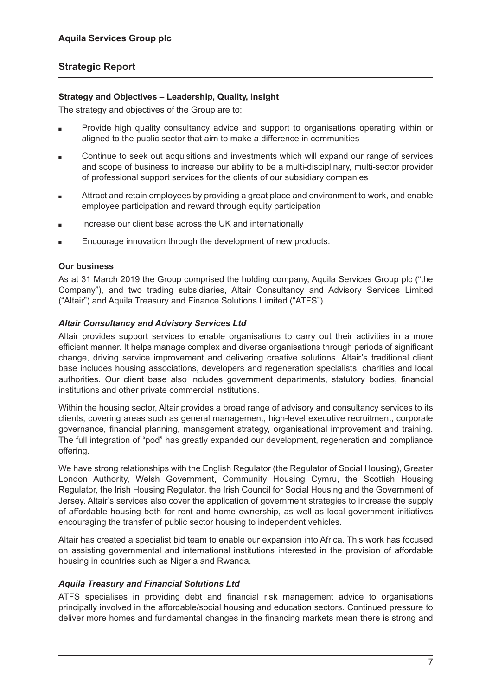# **Strategy and Objectives – Leadership, Quality, Insight**

The strategy and objectives of the Group are to:

- Provide high quality consultancy advice and support to organisations operating within or aligned to the public sector that aim to make a difference in communities
- Continue to seek out acquisitions and investments which will expand our range of services and scope of business to increase our ability to be a multi-disciplinary, multi-sector provider of professional support services for the clients of our subsidiary companies
- Attract and retain employees by providing a great place and environment to work, and enable employee participation and reward through equity participation
- Increase our client base across the UK and internationally
- Encourage innovation through the development of new products.

## **Our business**

As at 31 March 2019 the Group comprised the holding company, Aquila Services Group plc ("the Company"), and two trading subsidiaries, Altair Consultancy and Advisory Services Limited ("Altair") and Aquila Treasury and Finance Solutions Limited ("ATFS").

## *Altair Consultancy and Advisory Services Ltd*

Altair provides support services to enable organisations to carry out their activities in a more efficient manner. It helps manage complex and diverse organisations through periods of significant change, driving service improvement and delivering creative solutions. Altair's traditional client base includes housing associations, developers and regeneration specialists, charities and local authorities. Our client base also includes government departments, statutory bodies, financial institutions and other private commercial institutions.

Within the housing sector, Altair provides a broad range of advisory and consultancy services to its clients, covering areas such as general management, high-level executive recruitment, corporate governance, financial planning, management strategy, organisational improvement and training. The full integration of "pod" has greatly expanded our development, regeneration and compliance offering.

We have strong relationships with the English Regulator (the Regulator of Social Housing), Greater London Authority, Welsh Government, Community Housing Cymru, the Scottish Housing Regulator, the Irish Housing Regulator, the Irish Council for Social Housing and the Government of Jersey. Altair's services also cover the application of government strategies to increase the supply of affordable housing both for rent and home ownership, as well as local government initiatives encouraging the transfer of public sector housing to independent vehicles.

Altair has created a specialist bid team to enable our expansion into Africa. This work has focused on assisting governmental and international institutions interested in the provision of affordable housing in countries such as Nigeria and Rwanda.

# *Aquila Treasury and Financial Solutions Ltd*

ATFS specialises in providing debt and financial risk management advice to organisations principally involved in the affordable/social housing and education sectors. Continued pressure to deliver more homes and fundamental changes in the financing markets mean there is strong and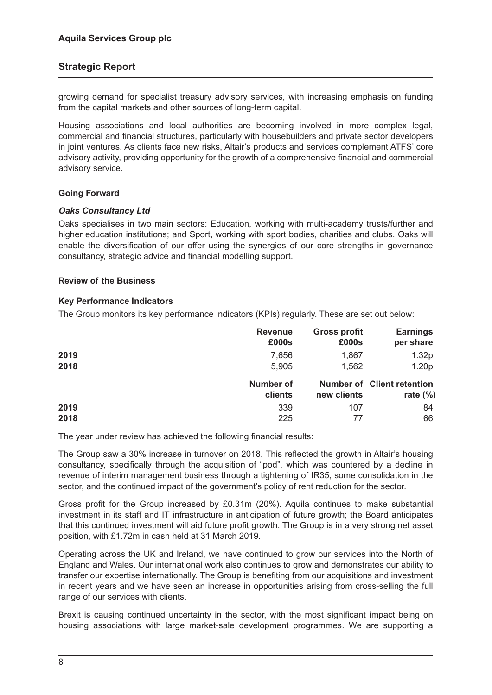growing demand for specialist treasury advisory services, with increasing emphasis on funding from the capital markets and other sources of long-term capital.

Housing associations and local authorities are becoming involved in more complex legal, commercial and financial structures, particularly with housebuilders and private sector developers in joint ventures. As clients face new risks, Altair's products and services complement ATFS' core advisory activity, providing opportunity for the growth of a comprehensive financial and commercial advisory service.

# **Going Forward**

## *Oaks Consultancy Ltd*

Oaks specialises in two main sectors: Education, working with multi-academy trusts/further and higher education institutions; and Sport, working with sport bodies, charities and clubs. Oaks will enable the diversification of our offer using the synergies of our core strengths in governance consultancy, strategic advice and financial modelling support.

## **Review of the Business**

## **Key Performance Indicators**

The Group monitors its key performance indicators (KPIs) regularly. These are set out below:

|      | <b>Revenue</b><br>£000s     | <b>Gross profit</b><br>£000s | <b>Earnings</b><br>per share                     |
|------|-----------------------------|------------------------------|--------------------------------------------------|
| 2019 | 7,656                       | 1,867                        | 1.32 <sub>p</sub>                                |
| 2018 | 5,905                       | 1,562                        | 1.20 <sub>p</sub>                                |
|      |                             |                              |                                                  |
|      | <b>Number of</b><br>clients | new clients                  | <b>Number of Client retention</b><br>rate $(\%)$ |
| 2019 | 339                         | 107                          | 84                                               |

The year under review has achieved the following financial results:

The Group saw a 30% increase in turnover on 2018. This reflected the growth in Altair's housing consultancy, specifically through the acquisition of "pod", which was countered by a decline in revenue of interim management business through a tightening of IR35, some consolidation in the sector, and the continued impact of the government's policy of rent reduction for the sector.

Gross profit for the Group increased by £0.31m (20%). Aquila continues to make substantial investment in its staff and IT infrastructure in anticipation of future growth; the Board anticipates that this continued investment will aid future profit growth. The Group is in a very strong net asset position, with £1.72m in cash held at 31 March 2019.

Operating across the UK and Ireland, we have continued to grow our services into the North of England and Wales. Our international work also continues to grow and demonstrates our ability to transfer our expertise internationally. The Group is benefiting from our acquisitions and investment in recent years and we have seen an increase in opportunities arising from cross-selling the full range of our services with clients.

Brexit is causing continued uncertainty in the sector, with the most significant impact being on housing associations with large market-sale development programmes. We are supporting a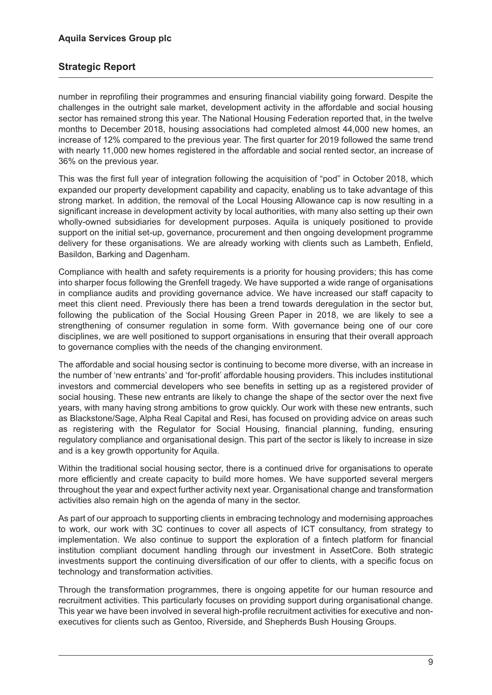number in reprofiling their programmes and ensuring financial viability going forward. Despite the challenges in the outright sale market, development activity in the affordable and social housing sector has remained strong this year. The National Housing Federation reported that, in the twelve months to December 2018, housing associations had completed almost 44,000 new homes, an increase of 12% compared to the previous year. The first quarter for 2019 followed the same trend with nearly 11,000 new homes registered in the affordable and social rented sector, an increase of 36% on the previous year.

This was the first full year of integration following the acquisition of "pod" in October 2018, which expanded our property development capability and capacity, enabling us to take advantage of this strong market. In addition, the removal of the Local Housing Allowance cap is now resulting in a significant increase in development activity by local authorities, with many also setting up their own wholly-owned subsidiaries for development purposes. Aquila is uniquely positioned to provide support on the initial set-up, governance, procurement and then ongoing development programme delivery for these organisations. We are already working with clients such as Lambeth, Enfield, Basildon, Barking and Dagenham.

Compliance with health and safety requirements is a priority for housing providers; this has come into sharper focus following the Grenfell tragedy. We have supported a wide range of organisations in compliance audits and providing governance advice. We have increased our staff capacity to meet this client need. Previously there has been a trend towards deregulation in the sector but, following the publication of the Social Housing Green Paper in 2018, we are likely to see a strengthening of consumer regulation in some form. With governance being one of our core disciplines, we are well positioned to support organisations in ensuring that their overall approach to governance complies with the needs of the changing environment.

The affordable and social housing sector is continuing to become more diverse, with an increase in the number of 'new entrants' and 'for-profit' affordable housing providers. This includes institutional investors and commercial developers who see benefits in setting up as a registered provider of social housing. These new entrants are likely to change the shape of the sector over the next five years, with many having strong ambitions to grow quickly. Our work with these new entrants, such as Blackstone/Sage, Alpha Real Capital and Resi, has focused on providing advice on areas such as registering with the Regulator for Social Housing, financial planning, funding, ensuring regulatory compliance and organisational design. This part of the sector is likely to increase in size and is a key growth opportunity for Aquila.

Within the traditional social housing sector, there is a continued drive for organisations to operate more efficiently and create capacity to build more homes. We have supported several mergers throughout the year and expect further activity next year. Organisational change and transformation activities also remain high on the agenda of many in the sector.

As part of our approach to supporting clients in embracing technology and modernising approaches to work, our work with 3C continues to cover all aspects of ICT consultancy, from strategy to implementation. We also continue to support the exploration of a fintech platform for financial institution compliant document handling through our investment in AssetCore. Both strategic investments support the continuing diversification of our offer to clients, with a specific focus on technology and transformation activities.

Through the transformation programmes, there is ongoing appetite for our human resource and recruitment activities. This particularly focuses on providing support during organisational change. This year we have been involved in several high-profile recruitment activities for executive and nonexecutives for clients such as Gentoo, Riverside, and Shepherds Bush Housing Groups.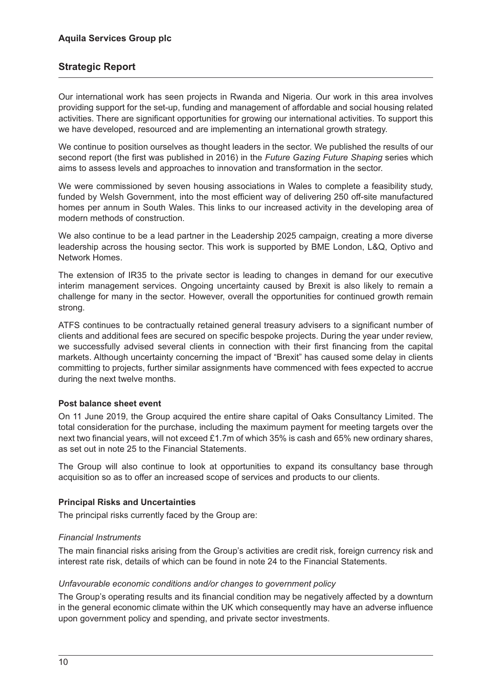Our international work has seen projects in Rwanda and Nigeria. Our work in this area involves providing support for the set-up, funding and management of affordable and social housing related activities. There are significant opportunities for growing our international activities. To support this we have developed, resourced and are implementing an international growth strategy.

We continue to position ourselves as thought leaders in the sector. We published the results of our second report (the first was published in 2016) in the *Future Gazing Future Shaping* series which aims to assess levels and approaches to innovation and transformation in the sector.

We were commissioned by seven housing associations in Wales to complete a feasibility study, funded by Welsh Government, into the most efficient way of delivering 250 off-site manufactured homes per annum in South Wales. This links to our increased activity in the developing area of modern methods of construction.

We also continue to be a lead partner in the Leadership 2025 campaign, creating a more diverse leadership across the housing sector. This work is supported by BME London, L&Q, Optivo and Network Homes.

The extension of IR35 to the private sector is leading to changes in demand for our executive interim management services. Ongoing uncertainty caused by Brexit is also likely to remain a challenge for many in the sector. However, overall the opportunities for continued growth remain strong.

ATFS continues to be contractually retained general treasury advisers to a significant number of clients and additional fees are secured on specific bespoke projects. During the year under review, we successfully advised several clients in connection with their first financing from the capital markets. Although uncertainty concerning the impact of "Brexit" has caused some delay in clients committing to projects, further similar assignments have commenced with fees expected to accrue during the next twelve months.

# **Post balance sheet event**

On 11 June 2019, the Group acquired the entire share capital of Oaks Consultancy Limited. The total consideration for the purchase, including the maximum payment for meeting targets over the next two financial years, will not exceed £1.7m of which 35% is cash and 65% new ordinary shares, as set out in note 25 to the Financial Statements.

The Group will also continue to look at opportunities to expand its consultancy base through acquisition so as to offer an increased scope of services and products to our clients.

# **Principal Risks and Uncertainties**

The principal risks currently faced by the Group are:

# *Financial Instruments*

The main financial risks arising from the Group's activities are credit risk, foreign currency risk and interest rate risk, details of which can be found in note 24 to the Financial Statements.

#### *Unfavourable economic conditions and/or changes to government policy*

The Group's operating results and its financial condition may be negatively affected by a downturn in the general economic climate within the UK which consequently may have an adverse influence upon government policy and spending, and private sector investments.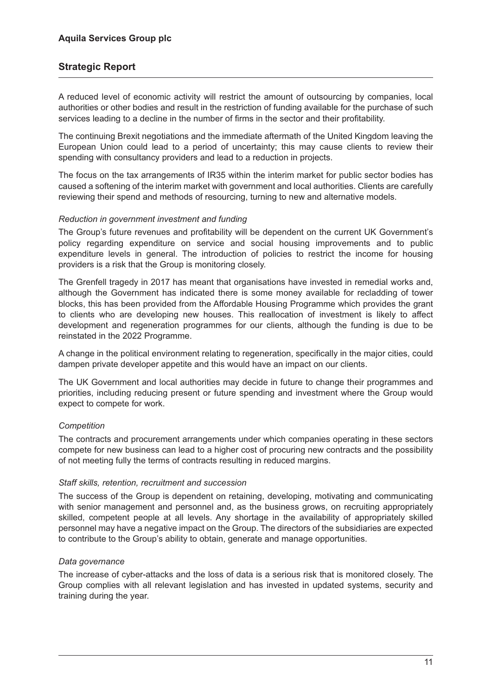A reduced level of economic activity will restrict the amount of outsourcing by companies, local authorities or other bodies and result in the restriction of funding available for the purchase of such services leading to a decline in the number of firms in the sector and their profitability.

The continuing Brexit negotiations and the immediate aftermath of the United Kingdom leaving the European Union could lead to a period of uncertainty; this may cause clients to review their spending with consultancy providers and lead to a reduction in projects.

The focus on the tax arrangements of IR35 within the interim market for public sector bodies has caused a softening of the interim market with government and local authorities. Clients are carefully reviewing their spend and methods of resourcing, turning to new and alternative models.

## *Reduction in government investment and funding*

The Group's future revenues and profitability will be dependent on the current UK Government's policy regarding expenditure on service and social housing improvements and to public expenditure levels in general. The introduction of policies to restrict the income for housing providers is a risk that the Group is monitoring closely.

The Grenfell tragedy in 2017 has meant that organisations have invested in remedial works and, although the Government has indicated there is some money available for recladding of tower blocks, this has been provided from the Affordable Housing Programme which provides the grant to clients who are developing new houses. This reallocation of investment is likely to affect development and regeneration programmes for our clients, although the funding is due to be reinstated in the 2022 Programme.

A change in the political environment relating to regeneration, specifically in the major cities, could dampen private developer appetite and this would have an impact on our clients.

The UK Government and local authorities may decide in future to change their programmes and priorities, including reducing present or future spending and investment where the Group would expect to compete for work.

# *Competition*

The contracts and procurement arrangements under which companies operating in these sectors compete for new business can lead to a higher cost of procuring new contracts and the possibility of not meeting fully the terms of contracts resulting in reduced margins.

#### *Staff skills, retention, recruitment and succession*

The success of the Group is dependent on retaining, developing, motivating and communicating with senior management and personnel and, as the business grows, on recruiting appropriately skilled, competent people at all levels. Any shortage in the availability of appropriately skilled personnel may have a negative impact on the Group. The directors of the subsidiaries are expected to contribute to the Group's ability to obtain, generate and manage opportunities.

#### *Data governance*

The increase of cyber-attacks and the loss of data is a serious risk that is monitored closely. The Group complies with all relevant legislation and has invested in updated systems, security and training during the year.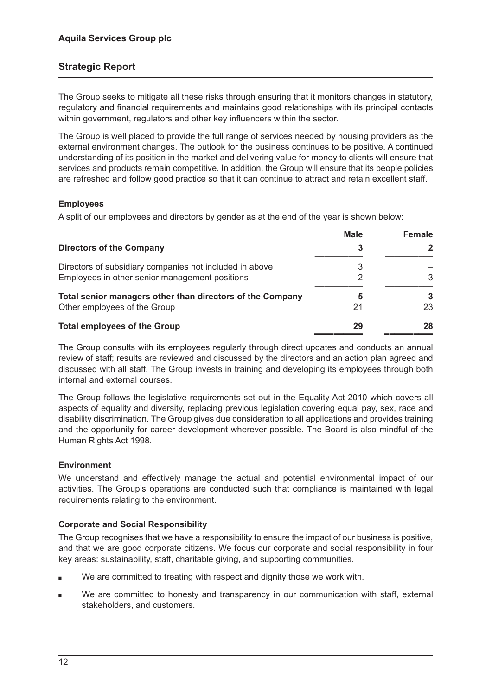The Group seeks to mitigate all these risks through ensuring that it monitors changes in statutory, regulatory and financial requirements and maintains good relationships with its principal contacts within government, regulators and other key influencers within the sector.

The Group is well placed to provide the full range of services needed by housing providers as the external environment changes. The outlook for the business continues to be positive. A continued understanding of its position in the market and delivering value for money to clients will ensure that services and products remain competitive. In addition, the Group will ensure that its people policies are refreshed and follow good practice so that it can continue to attract and retain excellent staff.

## **Employees**

A split of our employees and directors by gender as at the end of the year is shown below:

|                                                           | <b>Male</b> | <b>Female</b> |
|-----------------------------------------------------------|-------------|---------------|
| <b>Directors of the Company</b>                           |             |               |
| Directors of subsidiary companies not included in above   | 3           |               |
| Employees in other senior management positions            |             | 3             |
| Total senior managers other than directors of the Company | 5           |               |
| Other employees of the Group                              | 21          | 23            |
| <b>Total employees of the Group</b>                       | 29          | 28            |
|                                                           |             |               |

The Group consults with its employees regularly through direct updates and conducts an annual review of staff; results are reviewed and discussed by the directors and an action plan agreed and discussed with all staff. The Group invests in training and developing its employees through both internal and external courses.

The Group follows the legislative requirements set out in the Equality Act 2010 which covers all aspects of equality and diversity, replacing previous legislation covering equal pay, sex, race and disability discrimination. The Group gives due consideration to all applications and provides training and the opportunity for career development wherever possible. The Board is also mindful of the Human Rights Act 1998.

#### **Environment**

We understand and effectively manage the actual and potential environmental impact of our activities. The Group's operations are conducted such that compliance is maintained with legal requirements relating to the environment.

# **Corporate and Social Responsibility**

The Group recognises that we have a responsibility to ensure the impact of our business is positive, and that we are good corporate citizens. We focus our corporate and social responsibility in four key areas: sustainability, staff, charitable giving, and supporting communities.

- We are committed to treating with respect and dignity those we work with.
- We are committed to honesty and transparency in our communication with staff, external stakeholders, and customers.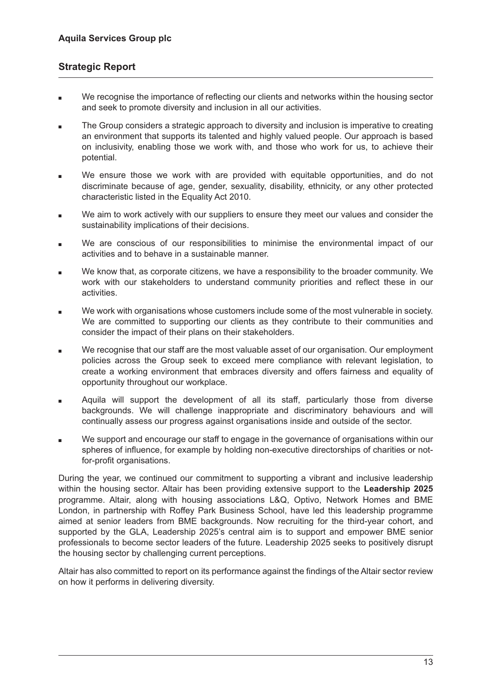- We recognise the importance of reflecting our clients and networks within the housing sector and seek to promote diversity and inclusion in all our activities.
- The Group considers a strategic approach to diversity and inclusion is imperative to creating an environment that supports its talented and highly valued people. Our approach is based on inclusivity, enabling those we work with, and those who work for us, to achieve their potential.
- We ensure those we work with are provided with equitable opportunities, and do not discriminate because of age, gender, sexuality, disability, ethnicity, or any other protected characteristic listed in the Equality Act 2010.
- We aim to work actively with our suppliers to ensure they meet our values and consider the sustainability implications of their decisions.
- <sup>n</sup> We are conscious of our responsibilities to minimise the environmental impact of our activities and to behave in a sustainable manner.
- We know that, as corporate citizens, we have a responsibility to the broader community. We work with our stakeholders to understand community priorities and reflect these in our activities.
- **Ne work with organisations whose customers include some of the most vulnerable in society.** We are committed to supporting our clients as they contribute to their communities and consider the impact of their plans on their stakeholders.
- **Ne recognise that our staff are the most valuable asset of our organisation. Our employment** policies across the Group seek to exceed mere compliance with relevant legislation, to create a working environment that embraces diversity and offers fairness and equality of opportunity throughout our workplace.
- Aquila will support the development of all its staff, particularly those from diverse backgrounds. We will challenge inappropriate and discriminatory behaviours and will continually assess our progress against organisations inside and outside of the sector.
- We support and encourage our staff to engage in the governance of organisations within our spheres of influence, for example by holding non-executive directorships of charities or notfor-profit organisations.

During the year, we continued our commitment to supporting a vibrant and inclusive leadership within the housing sector. Altair has been providing extensive support to the **Leadership 2025** programme. Altair, along with housing associations L&Q, Optivo, Network Homes and BME London, in partnership with Roffey Park Business School, have led this leadership programme aimed at senior leaders from BME backgrounds. Now recruiting for the third-year cohort, and supported by the GLA, Leadership 2025's central aim is to support and empower BME senior professionals to become sector leaders of the future. Leadership 2025 seeks to positively disrupt the housing sector by challenging current perceptions.

Altair has also committed to report on its performance against the findings of the Altair sector review on how it performs in delivering diversity.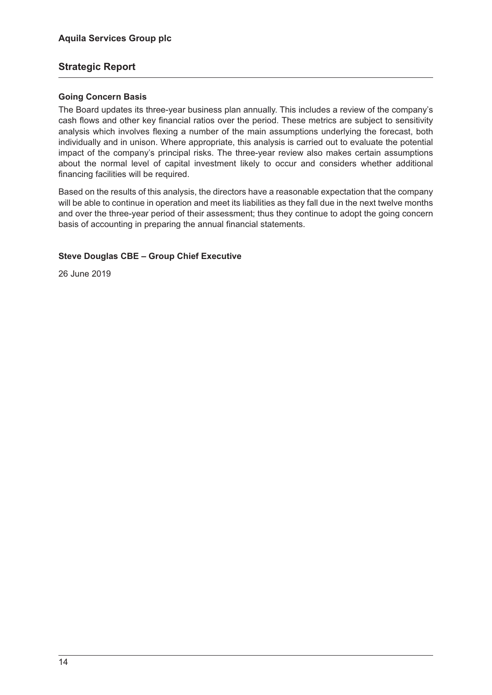# **Going Concern Basis**

The Board updates its three-year business plan annually. This includes a review of the company's cash flows and other key financial ratios over the period. These metrics are subject to sensitivity analysis which involves flexing a number of the main assumptions underlying the forecast, both individually and in unison. Where appropriate, this analysis is carried out to evaluate the potential impact of the company's principal risks. The three-year review also makes certain assumptions about the normal level of capital investment likely to occur and considers whether additional financing facilities will be required.

Based on the results of this analysis, the directors have a reasonable expectation that the company will be able to continue in operation and meet its liabilities as they fall due in the next twelve months and over the three-year period of their assessment; thus they continue to adopt the going concern basis of accounting in preparing the annual financial statements.

# **Steve Douglas CBE – Group Chief Executive**

26 June 2019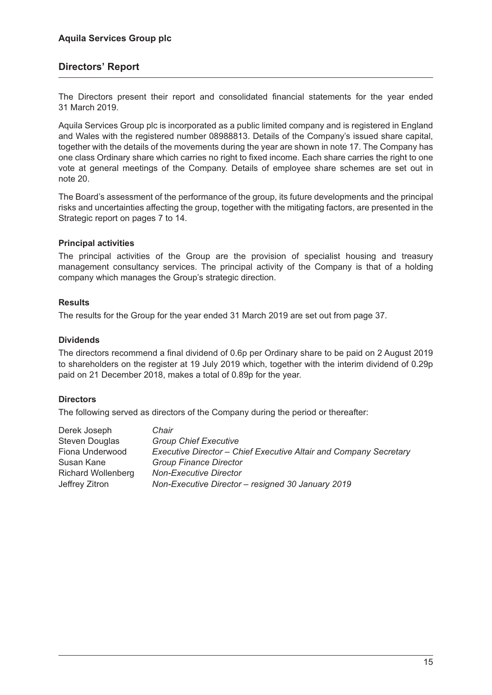# **Directors' Report**

The Directors present their report and consolidated financial statements for the year ended 31 March 2019.

Aquila Services Group plc is incorporated as a public limited company and is registered in England and Wales with the registered number 08988813. Details of the Company's issued share capital, together with the details of the movements during the year are shown in note 17. The Company has one class Ordinary share which carries no right to fixed income. Each share carries the right to one vote at general meetings of the Company. Details of employee share schemes are set out in note 20.

The Board's assessment of the performance of the group, its future developments and the principal risks and uncertainties affecting the group, together with the mitigating factors, are presented in the Strategic report on pages 7 to 14.

## **Principal activities**

The principal activities of the Group are the provision of specialist housing and treasury management consultancy services. The principal activity of the Company is that of a holding company which manages the Group's strategic direction.

## **Results**

The results for the Group for the year ended 31 March 2019 are set out from page 37.

## **Dividends**

The directors recommend a final dividend of 0.6p per Ordinary share to be paid on 2 August 2019 to shareholders on the register at 19 July 2019 which, together with the interim dividend of 0.29p paid on 21 December 2018, makes a total of 0.89p for the year.

# **Directors**

The following served as directors of the Company during the period or thereafter:

| Derek Joseph              | Chair                                                             |
|---------------------------|-------------------------------------------------------------------|
| <b>Steven Douglas</b>     | <b>Group Chief Executive</b>                                      |
| Fiona Underwood           | Executive Director – Chief Executive Altair and Company Secretary |
| Susan Kane                | <b>Group Finance Director</b>                                     |
| <b>Richard Wollenberg</b> | <b>Non-Executive Director</b>                                     |
| Jeffrey Zitron            | Non-Executive Director - resigned 30 January 2019                 |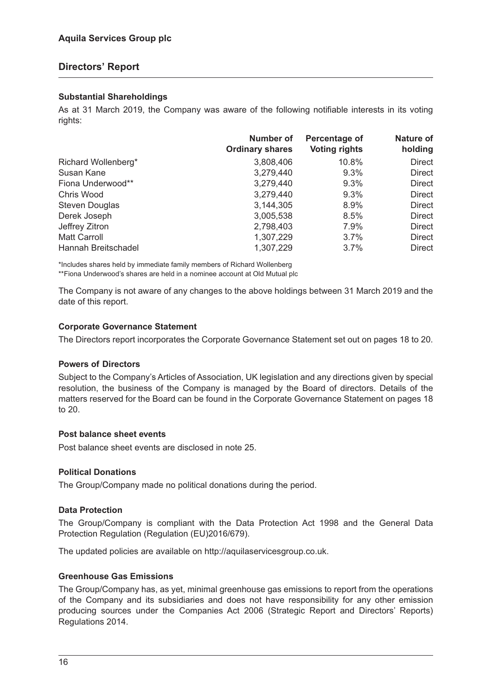# **Directors' Report**

## **Substantial Shareholdings**

As at 31 March 2019, the Company was aware of the following notifiable interests in its voting rights:

|                       | Number of<br><b>Ordinary shares</b> | Percentage of<br><b>Voting rights</b> | <b>Nature of</b><br>holding |
|-----------------------|-------------------------------------|---------------------------------------|-----------------------------|
| Richard Wollenberg*   | 3,808,406                           | 10.8%                                 | <b>Direct</b>               |
| Susan Kane            | 3,279,440                           | 9.3%                                  | <b>Direct</b>               |
| Fiona Underwood**     | 3,279,440                           | 9.3%                                  | <b>Direct</b>               |
| Chris Wood            | 3,279,440                           | 9.3%                                  | <b>Direct</b>               |
| <b>Steven Douglas</b> | 3,144,305                           | 8.9%                                  | <b>Direct</b>               |
| Derek Joseph          | 3,005,538                           | 8.5%                                  | <b>Direct</b>               |
| Jeffrey Zitron        | 2,798,403                           | 7.9%                                  | Direct                      |
| <b>Matt Carroll</b>   | 1,307,229                           | $3.7\%$                               | Direct                      |
| Hannah Breitschadel   | 1,307,229                           | 3.7%                                  | <b>Direct</b>               |

\*Includes shares held by immediate family members of Richard Wollenberg \*\*Fiona Underwood's shares are held in a nominee account at Old Mutual plc

The Company is not aware of any changes to the above holdings between 31 March 2019 and the date of this report.

## **Corporate Governance Statement**

The Directors report incorporates the Corporate Governance Statement set out on pages 18 to 20.

#### **Powers of Directors**

Subject to the Company's Articles of Association, UK legislation and any directions given by special resolution, the business of the Company is managed by the Board of directors. Details of the matters reserved for the Board can be found in the Corporate Governance Statement on pages 18 to 20.

#### **Post balance sheet events**

Post balance sheet events are disclosed in note 25.

#### **Political Donations**

The Group/Company made no political donations during the period.

#### **Data Protection**

The Group/Company is compliant with the Data Protection Act 1998 and the General Data Protection Regulation (Regulation (EU)2016/679).

The updated policies are available on http://aquilaservicesgroup.co.uk.

# **Greenhouse Gas Emissions**

The Group/Company has, as yet, minimal greenhouse gas emissions to report from the operations of the Company and its subsidiaries and does not have responsibility for any other emission producing sources under the Companies Act 2006 (Strategic Report and Directors' Reports) Regulations 2014.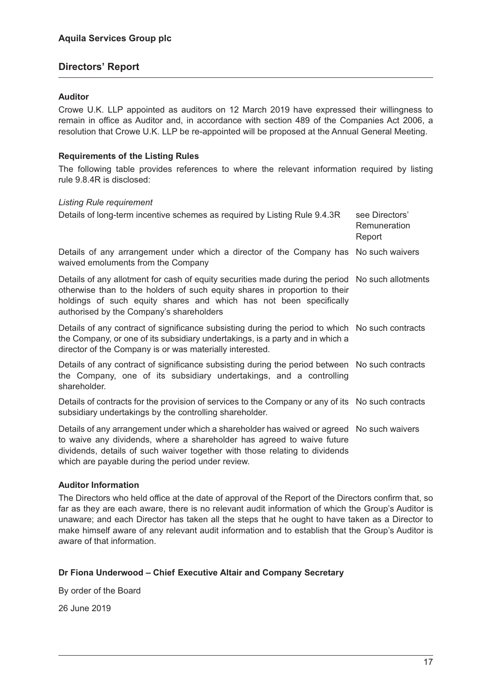# **Directors' Report**

## **Auditor**

Crowe U.K. LLP appointed as auditors on 12 March 2019 have expressed their willingness to remain in office as Auditor and, in accordance with section 489 of the Companies Act 2006, a resolution that Crowe U.K. LLP be re-appointed will be proposed at the Annual General Meeting.

## **Requirements of the Listing Rules**

The following table provides references to where the relevant information required by listing rule 9.8.4R is disclosed:

| <b>Listing Rule requirement</b>                                                                                                                                                                                                                                                                         |                                          |
|---------------------------------------------------------------------------------------------------------------------------------------------------------------------------------------------------------------------------------------------------------------------------------------------------------|------------------------------------------|
| Details of long-term incentive schemes as required by Listing Rule 9.4.3R                                                                                                                                                                                                                               | see Directors'<br>Remuneration<br>Report |
| Details of any arrangement under which a director of the Company has No such waivers<br>waived emoluments from the Company                                                                                                                                                                              |                                          |
| Details of any allotment for cash of equity securities made during the period No such allotments<br>otherwise than to the holders of such equity shares in proportion to their<br>holdings of such equity shares and which has not been specifically<br>authorised by the Company's shareholders        |                                          |
| Details of any contract of significance subsisting during the period to which No such contracts<br>the Company, or one of its subsidiary undertakings, is a party and in which a<br>director of the Company is or was materially interested.                                                            |                                          |
| Details of any contract of significance subsisting during the period between No such contracts<br>the Company, one of its subsidiary undertakings, and a controlling<br>shareholder.                                                                                                                    |                                          |
| Details of contracts for the provision of services to the Company or any of its No such contracts<br>subsidiary undertakings by the controlling shareholder.                                                                                                                                            |                                          |
| Details of any arrangement under which a shareholder has waived or agreed No such waivers<br>to waive any dividends, where a shareholder has agreed to waive future<br>dividends, details of such waiver together with those relating to dividends<br>which are payable during the period under review. |                                          |

#### **Auditor Information**

The Directors who held office at the date of approval of the Report of the Directors confirm that, so far as they are each aware, there is no relevant audit information of which the Group's Auditor is unaware; and each Director has taken all the steps that he ought to have taken as a Director to make himself aware of any relevant audit information and to establish that the Group's Auditor is aware of that information.

#### **Dr Fiona Underwood – Chief Executive Altair and Company Secretary**

By order of the Board

26 June 2019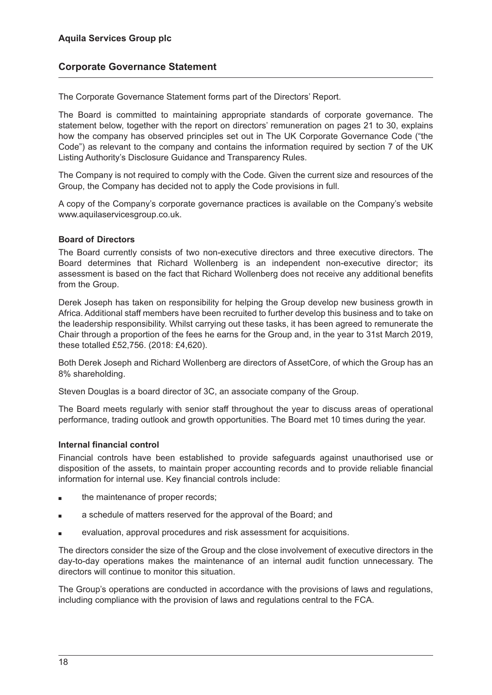# **Corporate Governance Statement**

The Corporate Governance Statement forms part of the Directors' Report.

The Board is committed to maintaining appropriate standards of corporate governance. The statement below, together with the report on directors' remuneration on pages 21 to 30, explains how the company has observed principles set out in The UK Corporate Governance Code ("the Code") as relevant to the company and contains the information required by section 7 of the UK Listing Authority's Disclosure Guidance and Transparency Rules.

The Company is not required to comply with the Code. Given the current size and resources of the Group, the Company has decided not to apply the Code provisions in full.

A copy of the Company's corporate governance practices is available on the Company's website www.aquilaservicesgroup.co.uk.

## **Board of Directors**

The Board currently consists of two non-executive directors and three executive directors. The Board determines that Richard Wollenberg is an independent non-executive director; its assessment is based on the fact that Richard Wollenberg does not receive any additional benefits from the Group.

Derek Joseph has taken on responsibility for helping the Group develop new business growth in Africa. Additional staff members have been recruited to further develop this business and to take on the leadership responsibility. Whilst carrying out these tasks, it has been agreed to remunerate the Chair through a proportion of the fees he earns for the Group and, in the year to 31st March 2019, these totalled £52,756. (2018: £4,620).

Both Derek Joseph and Richard Wollenberg are directors of AssetCore, of which the Group has an 8% shareholding.

Steven Douglas is a board director of 3C, an associate company of the Group.

The Board meets regularly with senior staff throughout the year to discuss areas of operational performance, trading outlook and growth opportunities. The Board met 10 times during the year.

# **Internal financial control**

Financial controls have been established to provide safeguards against unauthorised use or disposition of the assets, to maintain proper accounting records and to provide reliable financial information for internal use. Key financial controls include:

- the maintenance of proper records;
- a schedule of matters reserved for the approval of the Board; and
- evaluation, approval procedures and risk assessment for acquisitions.

The directors consider the size of the Group and the close involvement of executive directors in the day-to-day operations makes the maintenance of an internal audit function unnecessary. The directors will continue to monitor this situation.

The Group's operations are conducted in accordance with the provisions of laws and regulations, including compliance with the provision of laws and regulations central to the FCA.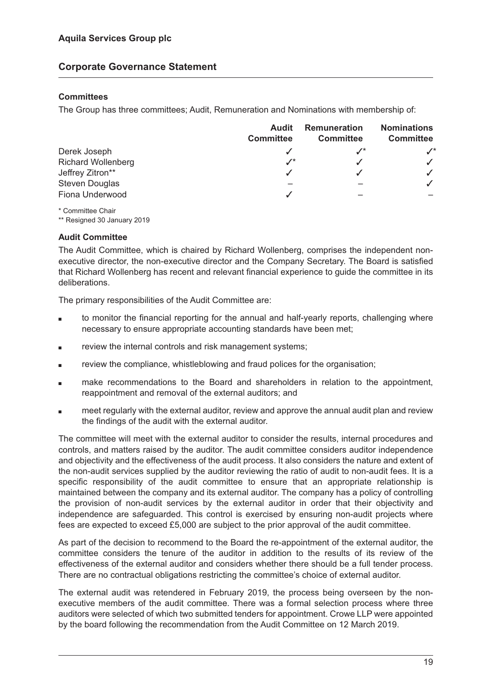# **Corporate Governance Statement**

## **Committees**

The Group has three committees; Audit, Remuneration and Nominations with membership of:

|                           | Audit<br><b>Committee</b> | Remuneration<br><b>Committee</b> | <b>Nominations</b><br><b>Committee</b> |
|---------------------------|---------------------------|----------------------------------|----------------------------------------|
| Derek Joseph              |                           | $\mathcal{N}^{\star}$            | ╱                                      |
| <b>Richard Wollenberg</b> | $\mathscr{N}^*$           |                                  |                                        |
| Jeffrey Zitron**          |                           |                                  |                                        |
| <b>Steven Douglas</b>     |                           |                                  |                                        |
| Fiona Underwood           |                           |                                  |                                        |

\* Committee Chair

\*\* Resigned 30 January 2019

## **Audit Committee**

The Audit Committee, which is chaired by Richard Wollenberg, comprises the independent nonexecutive director, the non-executive director and the Company Secretary. The Board is satisfied that Richard Wollenberg has recent and relevant financial experience to guide the committee in its deliberations.

The primary responsibilities of the Audit Committee are:

- to monitor the financial reporting for the annual and half-yearly reports, challenging where necessary to ensure appropriate accounting standards have been met;
- **n** review the internal controls and risk management systems;
- $\Box$  review the compliance, whistleblowing and fraud polices for the organisation;
- make recommendations to the Board and shareholders in relation to the appointment, reappointment and removal of the external auditors; and
- meet regularly with the external auditor, review and approve the annual audit plan and review the findings of the audit with the external auditor.

The committee will meet with the external auditor to consider the results, internal procedures and controls, and matters raised by the auditor. The audit committee considers auditor independence and objectivity and the effectiveness of the audit process. It also considers the nature and extent of the non-audit services supplied by the auditor reviewing the ratio of audit to non-audit fees. It is a specific responsibility of the audit committee to ensure that an appropriate relationship is maintained between the company and its external auditor. The company has a policy of controlling the provision of non-audit services by the external auditor in order that their objectivity and independence are safeguarded. This control is exercised by ensuring non-audit projects where fees are expected to exceed £5,000 are subject to the prior approval of the audit committee.

As part of the decision to recommend to the Board the re-appointment of the external auditor, the committee considers the tenure of the auditor in addition to the results of its review of the effectiveness of the external auditor and considers whether there should be a full tender process. There are no contractual obligations restricting the committee's choice of external auditor.

The external audit was retendered in February 2019, the process being overseen by the nonexecutive members of the audit committee. There was a formal selection process where three auditors were selected of which two submitted tenders for appointment. Crowe LLP were appointed by the board following the recommendation from the Audit Committee on 12 March 2019.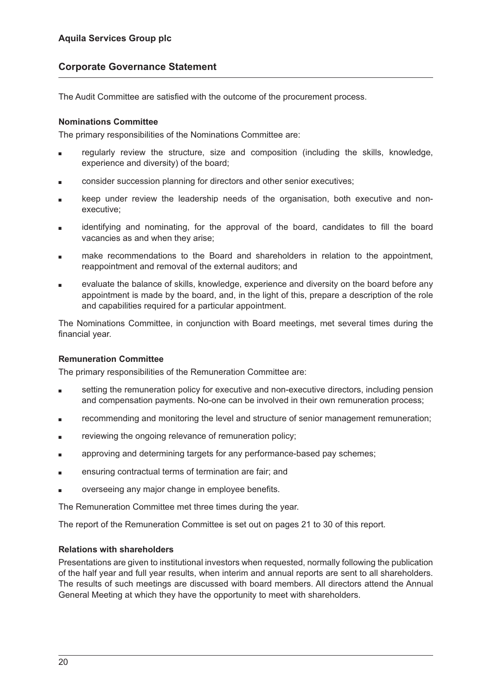# **Corporate Governance Statement**

The Audit Committee are satisfied with the outcome of the procurement process.

## **Nominations Committee**

The primary responsibilities of the Nominations Committee are:

- regularly review the structure, size and composition (including the skills, knowledge, experience and diversity) of the board;
- n consider succession planning for directors and other senior executives;
- keep under review the leadership needs of the organisation, both executive and nonexecutive;
- <sup>n</sup> identifying and nominating, for the approval of the board, candidates to fill the board vacancies as and when they arise;
- make recommendations to the Board and shareholders in relation to the appointment, reappointment and removal of the external auditors; and
- evaluate the balance of skills, knowledge, experience and diversity on the board before any appointment is made by the board, and, in the light of this, prepare a description of the role and capabilities required for a particular appointment.

The Nominations Committee, in conjunction with Board meetings, met several times during the financial year.

# **Remuneration Committee**

The primary responsibilities of the Remuneration Committee are:

- setting the remuneration policy for executive and non-executive directors, including pension and compensation payments. No-one can be involved in their own remuneration process;
- recommending and monitoring the level and structure of senior management remuneration;
- **n** reviewing the ongoing relevance of remuneration policy;
- approving and determining targets for any performance-based pay schemes;
- <sup>n</sup> ensuring contractual terms of termination are fair; and
- **n** overseeing any major change in employee benefits.

The Remuneration Committee met three times during the year.

The report of the Remuneration Committee is set out on pages 21 to 30 of this report.

# **Relations with shareholders**

Presentations are given to institutional investors when requested, normally following the publication of the half year and full year results, when interim and annual reports are sent to all shareholders. The results of such meetings are discussed with board members. All directors attend the Annual General Meeting at which they have the opportunity to meet with shareholders.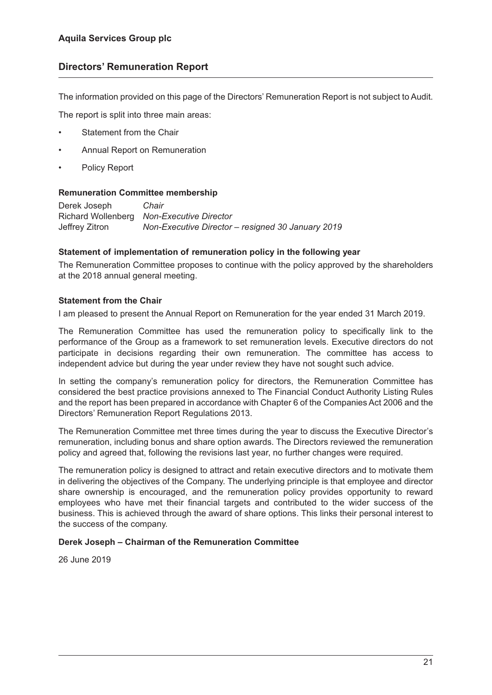The information provided on this page of the Directors' Remuneration Report is not subject to Audit.

The report is split into three main areas:

- Statement from the Chair
- Annual Report on Remuneration
- Policy Report

#### **Remuneration Committee membership**

Derek Joseph *Chair* Richard Wollenberg *Non-Executive Director* Jeffrey Zitron *Non-Executive Director – resigned 30 January 2019*

#### **Statement of implementation of remuneration policy in the following year**

The Remuneration Committee proposes to continue with the policy approved by the shareholders at the 2018 annual general meeting.

#### **Statement from the Chair**

I am pleased to present the Annual Report on Remuneration for the year ended 31 March 2019.

The Remuneration Committee has used the remuneration policy to specifically link to the performance of the Group as a framework to set remuneration levels. Executive directors do not participate in decisions regarding their own remuneration. The committee has access to independent advice but during the year under review they have not sought such advice.

In setting the company's remuneration policy for directors, the Remuneration Committee has considered the best practice provisions annexed to The Financial Conduct Authority Listing Rules and the report has been prepared in accordance with Chapter 6 of the Companies Act 2006 and the Directors' Remuneration Report Regulations 2013.

The Remuneration Committee met three times during the year to discuss the Executive Director's remuneration, including bonus and share option awards. The Directors reviewed the remuneration policy and agreed that, following the revisions last year, no further changes were required.

The remuneration policy is designed to attract and retain executive directors and to motivate them in delivering the objectives of the Company. The underlying principle is that employee and director share ownership is encouraged, and the remuneration policy provides opportunity to reward employees who have met their financial targets and contributed to the wider success of the business. This is achieved through the award of share options. This links their personal interest to the success of the company.

#### **Derek Joseph – Chairman of the Remuneration Committee**

26 June 2019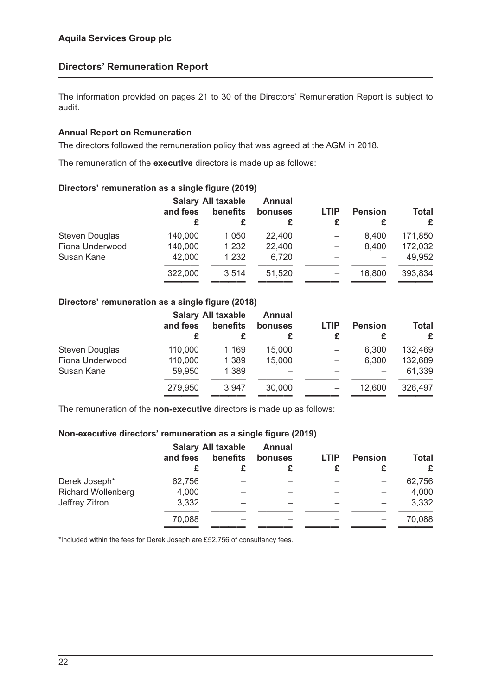The information provided on pages 21 to 30 of the Directors' Remuneration Report is subject to audit.

## **Annual Report on Remuneration**

The directors followed the remuneration policy that was agreed at the AGM in 2018.

The remuneration of the **executive** directors is made up as follows:

#### **Directors' remuneration as a single figure (2019)**

|                       |          | <b>Salary All taxable</b> | Annual  |             |                |         |
|-----------------------|----------|---------------------------|---------|-------------|----------------|---------|
|                       | and fees | benefits                  | bonuses | <b>LTIP</b> | <b>Pension</b> | Total   |
|                       | £        | £                         | £       | £           | £              | £       |
| <b>Steven Douglas</b> | 140,000  | 1,050                     | 22,400  |             | 8,400          | 171,850 |
| Fiona Underwood       | 140,000  | 1,232                     | 22,400  |             | 8,400          | 172,032 |
| Susan Kane            | 42,000   | 1,232                     | 6,720   |             |                | 49,952  |
|                       | 322,000  | 3.514                     | 51,520  |             | 16,800         | 393,834 |
|                       |          |                           |         |             |                |         |

## **Directors' remuneration as a single figure (2018)**

|                       | <b>Salary All taxable</b> |          | Annual  |             |                |         |  |
|-----------------------|---------------------------|----------|---------|-------------|----------------|---------|--|
|                       | and fees                  | benefits | bonuses | <b>LTIP</b> | <b>Pension</b> | Total   |  |
|                       | £                         |          | £       |             |                | £       |  |
| <b>Steven Douglas</b> | 110,000                   | 1,169    | 15,000  |             | 6,300          | 132,469 |  |
| Fiona Underwood       | 110,000                   | 1,389    | 15,000  |             | 6,300          | 132,689 |  |
| Susan Kane            | 59,950                    | 1,389    |         |             |                | 61,339  |  |
|                       | 279,950                   | 3.947    | 30,000  |             | 12,600         | 326,497 |  |
|                       |                           |          |         |             |                |         |  |

The remuneration of the **non-executive** directors is made up as follows:

#### **Non-executive directors' remuneration as a single figure (2019)**

|                           |                      |         | <b>Salary All taxable</b> |                | Annual                          |        |  |  |
|---------------------------|----------------------|---------|---------------------------|----------------|---------------------------------|--------|--|--|
|                           | benefits<br>and fees | bonuses | <b>LTIP</b>               | <b>Pension</b> | <b>Total</b>                    |        |  |  |
|                           |                      |         | £                         |                | £                               | £      |  |  |
| Derek Joseph*             | 62,756               |         |                           |                | $\overbrace{\phantom{1232211}}$ | 62,756 |  |  |
| <b>Richard Wollenberg</b> | 4,000                |         |                           |                |                                 | 4,000  |  |  |
| Jeffrey Zitron            | 3,332                |         |                           |                |                                 | 3,332  |  |  |
|                           | 70,088               |         |                           |                |                                 | 70,088 |  |  |
|                           |                      |         |                           |                |                                 |        |  |  |

\*Included within the fees for Derek Joseph are £52,756 of consultancy fees.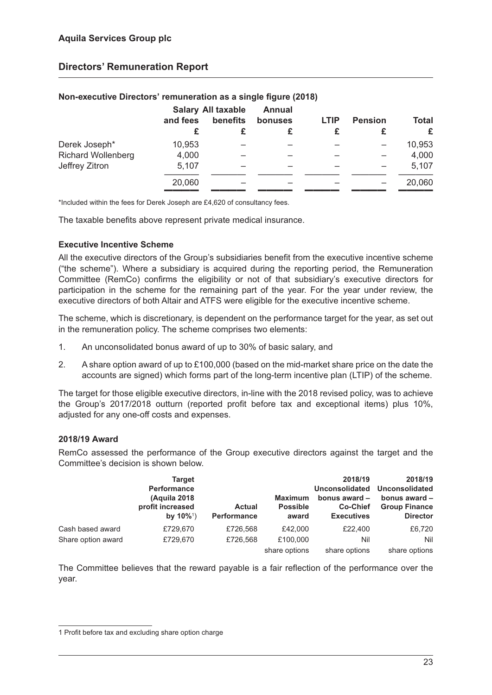|                           | and fees<br>£ | <b>Salary All taxable</b><br>benefits<br>£ | Annual<br>bonuses | <b>LTIP</b><br>£ | <b>Pension</b> | Total  |
|---------------------------|---------------|--------------------------------------------|-------------------|------------------|----------------|--------|
| Derek Joseph*             | 10,953        |                                            |                   |                  |                | 10,953 |
| <b>Richard Wollenberg</b> | 4,000         |                                            |                   |                  |                | 4,000  |
| Jeffrey Zitron            | 5,107         |                                            |                   |                  |                | 5,107  |
|                           | 20,060        |                                            |                   |                  |                | 20,060 |

# **Non-executive Directors' remuneration as a single figure (2018)**

\*Included within the fees for Derek Joseph are £4,620 of consultancy fees.

The taxable benefits above represent private medical insurance.

# **Executive Incentive Scheme**

All the executive directors of the Group's subsidiaries benefit from the executive incentive scheme ("the scheme"). Where a subsidiary is acquired during the reporting period, the Remuneration Committee (RemCo) confirms the eligibility or not of that subsidiary's executive directors for participation in the scheme for the remaining part of the year. For the year under review, the executive directors of both Altair and ATFS were eligible for the executive incentive scheme.

The scheme, which is discretionary, is dependent on the performance target for the year, as set out in the remuneration policy. The scheme comprises two elements:

- 1. An unconsolidated bonus award of up to 30% of basic salary, and
- 2. A share option award of up to £100,000 (based on the mid-market share price on the date the accounts are signed) which forms part of the long-term incentive plan (LTIP) of the scheme.

The target for those eligible executive directors, in-line with the 2018 revised policy, was to achieve the Group's 2017/2018 outturn (reported profit before tax and exceptional items) plus 10%, adjusted for any one-off costs and expenses.

# **2018/19 Award**

RemCo assessed the performance of the Group executive directors against the target and the Committee's decision is shown below.

|                    | <b>Target</b><br><b>Performance</b><br>(Aquila 2018)<br>profit increased<br>by $10\%$ <sup>1</sup> ) | <b>Actual</b><br><b>Performance</b> | <b>Maximum</b><br><b>Possible</b><br>award | 2018/19<br>bonus award -<br><b>Co-Chief</b><br><b>Executives</b> | 2018/19<br>Unconsolidated Unconsolidated<br>bonus award -<br><b>Group Finance</b><br><b>Director</b> |
|--------------------|------------------------------------------------------------------------------------------------------|-------------------------------------|--------------------------------------------|------------------------------------------------------------------|------------------------------------------------------------------------------------------------------|
| Cash based award   | £729,670                                                                                             | £726.568                            | £42,000                                    | £22,400                                                          | £6,720                                                                                               |
| Share option award | £729.670                                                                                             | £726.568                            | £100,000                                   | Nil                                                              | Nil                                                                                                  |
|                    |                                                                                                      |                                     | share options                              | share options                                                    | share options                                                                                        |

The Committee believes that the reward payable is a fair reflection of the performance over the year.

<sup>1</sup> Profit before tax and excluding share option charge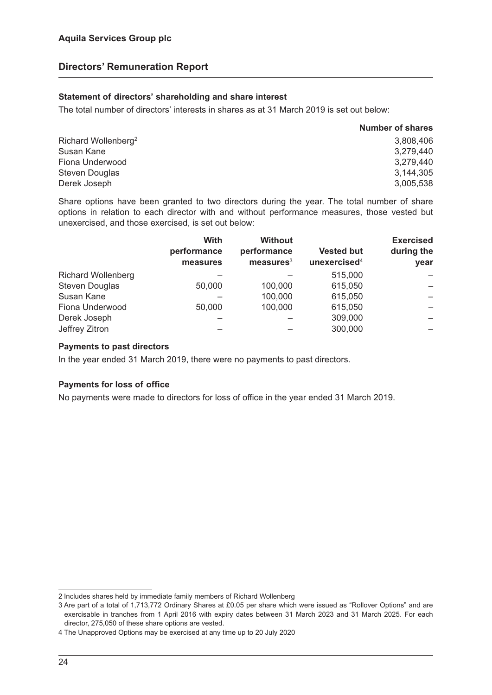#### **Statement of directors' shareholding and share interest**

The total number of directors' interests in shares as at 31 March 2019 is set out below:

|                                 | <b>Number of shares</b> |
|---------------------------------|-------------------------|
| Richard Wollenberg <sup>2</sup> | 3,808,406               |
| Susan Kane                      | 3,279,440               |
| Fiona Underwood                 | 3,279,440               |
| <b>Steven Douglas</b>           | 3,144,305               |
| Derek Joseph                    | 3,005,538               |

Share options have been granted to two directors during the year. The total number of share options in relation to each director with and without performance measures, those vested but unexercised, and those exercised, is set out below:

|                           | <b>With</b><br>performance<br>measures | <b>Without</b><br>performance<br>measures <sup>3</sup> | <b>Vested but</b><br>unexercised <sup>4</sup> | <b>Exercised</b><br>during the<br>year |
|---------------------------|----------------------------------------|--------------------------------------------------------|-----------------------------------------------|----------------------------------------|
| <b>Richard Wollenberg</b> |                                        |                                                        | 515,000                                       |                                        |
| <b>Steven Douglas</b>     | 50,000                                 | 100,000                                                | 615,050                                       |                                        |
| Susan Kane                |                                        | 100,000                                                | 615,050                                       |                                        |
| Fiona Underwood           | 50,000                                 | 100,000                                                | 615,050                                       |                                        |
| Derek Joseph              |                                        |                                                        | 309,000                                       |                                        |
| Jeffrey Zitron            |                                        |                                                        | 300,000                                       |                                        |

#### **Payments to past directors**

In the year ended 31 March 2019, there were no payments to past directors.

#### **Payments for loss of office**

No payments were made to directors for loss of office in the year ended 31 March 2019.

<sup>2</sup> Includes shares held by immediate family members of Richard Wollenberg

<sup>3</sup> Are part of a total of 1,713,772 Ordinary Shares at £0.05 per share which were issued as "Rollover Options" and are exercisable in tranches from 1 April 2016 with expiry dates between 31 March 2023 and 31 March 2025. For each director, 275,050 of these share options are vested.

<sup>4</sup> The Unapproved Options may be exercised at any time up to 20 July 2020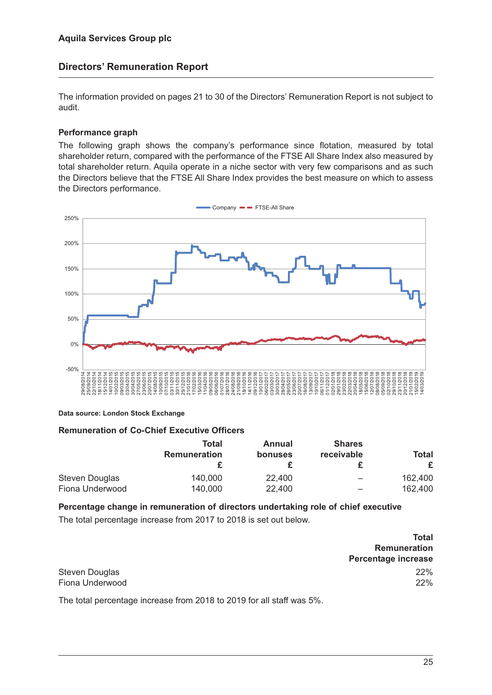The information provided on pages 21 to 30 of the Directors' Remuneration Report is not subject to audit.

## **Performance graph**

The following graph shows the company's performance since flotation, measured by total shareholder return, compared with the performance of the FTSE All Share Index also measured by total shareholder return. Aquila operate in a niche sector with very few comparisons and as such the Directors believe that the FTSE All Share Index provides the best measure on which to assess the Directors performance.



**Data source: London Stock Exchange**

#### **Remuneration of Co-Chief Executive Officers**

|                 | Total        | Annual  | <b>Shares</b>            |         |
|-----------------|--------------|---------|--------------------------|---------|
|                 | Remuneration | bonuses | receivable               | Total   |
|                 |              |         |                          |         |
| Steven Douglas  | 140,000      | 22,400  | $\overline{\phantom{m}}$ | 162,400 |
| Fiona Underwood | 140,000      | 22,400  |                          | 162,400 |

**Percentage change in remuneration of directors undertaking role of chief executive** The total percentage increase from 2017 to 2018 is set out below.

| <b>Total</b>               |
|----------------------------|
| <b>Remuneration</b>        |
| <b>Percentage increase</b> |
| 22%                        |
| 22%                        |
|                            |

The total percentage increase from 2018 to 2019 for all staff was 5%.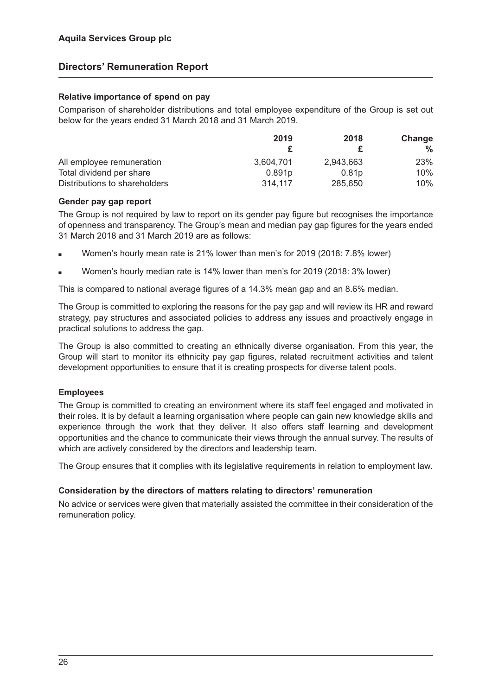## **Relative importance of spend on pay**

Comparison of shareholder distributions and total employee expenditure of the Group is set out below for the years ended 31 March 2018 and 31 March 2019.

|                               | 2019               | 2018              | Change |
|-------------------------------|--------------------|-------------------|--------|
|                               |                    |                   | $\%$   |
| All employee remuneration     | 3,604,701          | 2,943,663         | 23%    |
| Total dividend per share      | 0.891 <sub>p</sub> | 0.81 <sub>p</sub> | 10%    |
| Distributions to shareholders | 314.117            | 285,650           | 10%    |

## **Gender pay gap report**

The Group is not required by law to report on its gender pay figure but recognises the importance of openness and transparency. The Group's mean and median pay gap figures for the years ended 31 March 2018 and 31 March 2019 are as follows:

- Women's hourly mean rate is 21% lower than men's for 2019 (2018: 7.8% lower)
- Women's hourly median rate is 14% lower than men's for 2019 (2018: 3% lower)

This is compared to national average figures of a 14.3% mean gap and an 8.6% median.

The Group is committed to exploring the reasons for the pay gap and will review its HR and reward strategy, pay structures and associated policies to address any issues and proactively engage in practical solutions to address the gap.

The Group is also committed to creating an ethnically diverse organisation. From this year, the Group will start to monitor its ethnicity pay gap figures, related recruitment activities and talent development opportunities to ensure that it is creating prospects for diverse talent pools.

# **Employees**

The Group is committed to creating an environment where its staff feel engaged and motivated in their roles. It is by default a learning organisation where people can gain new knowledge skills and experience through the work that they deliver. It also offers staff learning and development opportunities and the chance to communicate their views through the annual survey. The results of which are actively considered by the directors and leadership team.

The Group ensures that it complies with its legislative requirements in relation to employment law.

#### **Consideration by the directors of matters relating to directors' remuneration**

No advice or services were given that materially assisted the committee in their consideration of the remuneration policy.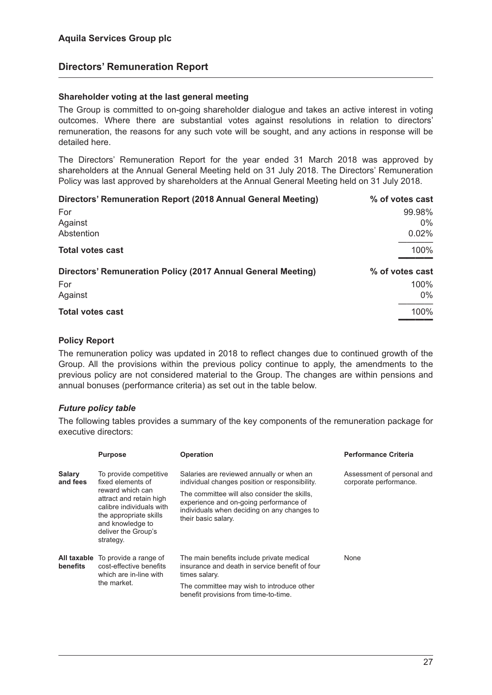## **Shareholder voting at the last general meeting**

The Group is committed to on-going shareholder dialogue and takes an active interest in voting outcomes. Where there are substantial votes against resolutions in relation to directors' remuneration, the reasons for any such vote will be sought, and any actions in response will be detailed here.

The Directors' Remuneration Report for the year ended 31 March 2018 was approved by shareholders at the Annual General Meeting held on 31 July 2018. The Directors' Remuneration Policy was last approved by shareholders at the Annual General Meeting held on 31 July 2018.

| % of votes cast |
|-----------------|
| 99.98%          |
| $0\%$           |
| 0.02%           |
| 100%            |
| % of votes cast |
| 100%            |
| $0\%$           |
| 100%            |
|                 |

## **Policy Report**

The remuneration policy was updated in 2018 to reflect changes due to continued growth of the Group. All the provisions within the previous policy continue to apply, the amendments to the previous policy are not considered material to the Group. The changes are within pensions and annual bonuses (performance criteria) as set out in the table below.

# *Future policy table*

The following tables provides a summary of the key components of the remuneration package for executive directors:

|                           | <b>Purpose</b>                                                                                                                                                                                           | <b>Operation</b>                                                                                                                                                                                                                                            | <b>Performance Criteria</b>                          |
|---------------------------|----------------------------------------------------------------------------------------------------------------------------------------------------------------------------------------------------------|-------------------------------------------------------------------------------------------------------------------------------------------------------------------------------------------------------------------------------------------------------------|------------------------------------------------------|
| <b>Salary</b><br>and fees | To provide competitive<br>fixed elements of<br>reward which can<br>attract and retain high<br>calibre individuals with<br>the appropriate skills<br>and knowledge to<br>deliver the Group's<br>strategy. | Salaries are reviewed annually or when an<br>individual changes position or responsibility.<br>The committee will also consider the skills,<br>experience and on-going performance of<br>individuals when deciding on any changes to<br>their basic salary. | Assessment of personal and<br>corporate performance. |
| benefits                  | <b>All taxable</b> To provide a range of<br>cost-effective benefits<br>which are in-line with<br>the market.                                                                                             | The main benefits include private medical<br>insurance and death in service benefit of four<br>times salary.<br>The committee may wish to introduce other<br>benefit provisions from time-to-time.                                                          | None                                                 |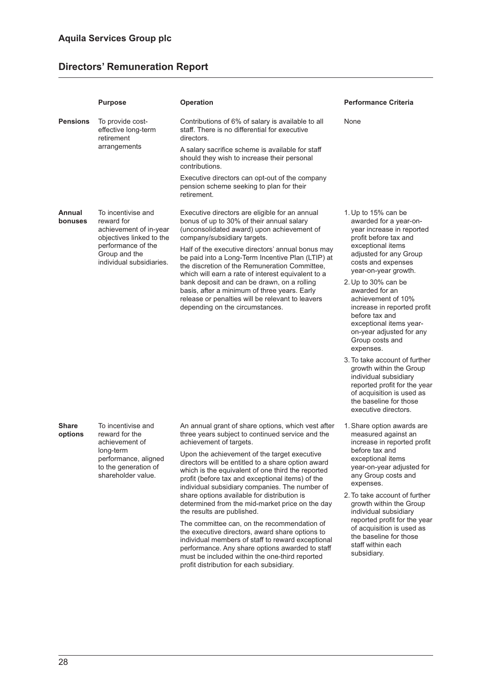|                         | <b>Purpose</b>                                                                         | <b>Operation</b>                                                                                                                                                                                                                                                                                                                                                                                    | <b>Performance Criteria</b>                                                                                                                                                                         |
|-------------------------|----------------------------------------------------------------------------------------|-----------------------------------------------------------------------------------------------------------------------------------------------------------------------------------------------------------------------------------------------------------------------------------------------------------------------------------------------------------------------------------------------------|-----------------------------------------------------------------------------------------------------------------------------------------------------------------------------------------------------|
| <b>Pensions</b>         | To provide cost-<br>effective long-term<br>retirement                                  | Contributions of 6% of salary is available to all<br>staff. There is no differential for executive<br>directors.                                                                                                                                                                                                                                                                                    | None                                                                                                                                                                                                |
|                         | arrangements                                                                           | A salary sacrifice scheme is available for staff<br>should they wish to increase their personal<br>contributions.                                                                                                                                                                                                                                                                                   |                                                                                                                                                                                                     |
|                         |                                                                                        | Executive directors can opt-out of the company<br>pension scheme seeking to plan for their<br>retirement.                                                                                                                                                                                                                                                                                           |                                                                                                                                                                                                     |
| Annual<br>bonuses       | To incentivise and<br>reward for<br>achievement of in-year<br>objectives linked to the | Executive directors are eligible for an annual<br>bonus of up to 30% of their annual salary<br>(unconsolidated award) upon achievement of<br>company/subsidiary targets.                                                                                                                                                                                                                            | 1. Up to 15% can be<br>awarded for a year-on-<br>year increase in reported<br>profit before tax and                                                                                                 |
|                         | performance of the<br>Group and the<br>individual subsidiaries.                        | Half of the executive directors' annual bonus may<br>be paid into a Long-Term Incentive Plan (LTIP) at<br>the discretion of the Remuneration Committee.<br>which will earn a rate of interest equivalent to a<br>bank deposit and can be drawn, on a rolling<br>basis, after a minimum of three years. Early<br>release or penalties will be relevant to leavers<br>depending on the circumstances. | exceptional items<br>adjusted for any Group<br>costs and expenses<br>year-on-year growth.                                                                                                           |
|                         |                                                                                        |                                                                                                                                                                                                                                                                                                                                                                                                     | 2. Up to 30% can be<br>awarded for an<br>achievement of 10%<br>increase in reported profit<br>before tax and<br>exceptional items year-<br>on-year adjusted for any<br>Group costs and<br>expenses. |
|                         |                                                                                        |                                                                                                                                                                                                                                                                                                                                                                                                     | 3. To take account of further<br>growth within the Group<br>individual subsidiary<br>reported profit for the year<br>of acquisition is used as<br>the baseline for those<br>executive directors.    |
| <b>Share</b><br>options | To incentivise and<br>reward for the<br>achievement of                                 | An annual grant of share options, which vest after<br>three years subject to continued service and the<br>achievement of targets.                                                                                                                                                                                                                                                                   | 1. Share option awards are<br>measured against an<br>increase in reported profit                                                                                                                    |
|                         | long-term<br>performance, aligned<br>to the generation of<br>shareholder value.        | Upon the achievement of the target executive<br>directors will be entitled to a share option award<br>which is the equivalent of one third the reported<br>profit (before tax and exceptional items) of the<br>individual subsidiary companies. The number of                                                                                                                                       | before tax and<br>exceptional items<br>year-on-year adjusted for<br>any Group costs and<br>expenses.                                                                                                |
|                         |                                                                                        | share options available for distribution is<br>determined from the mid-market price on the day<br>the results are published.                                                                                                                                                                                                                                                                        | 2. To take account of further<br>growth within the Group<br>individual subsidiary                                                                                                                   |
|                         |                                                                                        | The committee can, on the recommendation of<br>the executive directors, award share options to<br>individual members of staff to reward exceptional<br>performance. Any share options awarded to staff<br>must be included within the one-third reported<br>profit distribution for each subsidiary.                                                                                                | reported profit for the year<br>of acquisition is used as<br>the baseline for those<br>staff within each<br>subsidiary.                                                                             |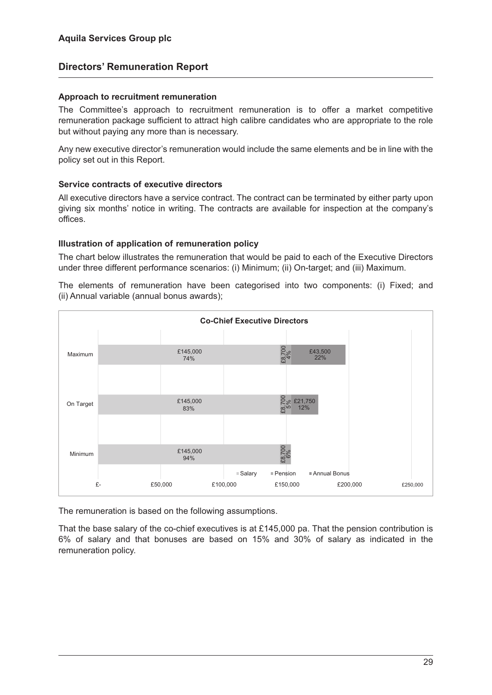## **Approach to recruitment remuneration**

The Committee's approach to recruitment remuneration is to offer a market competitive remuneration package sufficient to attract high calibre candidates who are appropriate to the role but without paying any more than is necessary.

Any new executive director's remuneration would include the same elements and be in line with the policy set out in this Report.

## **Service contracts of executive directors**

All executive directors have a service contract. The contract can be terminated by either party upon giving six months' notice in writing. The contracts are available for inspection at the company's offices.

## **Illustration of application of remuneration policy**

The chart below illustrates the remuneration that would be paid to each of the Executive Directors under three different performance scenarios: (i) Minimum; (ii) On-target; and (iii) Maximum.

The elements of remuneration have been categorised into two components: (i) Fixed; and (ii) Annual variable (annual bonus awards);



The remuneration is based on the following assumptions.

That the base salary of the co-chief executives is at £145,000 pa. That the pension contribution is 6% of salary and that bonuses are based on 15% and 30% of salary as indicated in the remuneration policy.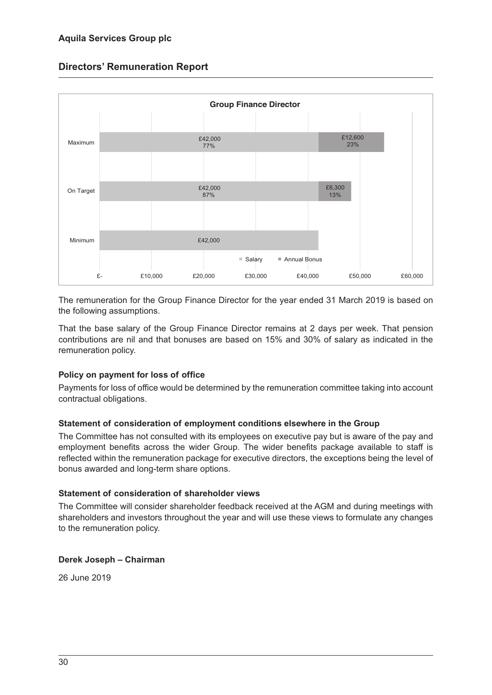



The remuneration for the Group Finance Director for the year ended 31 March 2019 is based on the following assumptions.

That the base salary of the Group Finance Director remains at 2 days per week. That pension contributions are nil and that bonuses are based on 15% and 30% of salary as indicated in the remuneration policy.

# **Policy on payment for loss of office**

Payments for loss of office would be determined by the remuneration committee taking into account contractual obligations.

# **Statement of consideration of employment conditions elsewhere in the Group**

The Committee has not consulted with its employees on executive pay but is aware of the pay and employment benefits across the wider Group. The wider benefits package available to staff is reflected within the remuneration package for executive directors, the exceptions being the level of bonus awarded and long-term share options.

# **Statement of consideration of shareholder views**

The Committee will consider shareholder feedback received at the AGM and during meetings with shareholders and investors throughout the year and will use these views to formulate any changes to the remuneration policy.

# **Derek Joseph – Chairman**

26 June 2019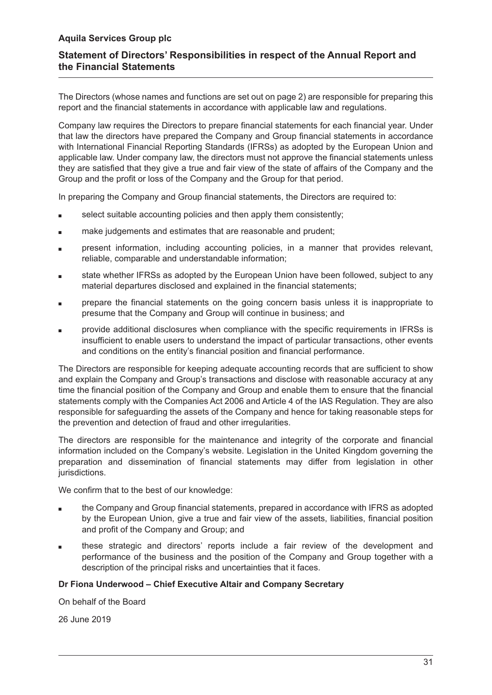# **Aquila Services Group plc**

# **Statement of Directors' Responsibilities in respect of the Annual Report and the Financial Statements**

The Directors (whose names and functions are set out on page 2) are responsible for preparing this report and the financial statements in accordance with applicable law and regulations.

Company law requires the Directors to prepare financial statements for each financial year. Under that law the directors have prepared the Company and Group financial statements in accordance with International Financial Reporting Standards (IFRSs) as adopted by the European Union and applicable law. Under company law, the directors must not approve the financial statements unless they are satisfied that they give a true and fair view of the state of affairs of the Company and the Group and the profit or loss of the Company and the Group for that period.

In preparing the Company and Group financial statements, the Directors are required to:

- select suitable accounting policies and then apply them consistently;
- n make judgements and estimates that are reasonable and prudent;
- **n** present information, including accounting policies, in a manner that provides relevant, reliable, comparable and understandable information;
- <sup>n</sup> state whether IFRSs as adopted by the European Union have been followed, subject to any material departures disclosed and explained in the financial statements;
- prepare the financial statements on the going concern basis unless it is inappropriate to presume that the Company and Group will continue in business; and
- provide additional disclosures when compliance with the specific requirements in IFRSs is insufficient to enable users to understand the impact of particular transactions, other events and conditions on the entity's financial position and financial performance.

The Directors are responsible for keeping adequate accounting records that are sufficient to show and explain the Company and Group's transactions and disclose with reasonable accuracy at any time the financial position of the Company and Group and enable them to ensure that the financial statements comply with the Companies Act 2006 and Article 4 of the IAS Regulation. They are also responsible for safeguarding the assets of the Company and hence for taking reasonable steps for the prevention and detection of fraud and other irregularities.

The directors are responsible for the maintenance and integrity of the corporate and financial information included on the Company's website. Legislation in the United Kingdom governing the preparation and dissemination of financial statements may differ from legislation in other jurisdictions.

We confirm that to the best of our knowledge:

- the Company and Group financial statements, prepared in accordance with IFRS as adopted by the European Union, give a true and fair view of the assets, liabilities, financial position and profit of the Company and Group; and
- these strategic and directors' reports include a fair review of the development and performance of the business and the position of the Company and Group together with a description of the principal risks and uncertainties that it faces.

# **Dr Fiona Underwood – Chief Executive Altair and Company Secretary**

On behalf of the Board

26 June 2019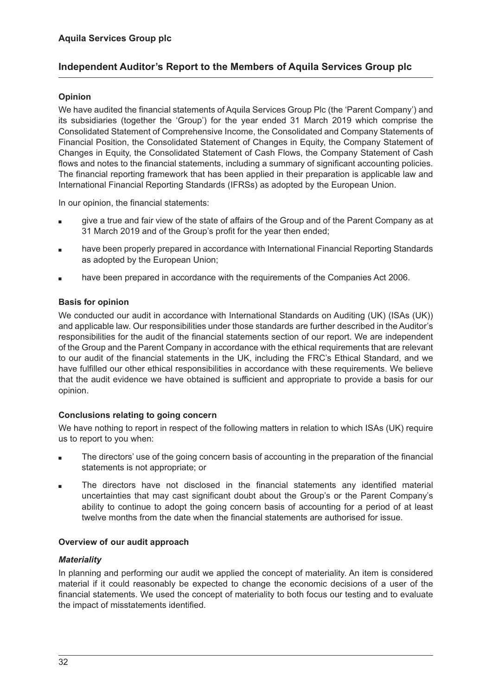# **Independent Auditor's Report to the Members of Aquila Services Group plc**

# **Opinion**

We have audited the financial statements of Aquila Services Group Plc (the 'Parent Company') and its subsidiaries (together the 'Group') for the year ended 31 March 2019 which comprise the Consolidated Statement of Comprehensive Income, the Consolidated and Company Statements of Financial Position, the Consolidated Statement of Changes in Equity, the Company Statement of Changes in Equity, the Consolidated Statement of Cash Flows, the Company Statement of Cash flows and notes to the financial statements, including a summary of significant accounting policies. The financial reporting framework that has been applied in their preparation is applicable law and International Financial Reporting Standards (IFRSs) as adopted by the European Union.

In our opinion, the financial statements:

- give a true and fair view of the state of affairs of the Group and of the Parent Company as at 31 March 2019 and of the Group's profit for the year then ended;
- have been properly prepared in accordance with International Financial Reporting Standards as adopted by the European Union;
- have been prepared in accordance with the requirements of the Companies Act 2006.

# **Basis for opinion**

We conducted our audit in accordance with International Standards on Auditing (UK) (ISAs (UK)) and applicable law. Our responsibilities under those standards are further described in the Auditor's responsibilities for the audit of the financial statements section of our report. We are independent of the Group and the Parent Company in accordance with the ethical requirements that are relevant to our audit of the financial statements in the UK, including the FRC's Ethical Standard, and we have fulfilled our other ethical responsibilities in accordance with these requirements. We believe that the audit evidence we have obtained is sufficient and appropriate to provide a basis for our opinion.

# **Conclusions relating to going concern**

We have nothing to report in respect of the following matters in relation to which ISAs (UK) require us to report to you when:

- The directors' use of the going concern basis of accounting in the preparation of the financial statements is not appropriate; or
- The directors have not disclosed in the financial statements any identified material uncertainties that may cast significant doubt about the Group's or the Parent Company's ability to continue to adopt the going concern basis of accounting for a period of at least twelve months from the date when the financial statements are authorised for issue.

#### **Overview of our audit approach**

#### *Materiality*

In planning and performing our audit we applied the concept of materiality. An item is considered material if it could reasonably be expected to change the economic decisions of a user of the financial statements. We used the concept of materiality to both focus our testing and to evaluate the impact of misstatements identified.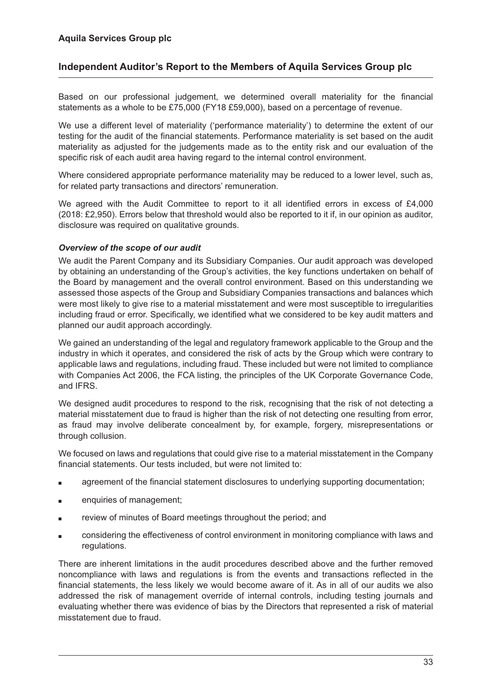# **Independent Auditor's Report to the Members of Aquila Services Group plc**

Based on our professional judgement, we determined overall materiality for the financial statements as a whole to be £75,000 (FY18 £59,000), based on a percentage of revenue.

We use a different level of materiality ('performance materiality') to determine the extent of our testing for the audit of the financial statements. Performance materiality is set based on the audit materiality as adjusted for the judgements made as to the entity risk and our evaluation of the specific risk of each audit area having regard to the internal control environment.

Where considered appropriate performance materiality may be reduced to a lower level, such as, for related party transactions and directors' remuneration.

We agreed with the Audit Committee to report to it all identified errors in excess of £4,000 (2018: £2,950). Errors below that threshold would also be reported to it if, in our opinion as auditor, disclosure was required on qualitative grounds.

## *Overview of the scope of our audit*

We audit the Parent Company and its Subsidiary Companies. Our audit approach was developed by obtaining an understanding of the Group's activities, the key functions undertaken on behalf of the Board by management and the overall control environment. Based on this understanding we assessed those aspects of the Group and Subsidiary Companies transactions and balances which were most likely to give rise to a material misstatement and were most susceptible to irregularities including fraud or error. Specifically, we identified what we considered to be key audit matters and planned our audit approach accordingly.

We gained an understanding of the legal and regulatory framework applicable to the Group and the industry in which it operates, and considered the risk of acts by the Group which were contrary to applicable laws and regulations, including fraud. These included but were not limited to compliance with Companies Act 2006, the FCA listing, the principles of the UK Corporate Governance Code, and IFRS.

We designed audit procedures to respond to the risk, recognising that the risk of not detecting a material misstatement due to fraud is higher than the risk of not detecting one resulting from error, as fraud may involve deliberate concealment by, for example, forgery, misrepresentations or through collusion.

We focused on laws and regulations that could give rise to a material misstatement in the Company financial statements. Our tests included, but were not limited to:

- **n** agreement of the financial statement disclosures to underlying supporting documentation;
- **n** enquiries of management;
- **n** review of minutes of Board meetings throughout the period; and
- **n** considering the effectiveness of control environment in monitoring compliance with laws and regulations.

There are inherent limitations in the audit procedures described above and the further removed noncompliance with laws and regulations is from the events and transactions reflected in the financial statements, the less likely we would become aware of it. As in all of our audits we also addressed the risk of management override of internal controls, including testing journals and evaluating whether there was evidence of bias by the Directors that represented a risk of material misstatement due to fraud.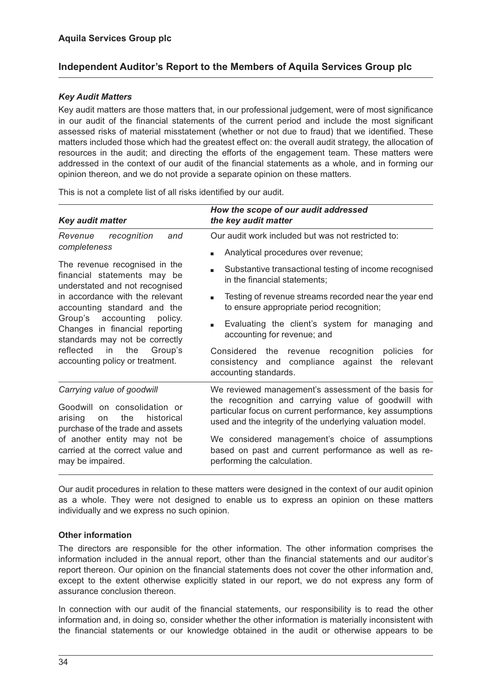# **Independent Auditor's Report to the Members of Aquila Services Group plc**

## *Key Audit Matters*

Key audit matters are those matters that, in our professional judgement, were of most significance in our audit of the financial statements of the current period and include the most significant assessed risks of material misstatement (whether or not due to fraud) that we identified. These matters included those which had the greatest effect on: the overall audit strategy, the allocation of resources in the audit; and directing the efforts of the engagement team. These matters were addressed in the context of our audit of the financial statements as a whole, and in forming our opinion thereon, and we do not provide a separate opinion on these matters.

This is not a complete list of all risks identified by our audit.

| <b>Key audit matter</b>                                                                                | How the scope of our audit addressed<br>the key audit matter                                                                                                                 |
|--------------------------------------------------------------------------------------------------------|------------------------------------------------------------------------------------------------------------------------------------------------------------------------------|
| recognition<br>and<br>Revenue<br>completeness                                                          | Our audit work included but was not restricted to:<br>Analytical procedures over revenue;<br>٠                                                                               |
| The revenue recognised in the<br>financial statements may be<br>understated and not recognised         | Substantive transactional testing of income recognised<br>$\blacksquare$<br>in the financial statements;                                                                     |
| in accordance with the relevant<br>accounting standard and the                                         | Testing of revenue streams recorded near the year end<br>۰.<br>to ensure appropriate period recognition;                                                                     |
| Group's accounting<br>policy.<br>Changes in financial reporting<br>standards may not be correctly      | Evaluating the client's system for managing and<br>accounting for revenue; and                                                                                               |
| reflected<br>the<br>Group's<br>in<br>accounting policy or treatment.                                   | Considered the revenue recognition<br>policies for<br>consistency and compliance against the relevant<br>accounting standards.                                               |
| Carrying value of goodwill                                                                             | We reviewed management's assessment of the basis for                                                                                                                         |
| Goodwill on consolidation or<br>the<br>arising<br>historical<br>on<br>purchase of the trade and assets | the recognition and carrying value of goodwill with<br>particular focus on current performance, key assumptions<br>used and the integrity of the underlying valuation model. |
| of another entity may not be<br>carried at the correct value and<br>may be impaired.                   | We considered management's choice of assumptions<br>based on past and current performance as well as re-<br>performing the calculation.                                      |

Our audit procedures in relation to these matters were designed in the context of our audit opinion as a whole. They were not designed to enable us to express an opinion on these matters individually and we express no such opinion.

# **Other information**

The directors are responsible for the other information. The other information comprises the information included in the annual report, other than the financial statements and our auditor's report thereon. Our opinion on the financial statements does not cover the other information and, except to the extent otherwise explicitly stated in our report, we do not express any form of assurance conclusion thereon.

In connection with our audit of the financial statements, our responsibility is to read the other information and, in doing so, consider whether the other information is materially inconsistent with the financial statements or our knowledge obtained in the audit or otherwise appears to be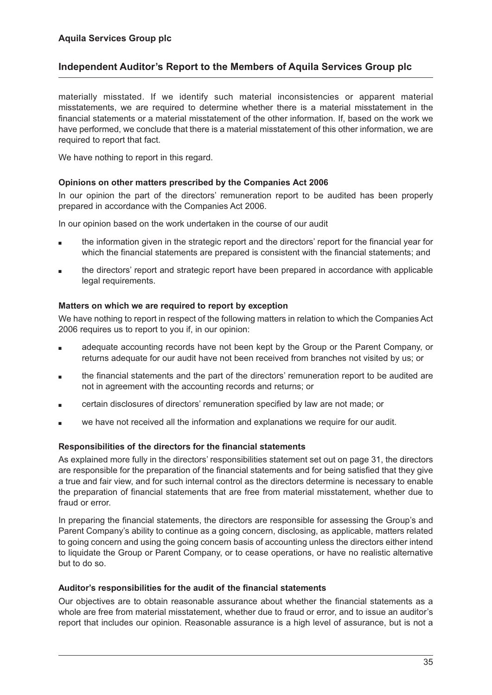# **Independent Auditor's Report to the Members of Aquila Services Group plc**

materially misstated. If we identify such material inconsistencies or apparent material misstatements, we are required to determine whether there is a material misstatement in the financial statements or a material misstatement of the other information. If, based on the work we have performed, we conclude that there is a material misstatement of this other information, we are required to report that fact.

We have nothing to report in this regard.

### **Opinions on other matters prescribed by the Companies Act 2006**

In our opinion the part of the directors' remuneration report to be audited has been properly prepared in accordance with the Companies Act 2006.

In our opinion based on the work undertaken in the course of our audit

- <sup>n</sup> the information given in the strategic report and the directors' report for the financial year for which the financial statements are prepared is consistent with the financial statements; and
- the directors' report and strategic report have been prepared in accordance with applicable legal requirements.

### **Matters on which we are required to report by exception**

We have nothing to report in respect of the following matters in relation to which the Companies Act 2006 requires us to report to you if, in our opinion:

- adequate accounting records have not been kept by the Group or the Parent Company, or returns adequate for our audit have not been received from branches not visited by us; or
- <sup>n</sup> the financial statements and the part of the directors' remuneration report to be audited are not in agreement with the accounting records and returns; or
- <sup>n</sup> certain disclosures of directors' remuneration specified by law are not made; or
- **n** we have not received all the information and explanations we require for our audit.

### **Responsibilities of the directors for the financial statements**

As explained more fully in the directors' responsibilities statement set out on page 31, the directors are responsible for the preparation of the financial statements and for being satisfied that they give a true and fair view, and for such internal control as the directors determine is necessary to enable the preparation of financial statements that are free from material misstatement, whether due to fraud or error.

In preparing the financial statements, the directors are responsible for assessing the Group's and Parent Company's ability to continue as a going concern, disclosing, as applicable, matters related to going concern and using the going concern basis of accounting unless the directors either intend to liquidate the Group or Parent Company, or to cease operations, or have no realistic alternative but to do so.

### **Auditor's responsibilities for the audit of the financial statements**

Our objectives are to obtain reasonable assurance about whether the financial statements as a whole are free from material misstatement, whether due to fraud or error, and to issue an auditor's report that includes our opinion. Reasonable assurance is a high level of assurance, but is not a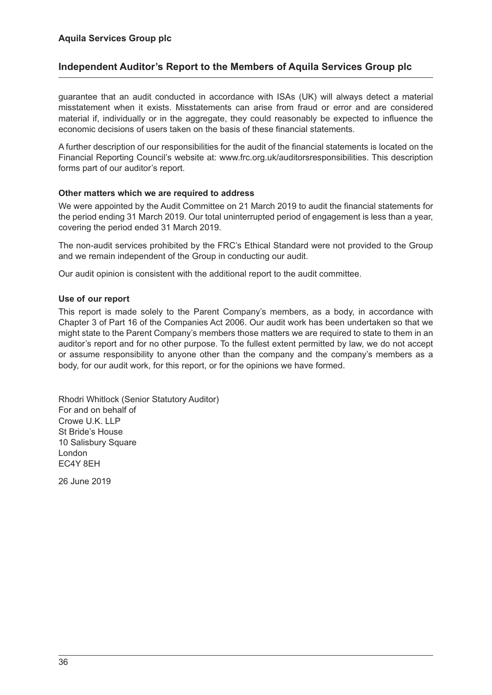# **Independent Auditor's Report to the Members of Aquila Services Group plc**

guarantee that an audit conducted in accordance with ISAs (UK) will always detect a material misstatement when it exists. Misstatements can arise from fraud or error and are considered material if, individually or in the aggregate, they could reasonably be expected to influence the economic decisions of users taken on the basis of these financial statements.

A further description of our responsibilities for the audit of the financial statements is located on the Financial Reporting Council's website at: www.frc.org.uk/auditorsresponsibilities. This description forms part of our auditor's report.

### **Other matters which we are required to address**

We were appointed by the Audit Committee on 21 March 2019 to audit the financial statements for the period ending 31 March 2019. Our total uninterrupted period of engagement is less than a year, covering the period ended 31 March 2019.

The non-audit services prohibited by the FRC's Ethical Standard were not provided to the Group and we remain independent of the Group in conducting our audit.

Our audit opinion is consistent with the additional report to the audit committee.

### **Use of our report**

This report is made solely to the Parent Company's members, as a body, in accordance with Chapter 3 of Part 16 of the Companies Act 2006. Our audit work has been undertaken so that we might state to the Parent Company's members those matters we are required to state to them in an auditor's report and for no other purpose. To the fullest extent permitted by law, we do not accept or assume responsibility to anyone other than the company and the company's members as a body, for our audit work, for this report, or for the opinions we have formed.

Rhodri Whitlock (Senior Statutory Auditor) For and on behalf of Crowe U.K. LLP St Bride's House 10 Salisbury Square London EC4Y 8EH

26 June 2019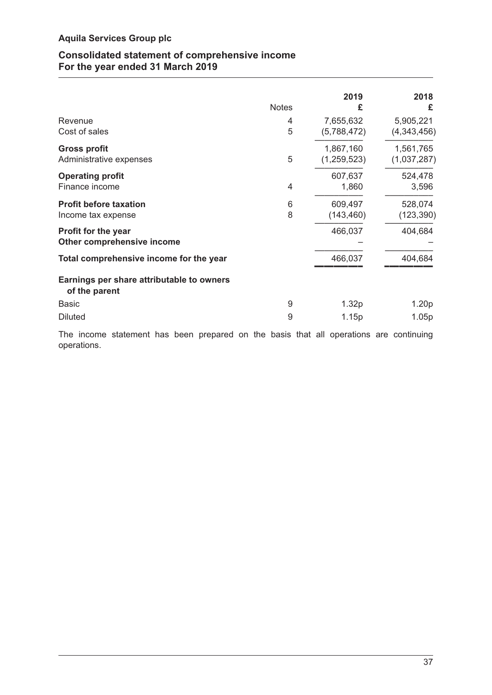# **Consolidated statement of comprehensive income For the year ended 31 March 2019**

|                                                            | <b>Notes</b> | 2019<br>£                | 2018<br>£                |
|------------------------------------------------------------|--------------|--------------------------|--------------------------|
| Revenue<br>Cost of sales                                   | 4<br>5       | 7,655,632<br>(5,788,472) | 5,905,221<br>(4,343,456) |
| <b>Gross profit</b><br>Administrative expenses             | 5            | 1,867,160<br>(1,259,523) | 1,561,765<br>(1,037,287) |
| <b>Operating profit</b><br>Finance income                  | 4            | 607,637<br>1,860         | 524,478<br>3,596         |
| <b>Profit before taxation</b><br>Income tax expense        | 6<br>8       | 609,497<br>(143, 460)    | 528,074<br>(123, 390)    |
| <b>Profit for the year</b><br>Other comprehensive income   |              | 466,037                  | 404,684                  |
| Total comprehensive income for the year                    |              | 466,037                  | 404,684                  |
| Earnings per share attributable to owners<br>of the parent |              |                          |                          |
| <b>Basic</b>                                               | 9            | 1.32 <sub>p</sub>        | 1.20 <sub>p</sub>        |
| <b>Diluted</b>                                             | 9            | 1.15p                    | 1.05p                    |

The income statement has been prepared on the basis that all operations are continuing operations.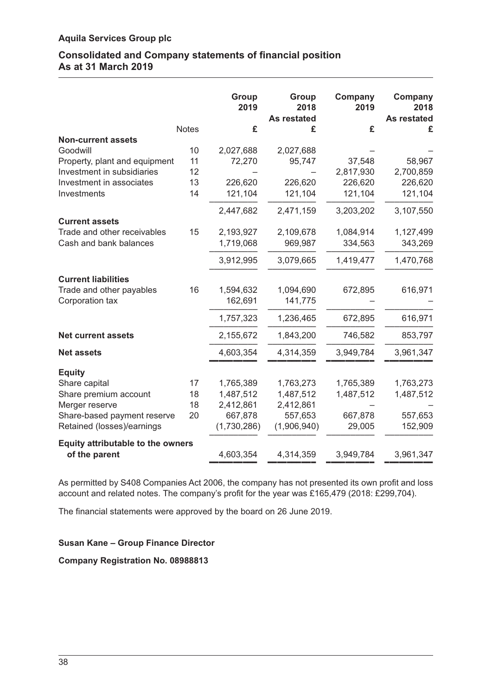# **Aquila Services Group plc**

# **Consolidated and Company statements of financial position As at 31 March 2019**

|                                          |              | <b>Group</b><br>2019 | <b>Group</b><br>2018<br>As restated | Company<br>2019 | Company<br>2018<br>As restated |
|------------------------------------------|--------------|----------------------|-------------------------------------|-----------------|--------------------------------|
|                                          | <b>Notes</b> | £                    | £                                   | £               | £                              |
| <b>Non-current assets</b>                |              |                      |                                     |                 |                                |
| Goodwill                                 | 10           | 2,027,688            | 2,027,688                           |                 |                                |
| Property, plant and equipment            | 11           | 72,270               | 95,747                              | 37,548          | 58,967                         |
| Investment in subsidiaries               | 12           |                      |                                     | 2,817,930       | 2,700,859                      |
| Investment in associates                 | 13           | 226,620              | 226,620                             | 226,620         | 226,620                        |
| Investments                              | 14           | 121,104              | 121,104                             | 121,104         | 121,104                        |
|                                          |              | 2,447,682            | 2,471,159                           | 3,203,202       | 3,107,550                      |
| <b>Current assets</b>                    |              |                      |                                     |                 |                                |
| Trade and other receivables              | 15           | 2,193,927            | 2,109,678                           | 1,084,914       | 1,127,499                      |
| Cash and bank balances                   |              | 1,719,068            | 969,987                             | 334,563         | 343,269                        |
|                                          |              | 3,912,995            | 3,079,665                           | 1,419,477       | 1,470,768                      |
| <b>Current liabilities</b>               |              |                      |                                     |                 |                                |
| Trade and other payables                 | 16           | 1,594,632            | 1,094,690                           | 672,895         | 616,971                        |
| Corporation tax                          |              | 162,691              | 141,775                             |                 |                                |
|                                          |              | 1,757,323            | 1,236,465                           | 672,895         | 616,971                        |
| <b>Net current assets</b>                |              | 2,155,672            | 1,843,200                           | 746,582         | 853,797                        |
| <b>Net assets</b>                        |              | 4,603,354            | 4,314,359                           | 3,949,784       | 3,961,347                      |
| <b>Equity</b>                            |              |                      |                                     |                 |                                |
| Share capital                            | 17           | 1,765,389            | 1,763,273                           | 1,765,389       | 1,763,273                      |
| Share premium account                    | 18           | 1,487,512            | 1,487,512                           | 1,487,512       | 1,487,512                      |
| Merger reserve                           | 18           | 2,412,861            | 2,412,861                           |                 |                                |
| Share-based payment reserve              | 20           | 667,878              | 557,653                             | 667,878         | 557,653                        |
| Retained (losses)/earnings               |              | (1,730,286)          | (1,906,940)                         | 29,005          | 152,909                        |
| <b>Equity attributable to the owners</b> |              |                      |                                     |                 |                                |
| of the parent                            |              | 4,603,354            | 4,314,359                           | 3,949,784       | 3,961,347                      |
|                                          |              |                      |                                     |                 |                                |

As permitted by S408 Companies Act 2006, the company has not presented its own profit and loss account and related notes. The company's profit for the year was £165,479 (2018: £299,704).

The financial statements were approved by the board on 26 June 2019.

### **Susan Kane – Group Finance Director**

**Company Registration No. 08988813**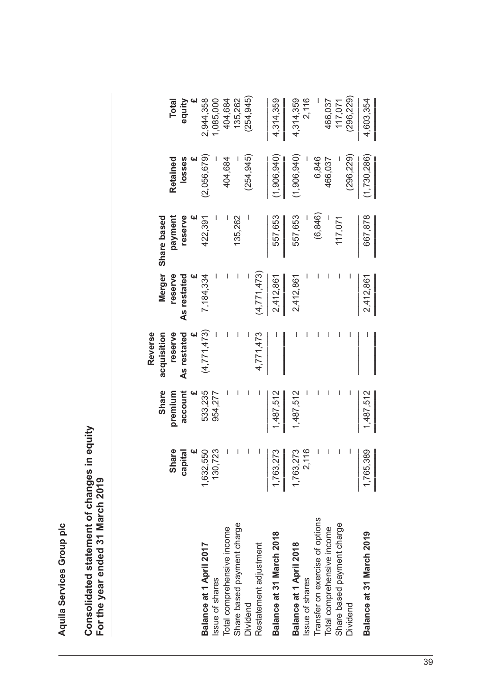Aquila Services Group plc **Aquila Services Group plc**

# Consolidated statement of changes in equity<br>For the year ended 31 March 2019 **Consolidated statement of changes in equity For the year ended 31 March 2019**

|                                 |              |           | Reverse       |               |             |            |              |
|---------------------------------|--------------|-----------|---------------|---------------|-------------|------------|--------------|
|                                 |              | Share     | acquisition   | <b>Merger</b> | Share based |            |              |
|                                 | <b>Share</b> | premium   | reserve       | reserve       | payment     | Retained   | <b>Total</b> |
|                                 | capital      | account   | As restated   | As restated   | reserve     | losses     | equity       |
|                                 |              |           |               |               |             |            |              |
| Balance at 1 April 2017         | 1,632,550    | 533,235   | (4, 771, 473) | 7,184,334     | 422,391     | 2,056,679  | 2,944,358    |
| Issue of shares                 | 723<br>130,7 | 954,277   |               |               |             |            | 1,085,000    |
| Total comprehensive income      |              |           |               |               |             | 404,684    | 404,684      |
| Share based payment charge      |              |           |               |               | 135,262     |            | 135,262      |
| Dividend                        |              |           |               |               |             | (254, 945) | (254, 945)   |
| Restatement adjustment          |              |           | 4,771,473     | (4,771,473)   |             |            |              |
| Balance at 31 March 2018        | 1,763,273    | 1,487,512 |               | 2,412,861     | 557,653     | 1,906,940) | 4,314,359    |
| Balance at 1 April 2018         | 1,763,273    | ,487,512  |               | 2,412,861     | 557,653     | 1,906,940  | 4,314,359    |
| Issue of shares                 | 2,116        |           |               |               |             |            | 2,116        |
| Transfer on exercise of options |              |           |               |               | (6, 846)    | 6,846      |              |
| Total comprehensive income      |              |           |               |               |             | 466,037    | 466,037      |
| Share based payment charge      |              |           |               |               | 117,071     |            | 117,071      |
| Dividend                        |              |           |               |               |             | (296, 229) | (296, 229)   |
| Balance at 31 March 2019        | 1,765,389    | 1,487,512 |               | 2,412,861     | 667,878     | 1,730,286) | 4,603,354    |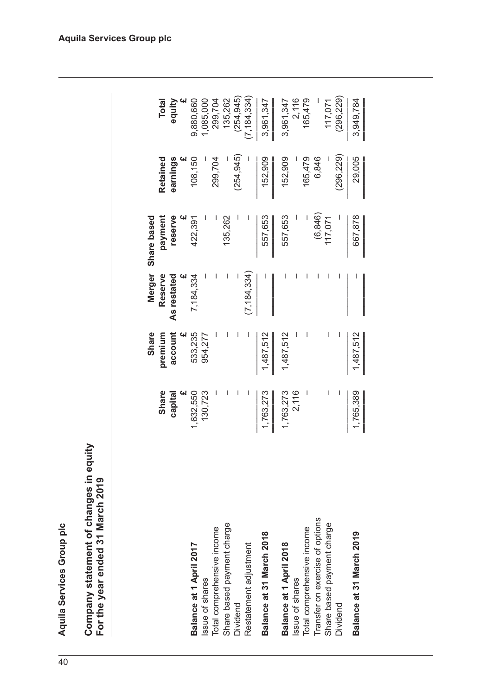| ٠            |
|--------------|
| l<br>j       |
| I            |
|              |
| ı            |
|              |
|              |
| ٠<br>I<br>l  |
| <b>STATE</b> |
| į            |
|              |
| ı            |
| ٠            |
|              |
|              |

**Aquila Services Group plc Company statement of changes in equity For the year ended 31 March 2019**

| Share based payment charge<br>Total comprehensive income<br>Balance at 31 March 2018<br>Balance at 1 April 2018<br>Restatement adjustment<br>Balance at 1 April 2017<br>Issue of shares<br>Dividend | Share<br>130,723<br>1,632,550<br>capital<br>,763,273 | account<br>533,235<br>1,487,512<br>premium<br>954,277<br>1,487,512 | (7, 184, 334)<br>I<br>7,184,334<br>Reserve<br>As restated | 135,262<br>payment<br>reserve<br>557,653<br>557,653<br>422,391 | (254, 945)<br>299,704<br>Retained<br>earnings<br>108,150<br>152,909<br>152,909 | (254, 945)<br>(7, 184, 334)<br>135,262<br><b>Total</b><br>equity<br>9,880,660<br>1,085,000<br>299,704<br>3,961,347<br>3,961,347 |
|-----------------------------------------------------------------------------------------------------------------------------------------------------------------------------------------------------|------------------------------------------------------|--------------------------------------------------------------------|-----------------------------------------------------------|----------------------------------------------------------------|--------------------------------------------------------------------------------|---------------------------------------------------------------------------------------------------------------------------------|
| Transfer on exercise of options<br>Share based payment charge<br>Total comprehensive income<br>Balance at 31 March 2019<br>Issue of shares                                                          | $1,763,273$<br>$2,116$<br>1,765,389                  | I<br>1,487,512                                                     |                                                           | (6, 846)<br>117,071<br>667,878                                 | (296, 229)<br>165,479<br>6,846<br>29,005                                       | (296, 229)<br>165,479<br>2,116<br>117,071<br>3,949,784                                                                          |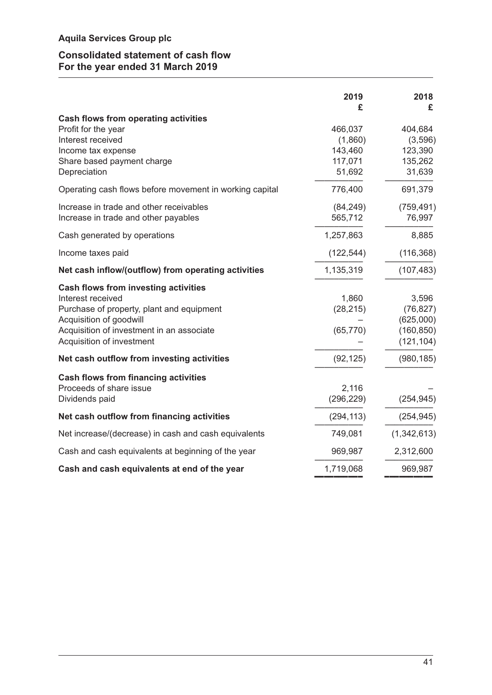# **Aquila Services Group plc**

# **Consolidated statement of cash flow For the year ended 31 March 2019**

|                                                                                                                                                                                                                    | 2019<br>£                                          | 2018<br>£                                                   |
|--------------------------------------------------------------------------------------------------------------------------------------------------------------------------------------------------------------------|----------------------------------------------------|-------------------------------------------------------------|
| <b>Cash flows from operating activities</b><br>Profit for the year<br>Interest received<br>Income tax expense<br>Share based payment charge<br>Depreciation                                                        | 466,037<br>(1,860)<br>143,460<br>117,071<br>51,692 | 404,684<br>(3,596)<br>123,390<br>135,262<br>31,639          |
| Operating cash flows before movement in working capital                                                                                                                                                            | 776,400                                            | 691,379                                                     |
| Increase in trade and other receivables<br>Increase in trade and other payables                                                                                                                                    | (84, 249)<br>565,712                               | (759, 491)<br>76,997                                        |
| Cash generated by operations                                                                                                                                                                                       | 1,257,863                                          | 8,885                                                       |
| Income taxes paid                                                                                                                                                                                                  | (122, 544)                                         | (116, 368)                                                  |
| Net cash inflow/(outflow) from operating activities                                                                                                                                                                | 1,135,319                                          | (107, 483)                                                  |
| <b>Cash flows from investing activities</b><br>Interest received<br>Purchase of property, plant and equipment<br>Acquisition of goodwill<br>Acquisition of investment in an associate<br>Acquisition of investment | 1,860<br>(28, 215)<br>(65, 770)                    | 3,596<br>(76, 827)<br>(625,000)<br>(160, 850)<br>(121, 104) |
| Net cash outflow from investing activities                                                                                                                                                                         | (92, 125)                                          | (980, 185)                                                  |
| <b>Cash flows from financing activities</b><br>Proceeds of share issue<br>Dividends paid                                                                                                                           | 2,116<br>(296, 229)                                | (254, 945)                                                  |
| Net cash outflow from financing activities                                                                                                                                                                         | (294, 113)                                         | (254, 945)                                                  |
| Net increase/(decrease) in cash and cash equivalents                                                                                                                                                               | 749,081                                            | (1,342,613)                                                 |
| Cash and cash equivalents at beginning of the year                                                                                                                                                                 | 969,987                                            | 2,312,600                                                   |
| Cash and cash equivalents at end of the year                                                                                                                                                                       | 1,719,068                                          | 969,987                                                     |

 $\frac{1}{\sqrt{1-\frac{1}{2}}\left(1-\frac{1}{2}\right)}$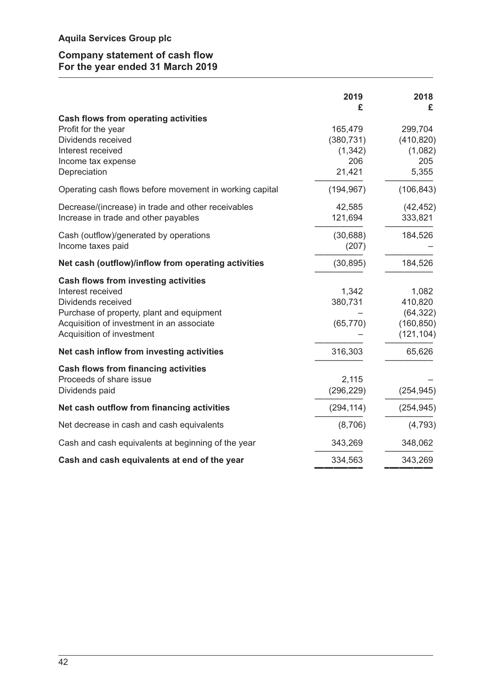# **Aquila Services Group plc**

# **Company statement of cash flow For the year ended 31 March 2019**

|                                                                                                                                                                                                               | 2019<br>£                                          | 2018<br>£                                                 |
|---------------------------------------------------------------------------------------------------------------------------------------------------------------------------------------------------------------|----------------------------------------------------|-----------------------------------------------------------|
| <b>Cash flows from operating activities</b><br>Profit for the year<br>Dividends received<br>Interest received<br>Income tax expense<br>Depreciation                                                           | 165,479<br>(380, 731)<br>(1, 342)<br>206<br>21,421 | 299,704<br>(410, 820)<br>(1,082)<br>205<br>5,355          |
| Operating cash flows before movement in working capital                                                                                                                                                       | (194, 967)                                         | (106, 843)                                                |
| Decrease/(increase) in trade and other receivables<br>Increase in trade and other payables                                                                                                                    | 42,585<br>121,694                                  | (42, 452)<br>333,821                                      |
| Cash (outflow)/generated by operations<br>Income taxes paid                                                                                                                                                   | (30, 688)<br>(207)                                 | 184,526                                                   |
| Net cash (outflow)/inflow from operating activities                                                                                                                                                           | (30, 895)                                          | 184,526                                                   |
| <b>Cash flows from investing activities</b><br>Interest received<br>Dividends received<br>Purchase of property, plant and equipment<br>Acquisition of investment in an associate<br>Acquisition of investment | 1,342<br>380,731<br>(65, 770)                      | 1,082<br>410,820<br>(64, 322)<br>(160, 850)<br>(121, 104) |
| Net cash inflow from investing activities                                                                                                                                                                     | 316,303                                            | 65,626                                                    |
| <b>Cash flows from financing activities</b><br>Proceeds of share issue<br>Dividends paid                                                                                                                      | 2,115<br>(296, 229)                                | (254, 945)                                                |
| Net cash outflow from financing activities                                                                                                                                                                    | (294, 114)                                         | (254, 945)                                                |
| Net decrease in cash and cash equivalents                                                                                                                                                                     | (8,706)                                            | (4, 793)                                                  |
| Cash and cash equivalents at beginning of the year                                                                                                                                                            | 343,269                                            | 348,062                                                   |
| Cash and cash equivalents at end of the year                                                                                                                                                                  | 334,563                                            | 343,269                                                   |

 $\frac{1}{\sqrt{1-\frac{1}{2}}\left(1-\frac{1}{2}\right)}$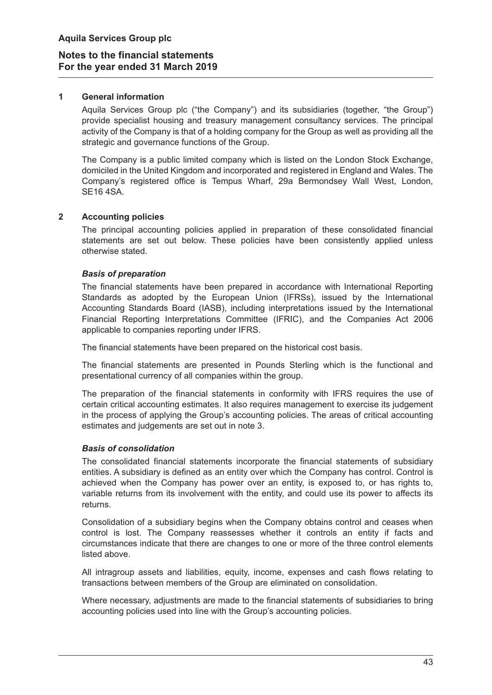### **1 General information**

Aquila Services Group plc ("the Company") and its subsidiaries (together, "the Group") provide specialist housing and treasury management consultancy services. The principal activity of the Company is that of a holding company for the Group as well as providing all the strategic and governance functions of the Group.

The Company is a public limited company which is listed on the London Stock Exchange, domiciled in the United Kingdom and incorporated and registered in England and Wales. The Company's registered office is Tempus Wharf, 29a Bermondsey Wall West, London, SE16 4SA.

### **2 Accounting policies**

The principal accounting policies applied in preparation of these consolidated financial statements are set out below. These policies have been consistently applied unless otherwise stated.

### *Basis of preparation*

The financial statements have been prepared in accordance with International Reporting Standards as adopted by the European Union (IFRSs), issued by the International Accounting Standards Board (IASB), including interpretations issued by the International Financial Reporting Interpretations Committee (IFRIC), and the Companies Act 2006 applicable to companies reporting under IFRS.

The financial statements have been prepared on the historical cost basis.

The financial statements are presented in Pounds Sterling which is the functional and presentational currency of all companies within the group.

The preparation of the financial statements in conformity with IFRS requires the use of certain critical accounting estimates. It also requires management to exercise its judgement in the process of applying the Group's accounting policies. The areas of critical accounting estimates and judgements are set out in note 3.

### *Basis of consolidation*

The consolidated financial statements incorporate the financial statements of subsidiary entities. A subsidiary is defined as an entity over which the Company has control. Control is achieved when the Company has power over an entity, is exposed to, or has rights to, variable returns from its involvement with the entity, and could use its power to affects its returns.

Consolidation of a subsidiary begins when the Company obtains control and ceases when control is lost. The Company reassesses whether it controls an entity if facts and circumstances indicate that there are changes to one or more of the three control elements listed above.

All intragroup assets and liabilities, equity, income, expenses and cash flows relating to transactions between members of the Group are eliminated on consolidation.

Where necessary, adjustments are made to the financial statements of subsidiaries to bring accounting policies used into line with the Group's accounting policies.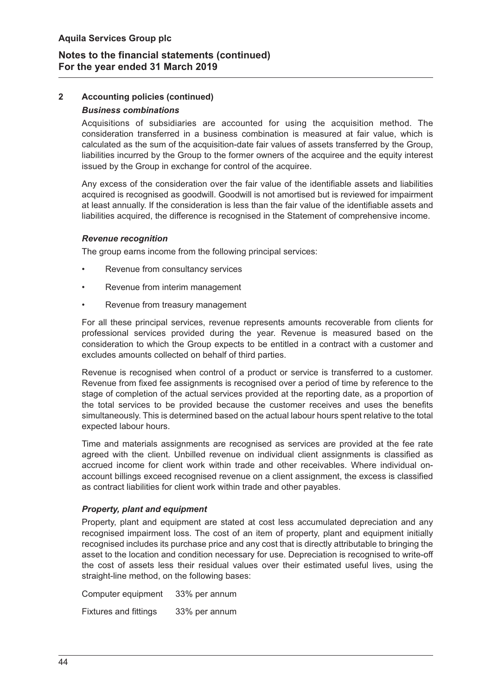# **2 Accounting policies (continued)**

### *Business combinations*

Acquisitions of subsidiaries are accounted for using the acquisition method. The consideration transferred in a business combination is measured at fair value, which is calculated as the sum of the acquisition-date fair values of assets transferred by the Group, liabilities incurred by the Group to the former owners of the acquiree and the equity interest issued by the Group in exchange for control of the acquiree.

Any excess of the consideration over the fair value of the identifiable assets and liabilities acquired is recognised as goodwill. Goodwill is not amortised but is reviewed for impairment at least annually. If the consideration is less than the fair value of the identifiable assets and liabilities acquired, the difference is recognised in the Statement of comprehensive income.

### *Revenue recognition*

The group earns income from the following principal services:

- Revenue from consultancy services
- Revenue from interim management
- Revenue from treasury management

For all these principal services, revenue represents amounts recoverable from clients for professional services provided during the year. Revenue is measured based on the consideration to which the Group expects to be entitled in a contract with a customer and excludes amounts collected on behalf of third parties.

Revenue is recognised when control of a product or service is transferred to a customer. Revenue from fixed fee assignments is recognised over a period of time by reference to the stage of completion of the actual services provided at the reporting date, as a proportion of the total services to be provided because the customer receives and uses the benefits simultaneously. This is determined based on the actual labour hours spent relative to the total expected labour hours.

Time and materials assignments are recognised as services are provided at the fee rate agreed with the client. Unbilled revenue on individual client assignments is classified as accrued income for client work within trade and other receivables. Where individual onaccount billings exceed recognised revenue on a client assignment, the excess is classified as contract liabilities for client work within trade and other payables.

### *Property, plant and equipment*

Property, plant and equipment are stated at cost less accumulated depreciation and any recognised impairment loss. The cost of an item of property, plant and equipment initially recognised includes its purchase price and any cost that is directly attributable to bringing the asset to the location and condition necessary for use. Depreciation is recognised to write-off the cost of assets less their residual values over their estimated useful lives, using the straight-line method, on the following bases:

Computer equipment 33% per annum Fixtures and fittings 33% per annum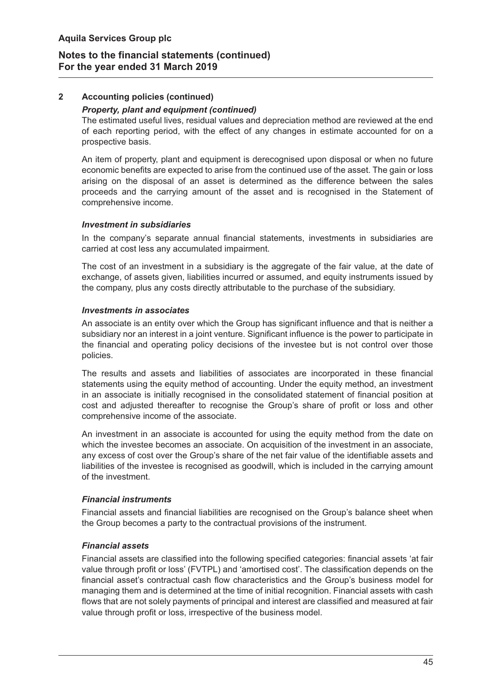### **2 Accounting policies (continued)**

### *Property, plant and equipment (continued)*

The estimated useful lives, residual values and depreciation method are reviewed at the end of each reporting period, with the effect of any changes in estimate accounted for on a prospective basis.

An item of property, plant and equipment is derecognised upon disposal or when no future economic benefits are expected to arise from the continued use of the asset. The gain or loss arising on the disposal of an asset is determined as the difference between the sales proceeds and the carrying amount of the asset and is recognised in the Statement of comprehensive income.

### *Investment in subsidiaries*

In the company's separate annual financial statements, investments in subsidiaries are carried at cost less any accumulated impairment.

The cost of an investment in a subsidiary is the aggregate of the fair value, at the date of exchange, of assets given, liabilities incurred or assumed, and equity instruments issued by the company, plus any costs directly attributable to the purchase of the subsidiary.

### *Investments in associates*

An associate is an entity over which the Group has significant influence and that is neither a subsidiary nor an interest in a joint venture. Significant influence is the power to participate in the financial and operating policy decisions of the investee but is not control over those policies.

The results and assets and liabilities of associates are incorporated in these financial statements using the equity method of accounting. Under the equity method, an investment in an associate is initially recognised in the consolidated statement of financial position at cost and adjusted thereafter to recognise the Group's share of profit or loss and other comprehensive income of the associate.

An investment in an associate is accounted for using the equity method from the date on which the investee becomes an associate. On acquisition of the investment in an associate, any excess of cost over the Group's share of the net fair value of the identifiable assets and liabilities of the investee is recognised as goodwill, which is included in the carrying amount of the investment.

### *Financial instruments*

Financial assets and financial liabilities are recognised on the Group's balance sheet when the Group becomes a party to the contractual provisions of the instrument.

### *Financial assets*

Financial assets are classified into the following specified categories: financial assets 'at fair value through profit or loss' (FVTPL) and 'amortised cost'. The classification depends on the financial asset's contractual cash flow characteristics and the Group's business model for managing them and is determined at the time of initial recognition. Financial assets with cash flows that are not solely payments of principal and interest are classified and measured at fair value through profit or loss, irrespective of the business model.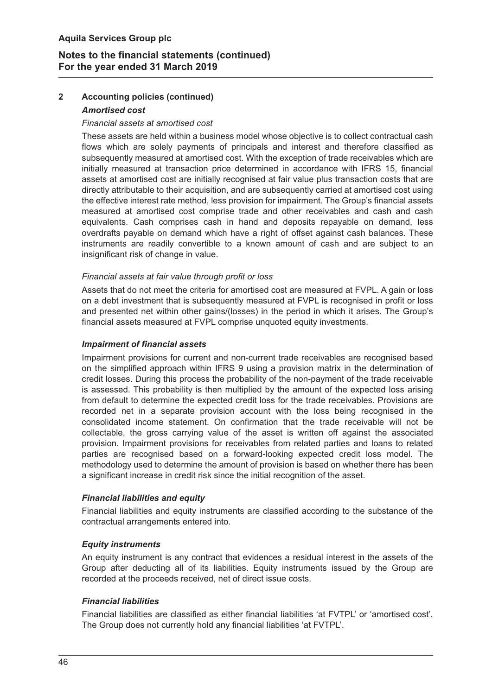# *Amortised cost* **2 Accounting policies (continued)**

### *Financial assets at amortised cost*

These assets are held within a business model whose objective is to collect contractual cash flows which are solely payments of principals and interest and therefore classified as subsequently measured at amortised cost. With the exception of trade receivables which are initially measured at transaction price determined in accordance with IFRS 15, financial assets at amortised cost are initially recognised at fair value plus transaction costs that are directly attributable to their acquisition, and are subsequently carried at amortised cost using the effective interest rate method, less provision for impairment. The Group's financial assets measured at amortised cost comprise trade and other receivables and cash and cash equivalents. Cash comprises cash in hand and deposits repayable on demand, less overdrafts payable on demand which have a right of offset against cash balances. These instruments are readily convertible to a known amount of cash and are subject to an insignificant risk of change in value.

### *Financial assets at fair value through profit or loss*

Assets that do not meet the criteria for amortised cost are measured at FVPL. A gain or loss on a debt investment that is subsequently measured at FVPL is recognised in profit or loss and presented net within other gains/(losses) in the period in which it arises. The Group's financial assets measured at FVPL comprise unquoted equity investments.

### *Impairment of financial assets*

Impairment provisions for current and non-current trade receivables are recognised based on the simplified approach within IFRS 9 using a provision matrix in the determination of credit losses. During this process the probability of the non-payment of the trade receivable is assessed. This probability is then multiplied by the amount of the expected loss arising from default to determine the expected credit loss for the trade receivables. Provisions are recorded net in a separate provision account with the loss being recognised in the consolidated income statement. On confirmation that the trade receivable will not be collectable, the gross carrying value of the asset is written off against the associated provision. Impairment provisions for receivables from related parties and loans to related parties are recognised based on a forward-looking expected credit loss model. The methodology used to determine the amount of provision is based on whether there has been a significant increase in credit risk since the initial recognition of the asset.

### *Financial liabilities and equity*

Financial liabilities and equity instruments are classified according to the substance of the contractual arrangements entered into.

### *Equity instruments*

An equity instrument is any contract that evidences a residual interest in the assets of the Group after deducting all of its liabilities. Equity instruments issued by the Group are recorded at the proceeds received, net of direct issue costs.

### *Financial liabilities*

Financial liabilities are classified as either financial liabilities 'at FVTPL' or 'amortised cost'. The Group does not currently hold any financial liabilities 'at FVTPL'.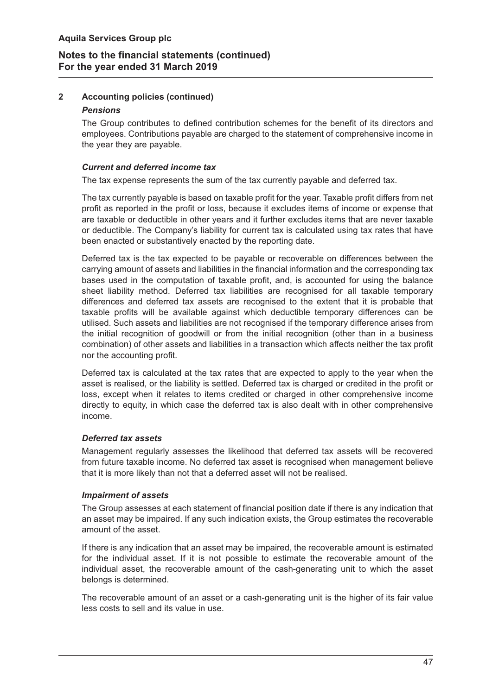### **2 Accounting policies (continued)**

### *Pensions*

The Group contributes to defined contribution schemes for the benefit of its directors and employees. Contributions payable are charged to the statement of comprehensive income in the year they are payable.

### *Current and deferred income tax*

The tax expense represents the sum of the tax currently payable and deferred tax.

The tax currently payable is based on taxable profit for the year. Taxable profit differs from net profit as reported in the profit or loss, because it excludes items of income or expense that are taxable or deductible in other years and it further excludes items that are never taxable or deductible. The Company's liability for current tax is calculated using tax rates that have been enacted or substantively enacted by the reporting date.

Deferred tax is the tax expected to be payable or recoverable on differences between the carrying amount of assets and liabilities in the financial information and the corresponding tax bases used in the computation of taxable profit, and, is accounted for using the balance sheet liability method. Deferred tax liabilities are recognised for all taxable temporary differences and deferred tax assets are recognised to the extent that it is probable that taxable profits will be available against which deductible temporary differences can be utilised. Such assets and liabilities are not recognised if the temporary difference arises from the initial recognition of goodwill or from the initial recognition (other than in a business combination) of other assets and liabilities in a transaction which affects neither the tax profit nor the accounting profit.

Deferred tax is calculated at the tax rates that are expected to apply to the year when the asset is realised, or the liability is settled. Deferred tax is charged or credited in the profit or loss, except when it relates to items credited or charged in other comprehensive income directly to equity, in which case the deferred tax is also dealt with in other comprehensive income.

### *Deferred tax assets*

Management regularly assesses the likelihood that deferred tax assets will be recovered from future taxable income. No deferred tax asset is recognised when management believe that it is more likely than not that a deferred asset will not be realised.

### *Impairment of assets*

The Group assesses at each statement of financial position date if there is any indication that an asset may be impaired. If any such indication exists, the Group estimates the recoverable amount of the asset.

If there is any indication that an asset may be impaired, the recoverable amount is estimated for the individual asset. If it is not possible to estimate the recoverable amount of the individual asset, the recoverable amount of the cash-generating unit to which the asset belongs is determined.

The recoverable amount of an asset or a cash-generating unit is the higher of its fair value less costs to sell and its value in use.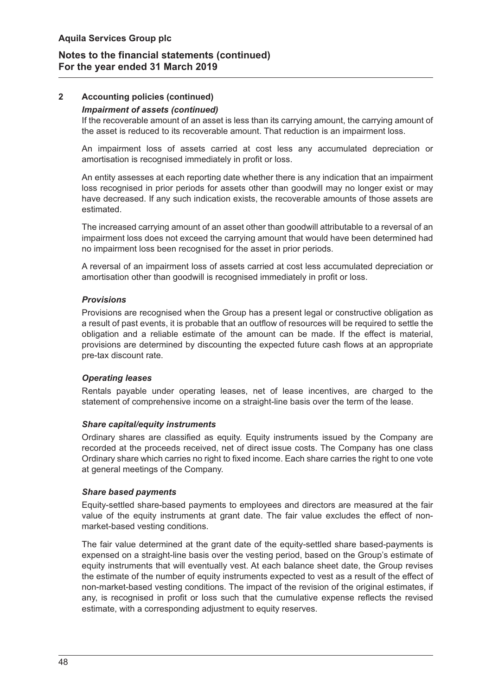# **2 Accounting policies (continued)**

# *Impairment of assets (continued)*

If the recoverable amount of an asset is less than its carrying amount, the carrying amount of the asset is reduced to its recoverable amount. That reduction is an impairment loss.

An impairment loss of assets carried at cost less any accumulated depreciation or amortisation is recognised immediately in profit or loss.

An entity assesses at each reporting date whether there is any indication that an impairment loss recognised in prior periods for assets other than goodwill may no longer exist or may have decreased. If any such indication exists, the recoverable amounts of those assets are estimated.

The increased carrying amount of an asset other than goodwill attributable to a reversal of an impairment loss does not exceed the carrying amount that would have been determined had no impairment loss been recognised for the asset in prior periods.

A reversal of an impairment loss of assets carried at cost less accumulated depreciation or amortisation other than goodwill is recognised immediately in profit or loss.

### *Provisions*

Provisions are recognised when the Group has a present legal or constructive obligation as a result of past events, it is probable that an outflow of resources will be required to settle the obligation and a reliable estimate of the amount can be made. If the effect is material, provisions are determined by discounting the expected future cash flows at an appropriate pre-tax discount rate.

### *Operating leases*

Rentals payable under operating leases, net of lease incentives, are charged to the statement of comprehensive income on a straight-line basis over the term of the lease.

### *Share capital/equity instruments*

Ordinary shares are classified as equity. Equity instruments issued by the Company are recorded at the proceeds received, net of direct issue costs. The Company has one class Ordinary share which carries no right to fixed income. Each share carries the right to one vote at general meetings of the Company.

### *Share based payments*

Equity-settled share-based payments to employees and directors are measured at the fair value of the equity instruments at grant date. The fair value excludes the effect of nonmarket-based vesting conditions.

The fair value determined at the grant date of the equity-settled share based-payments is expensed on a straight-line basis over the vesting period, based on the Group's estimate of equity instruments that will eventually vest. At each balance sheet date, the Group revises the estimate of the number of equity instruments expected to vest as a result of the effect of non-market-based vesting conditions. The impact of the revision of the original estimates, if any, is recognised in profit or loss such that the cumulative expense reflects the revised estimate, with a corresponding adjustment to equity reserves.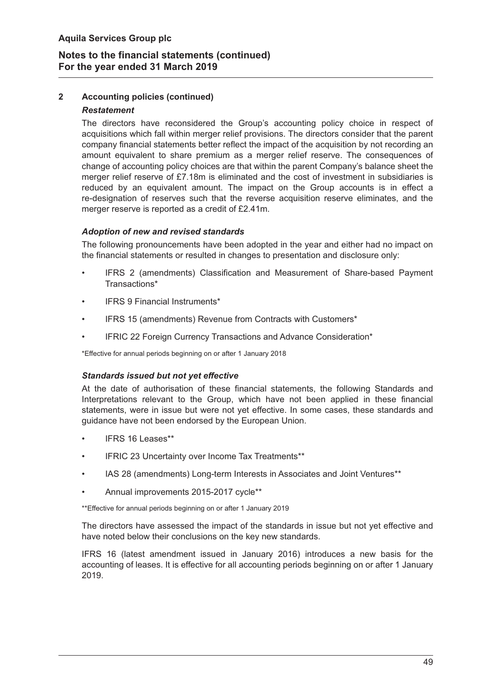# **2 Accounting policies (continued)**

### *Restatement*

The directors have reconsidered the Group's accounting policy choice in respect of acquisitions which fall within merger relief provisions. The directors consider that the parent company financial statements better reflect the impact of the acquisition by not recording an amount equivalent to share premium as a merger relief reserve. The consequences of change of accounting policy choices are that within the parent Company's balance sheet the merger relief reserve of £7.18m is eliminated and the cost of investment in subsidiaries is reduced by an equivalent amount. The impact on the Group accounts is in effect a re-designation of reserves such that the reverse acquisition reserve eliminates, and the merger reserve is reported as a credit of £2.41m.

### *Adoption of new and revised standards*

The following pronouncements have been adopted in the year and either had no impact on the financial statements or resulted in changes to presentation and disclosure only:

- IFRS 2 (amendments) Classification and Measurement of Share-based Payment Transactions\*
- IFRS 9 Financial Instruments\*
- IFRS 15 (amendments) Revenue from Contracts with Customers\*
- IFRIC 22 Foreign Currency Transactions and Advance Consideration\*

\*Effective for annual periods beginning on or after 1 January 2018

### *Standards issued but not yet effective*

At the date of authorisation of these financial statements, the following Standards and Interpretations relevant to the Group, which have not been applied in these financial statements, were in issue but were not yet effective. In some cases, these standards and guidance have not been endorsed by the European Union.

- IFRS 16 Leases\*\*
- IFRIC 23 Uncertainty over Income Tax Treatments\*\*
- IAS 28 (amendments) Long-term Interests in Associates and Joint Ventures\*\*
- Annual improvements 2015-2017 cycle\*\*

\*\*Effective for annual periods beginning on or after 1 January 2019

The directors have assessed the impact of the standards in issue but not yet effective and have noted below their conclusions on the key new standards.

IFRS 16 (latest amendment issued in January 2016) introduces a new basis for the accounting of leases. It is effective for all accounting periods beginning on or after 1 January 2019.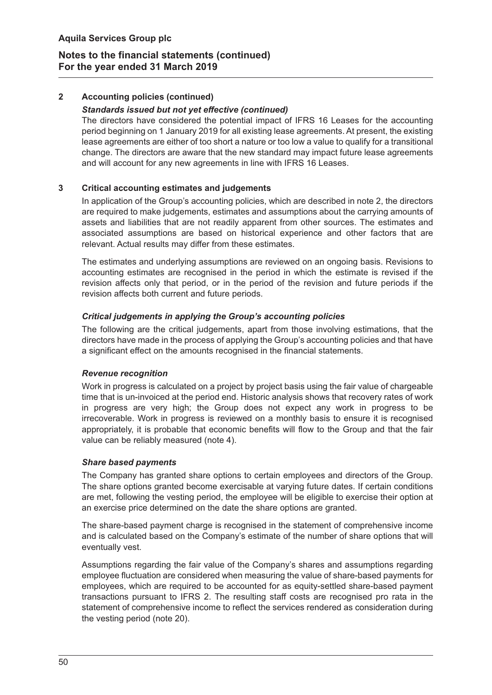### **2 Accounting policies (continued)**

### *Standards issued but not yet effective (continued)*

The directors have considered the potential impact of IFRS 16 Leases for the accounting period beginning on 1 January 2019 for all existing lease agreements. At present, the existing lease agreements are either of too short a nature or too low a value to qualify for a transitional change. The directors are aware that the new standard may impact future lease agreements and will account for any new agreements in line with IFRS 16 Leases.

### **3 Critical accounting estimates and judgements**

In application of the Group's accounting policies, which are described in note 2, the directors are required to make judgements, estimates and assumptions about the carrying amounts of assets and liabilities that are not readily apparent from other sources. The estimates and associated assumptions are based on historical experience and other factors that are relevant. Actual results may differ from these estimates.

The estimates and underlying assumptions are reviewed on an ongoing basis. Revisions to accounting estimates are recognised in the period in which the estimate is revised if the revision affects only that period, or in the period of the revision and future periods if the revision affects both current and future periods.

### *Critical judgements in applying the Group's accounting policies*

The following are the critical judgements, apart from those involving estimations, that the directors have made in the process of applying the Group's accounting policies and that have a significant effect on the amounts recognised in the financial statements.

### *Revenue recognition*

Work in progress is calculated on a project by project basis using the fair value of chargeable time that is un-invoiced at the period end. Historic analysis shows that recovery rates of work in progress are very high; the Group does not expect any work in progress to be irrecoverable. Work in progress is reviewed on a monthly basis to ensure it is recognised appropriately, it is probable that economic benefits will flow to the Group and that the fair value can be reliably measured (note 4).

### *Share based payments*

The Company has granted share options to certain employees and directors of the Group. The share options granted become exercisable at varying future dates. If certain conditions are met, following the vesting period, the employee will be eligible to exercise their option at an exercise price determined on the date the share options are granted.

The share-based payment charge is recognised in the statement of comprehensive income and is calculated based on the Company's estimate of the number of share options that will eventually vest.

Assumptions regarding the fair value of the Company's shares and assumptions regarding employee fluctuation are considered when measuring the value of share-based payments for employees, which are required to be accounted for as equity-settled share-based payment transactions pursuant to IFRS 2. The resulting staff costs are recognised pro rata in the statement of comprehensive income to reflect the services rendered as consideration during the vesting period (note 20).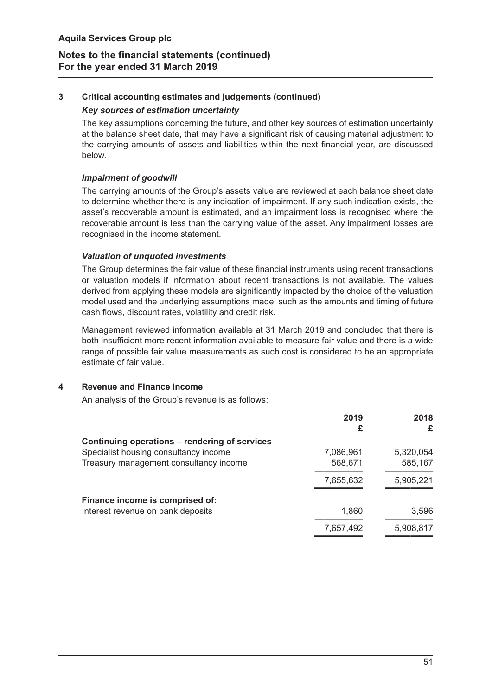## **3 Critical accounting estimates and judgements (continued)**

### *Key sources of estimation uncertainty*

The key assumptions concerning the future, and other key sources of estimation uncertainty at the balance sheet date, that may have a significant risk of causing material adjustment to the carrying amounts of assets and liabilities within the next financial year, are discussed below.

### *Impairment of goodwill*

The carrying amounts of the Group's assets value are reviewed at each balance sheet date to determine whether there is any indication of impairment. If any such indication exists, the asset's recoverable amount is estimated, and an impairment loss is recognised where the recoverable amount is less than the carrying value of the asset. Any impairment losses are recognised in the income statement.

### *Valuation of unquoted investments*

The Group determines the fair value of these financial instruments using recent transactions or valuation models if information about recent transactions is not available. The values derived from applying these models are significantly impacted by the choice of the valuation model used and the underlying assumptions made, such as the amounts and timing of future cash flows, discount rates, volatility and credit risk.

Management reviewed information available at 31 March 2019 and concluded that there is both insufficient more recent information available to measure fair value and there is a wide range of possible fair value measurements as such cost is considered to be an appropriate estimate of fair value.

### **4 Revenue and Finance income**

An analysis of the Group's revenue is as follows:

|                                               | 2019<br>£ | 2018<br>£ |
|-----------------------------------------------|-----------|-----------|
| Continuing operations – rendering of services |           |           |
| Specialist housing consultancy income         | 7,086,961 | 5,320,054 |
| Treasury management consultancy income        | 568,671   | 585,167   |
|                                               | 7,655,632 | 5,905,221 |
| Finance income is comprised of:               |           |           |
| Interest revenue on bank deposits             | 1,860     | 3,596     |
|                                               | 7,657,492 | 5,908,817 |
|                                               |           |           |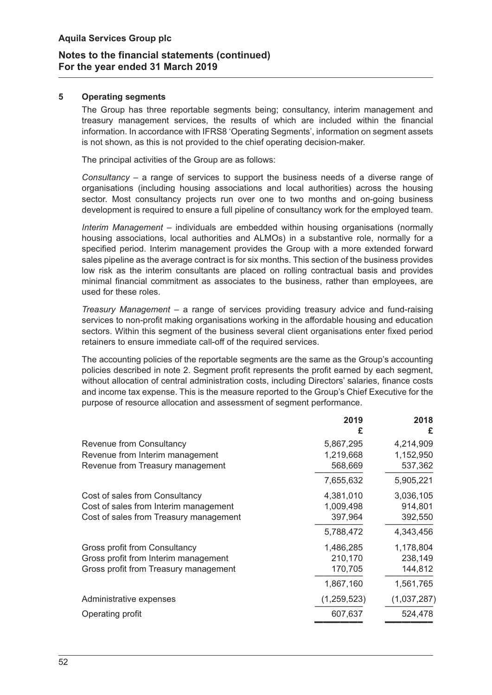### **5 Operating segments**

The Group has three reportable segments being; consultancy, interim management and treasury management services, the results of which are included within the financial information. In accordance with IFRS8 'Operating Segments', information on segment assets is not shown, as this is not provided to the chief operating decision-maker.

The principal activities of the Group are as follows:

*Consultancy* – a range of services to support the business needs of a diverse range of organisations (including housing associations and local authorities) across the housing sector. Most consultancy projects run over one to two months and on-going business development is required to ensure a full pipeline of consultancy work for the employed team.

*Interim Management* – individuals are embedded within housing organisations (normally housing associations, local authorities and ALMOs) in a substantive role, normally for a specified period. Interim management provides the Group with a more extended forward sales pipeline as the average contract is for six months. This section of the business provides low risk as the interim consultants are placed on rolling contractual basis and provides minimal financial commitment as associates to the business, rather than employees, are used for these roles.

*Treasury Management* – a range of services providing treasury advice and fund-raising services to non-profit making organisations working in the affordable housing and education sectors. Within this segment of the business several client organisations enter fixed period retainers to ensure immediate call-off of the required services.

The accounting policies of the reportable segments are the same as the Group's accounting policies described in note 2. Segment profit represents the profit earned by each segment, without allocation of central administration costs, including Directors' salaries, finance costs and income tax expense. This is the measure reported to the Group's Chief Executive for the purpose of resource allocation and assessment of segment performance.

|                                        | 2019<br>£   | 2018<br>£   |
|----------------------------------------|-------------|-------------|
| Revenue from Consultancy               | 5,867,295   | 4,214,909   |
| Revenue from Interim management        | 1,219,668   | 1,152,950   |
| Revenue from Treasury management       | 568,669     | 537,362     |
|                                        | 7,655,632   | 5,905,221   |
| Cost of sales from Consultancy         | 4,381,010   | 3,036,105   |
| Cost of sales from Interim management  | 1,009,498   | 914,801     |
| Cost of sales from Treasury management | 397,964     | 392,550     |
|                                        | 5,788,472   | 4,343,456   |
| Gross profit from Consultancy          | 1,486,285   | 1,178,804   |
| Gross profit from Interim management   | 210,170     | 238,149     |
| Gross profit from Treasury management  | 170,705     | 144,812     |
|                                        | 1,867,160   | 1,561,765   |
| Administrative expenses                | (1,259,523) | (1,037,287) |
| Operating profit                       | 607,637     | 524,478     |
|                                        |             |             |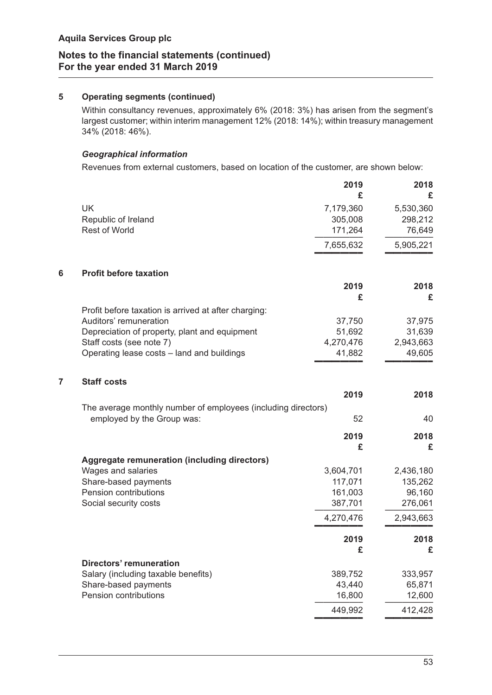# **5 Operating segments (continued)**

Within consultancy revenues, approximately 6% (2018: 3%) has arisen from the segment's largest customer; within interim management 12% (2018: 14%); within treasury management 34% (2018: 46%).

### *Geographical information*

Revenues from external customers, based on location of the customer, are shown below:

|   |                                                                                                                                                                                                           | 2019<br>£                                  | 2018<br>£                                 |
|---|-----------------------------------------------------------------------------------------------------------------------------------------------------------------------------------------------------------|--------------------------------------------|-------------------------------------------|
|   | <b>UK</b><br>Republic of Ireland<br><b>Rest of World</b>                                                                                                                                                  | 7,179,360<br>305,008<br>171,264            | 5,530,360<br>298,212<br>76,649            |
|   |                                                                                                                                                                                                           | 7,655,632                                  | 5,905,221                                 |
| 6 | <b>Profit before taxation</b>                                                                                                                                                                             |                                            |                                           |
|   |                                                                                                                                                                                                           | 2019<br>£                                  | 2018<br>£                                 |
|   | Profit before taxation is arrived at after charging:<br>Auditors' remuneration<br>Depreciation of property, plant and equipment<br>Staff costs (see note 7)<br>Operating lease costs - land and buildings | 37,750<br>51,692<br>4,270,476<br>41,882    | 37,975<br>31,639<br>2,943,663<br>49,605   |
| 7 | <b>Staff costs</b>                                                                                                                                                                                        |                                            |                                           |
|   |                                                                                                                                                                                                           | 2019                                       | 2018                                      |
|   | The average monthly number of employees (including directors)<br>employed by the Group was:                                                                                                               | 52                                         | 40                                        |
|   |                                                                                                                                                                                                           | 2019<br>£                                  | 2018<br>£                                 |
|   | <b>Aggregate remuneration (including directors)</b>                                                                                                                                                       |                                            |                                           |
|   | Wages and salaries<br>Share-based payments<br>Pension contributions<br>Social security costs                                                                                                              | 3,604,701<br>117,071<br>161,003<br>387,701 | 2,436,180<br>135,262<br>96,160<br>276,061 |
|   |                                                                                                                                                                                                           | 4,270,476                                  | 2,943,663                                 |
|   |                                                                                                                                                                                                           | 2019                                       | 2018<br>£                                 |
|   | <b>Directors' remuneration</b>                                                                                                                                                                            |                                            |                                           |
|   | Salary (including taxable benefits)<br>Share-based payments                                                                                                                                               | 389,752<br>43,440                          | 333,957<br>65,871                         |
|   | Pension contributions                                                                                                                                                                                     | 16,800                                     | 12,600                                    |
|   |                                                                                                                                                                                                           | 449,992                                    | 412,428                                   |
|   |                                                                                                                                                                                                           |                                            |                                           |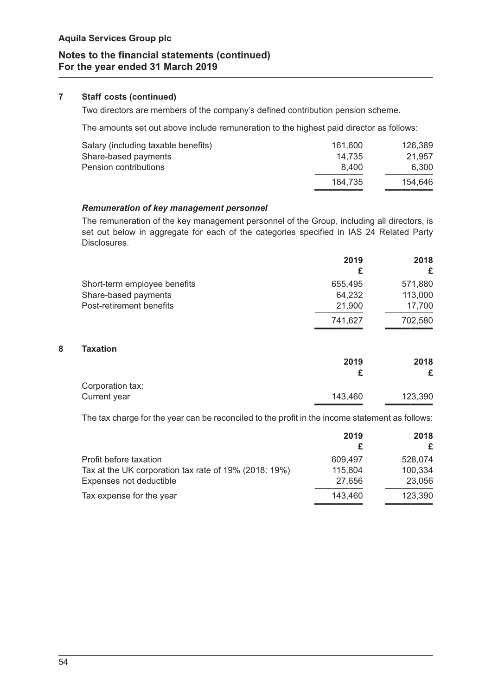### **7 Staff costs (continued)**

Two directors are members of the company's defined contribution pension scheme.

The amounts set out above include remuneration to the highest paid director as follows:

| Salary (including taxable benefits) | 161.600 | 126,389 |
|-------------------------------------|---------|---------|
| Share-based payments                | 14.735  | 21,957  |
| Pension contributions               | 8.400   | 6.300   |
|                                     | 184.735 | 154.646 |
|                                     |         |         |

### *Remuneration of key management personnel*

The remuneration of the key management personnel of the Group, including all directors, is set out below in aggregate for each of the categories specified in IAS 24 Related Party Disclosures.

|   |                              | 2019    | 2018    |
|---|------------------------------|---------|---------|
|   |                              | £       | £       |
|   | Short-term employee benefits | 655,495 | 571,880 |
|   | Share-based payments         | 64,232  | 113,000 |
|   | Post-retirement benefits     | 21,900  | 17,700  |
|   |                              | 741,627 | 702,580 |
| 8 | <b>Taxation</b>              |         |         |
|   |                              | 2019    | 2018    |
|   |                              | £       | £       |
|   | Corporation tax:             |         |         |
|   | Current year                 | 143,460 | 123,390 |

 —————– —————– The tax charge for the year can be reconciled to the profit in the income statement as follows:

|                                                       | 2019    | 2018    |
|-------------------------------------------------------|---------|---------|
|                                                       |         | £       |
| Profit before taxation                                | 609,497 | 528,074 |
| Tax at the UK corporation tax rate of 19% (2018: 19%) | 115,804 | 100,334 |
| Expenses not deductible                               | 27,656  | 23,056  |
| Tax expense for the year                              | 143,460 | 123,390 |
|                                                       |         |         |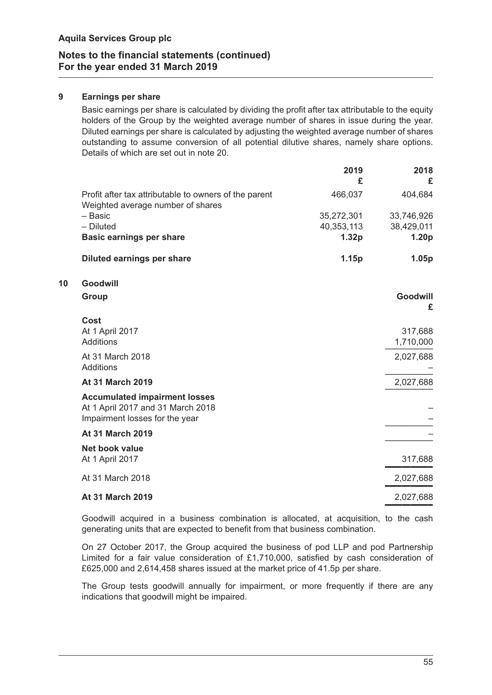### **9 Earnings per share**

**10 Goodwill**

Basic earnings per share is calculated by dividing the profit after tax attributable to the equity holders of the Group by the weighted average number of shares in issue during the year. Diluted earnings per share is calculated by adjusting the weighted average number of shares outstanding to assume conversion of all potential dilutive shares, namely share options. Details of which are set out in note 20.

|                                                                                            | 2019<br>£         | 2018<br>£         |
|--------------------------------------------------------------------------------------------|-------------------|-------------------|
| Profit after tax attributable to owners of the parent<br>Weighted average number of shares | 466,037           | 404,684           |
| - Basic                                                                                    | 35,272,301        | 33,746,926        |
| - Diluted                                                                                  | 40,353,113        | 38,429,011        |
| <b>Basic earnings per share</b>                                                            | 1.32 <sub>p</sub> | 1.20 <sub>p</sub> |
| Diluted earnings per share                                                                 | 1.15p             | 1.05p             |
| Goodwill                                                                                   |                   |                   |
| <b>Group</b>                                                                               |                   | Goodwill<br>£     |
| Cost                                                                                       |                   |                   |
| At 1 April 2017                                                                            |                   | 317,688           |
| Additions                                                                                  |                   | 1,710,000         |
| At 31 March 2018<br>Additions                                                              |                   | 2,027,688         |
| At 31 March 2019                                                                           |                   | 2,027,688         |
| <b>Accumulated impairment losses</b>                                                       |                   |                   |
| At 1 April 2017 and 31 March 2018                                                          |                   |                   |
| Impairment losses for the year                                                             |                   |                   |
| <b>At 31 March 2019</b>                                                                    |                   |                   |
| <b>Net book value</b>                                                                      |                   |                   |
| At 1 April 2017                                                                            |                   | 317,688           |
| At 31 March 2018                                                                           |                   | 2,027,688         |
| <b>At 31 March 2019</b>                                                                    |                   | 2,027,688         |
|                                                                                            |                   |                   |

Goodwill acquired in a business combination is allocated, at acquisition, to the cash generating units that are expected to benefit from that business combination.

On 27 October 2017, the Group acquired the business of pod LLP and pod Partnership Limited for a fair value consideration of £1,710,000, satisfied by cash consideration of £625,000 and 2,614,458 shares issued at the market price of 41.5p per share.

The Group tests goodwill annually for impairment, or more frequently if there are any indications that goodwill might be impaired.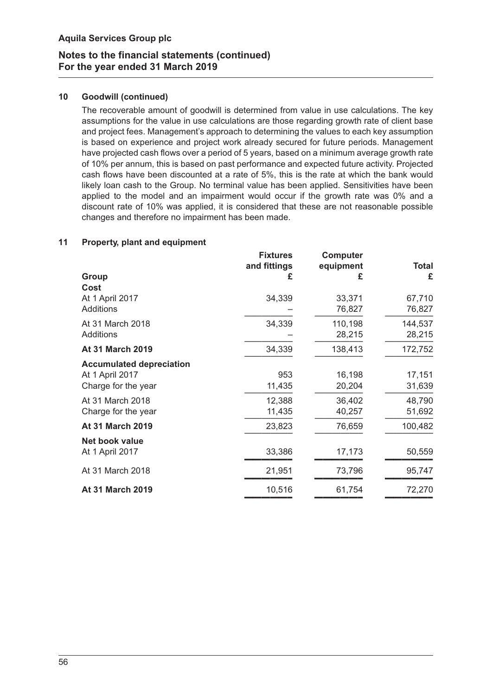### **10 Goodwill (continued)**

The recoverable amount of goodwill is determined from value in use calculations. The key assumptions for the value in use calculations are those regarding growth rate of client base and project fees. Management's approach to determining the values to each key assumption is based on experience and project work already secured for future periods. Management have projected cash flows over a period of 5 years, based on a minimum average growth rate of 10% per annum, this is based on past performance and expected future activity. Projected cash flows have been discounted at a rate of 5%, this is the rate at which the bank would likely loan cash to the Group. No terminal value has been applied. Sensitivities have been applied to the model and an impairment would occur if the growth rate was 0% and a discount rate of 10% was applied, it is considered that these are not reasonable possible changes and therefore no impairment has been made.

### **11 Property, plant and equipment**

|                                 | <b>Fixtures</b><br>and fittings | <b>Computer</b><br>equipment | Total   |
|---------------------------------|---------------------------------|------------------------------|---------|
| Group                           | £                               | £                            | £       |
| Cost                            |                                 |                              |         |
| At 1 April 2017                 | 34,339                          | 33,371                       | 67,710  |
| <b>Additions</b>                |                                 | 76,827                       | 76,827  |
| At 31 March 2018                | 34,339                          | 110,198                      | 144,537 |
| Additions                       |                                 | 28,215                       | 28,215  |
| <b>At 31 March 2019</b>         | 34,339                          | 138,413                      | 172,752 |
| <b>Accumulated depreciation</b> |                                 |                              |         |
| At 1 April 2017                 | 953                             | 16,198                       | 17,151  |
| Charge for the year             | 11,435                          | 20,204                       | 31,639  |
| At 31 March 2018                | 12,388                          | 36,402                       | 48,790  |
| Charge for the year             | 11,435                          | 40,257                       | 51,692  |
| <b>At 31 March 2019</b>         | 23,823                          | 76,659                       | 100,482 |
| Net book value                  |                                 |                              |         |
| At 1 April 2017                 | 33,386                          | 17,173                       | 50,559  |
| At 31 March 2018                | 21,951                          | 73,796                       | 95,747  |
| <b>At 31 March 2019</b>         | 10,516                          | 61,754                       | 72,270  |
|                                 |                                 |                              |         |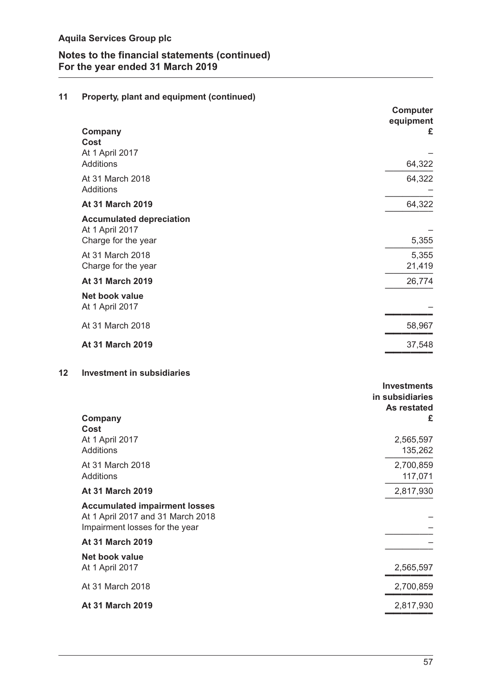# **11 Property, plant and equipment (continued)**

|    |                                         | <b>Computer</b><br>equipment          |
|----|-----------------------------------------|---------------------------------------|
|    | Company<br>Cost                         | £                                     |
|    | At 1 April 2017                         |                                       |
|    | <b>Additions</b>                        | 64,322                                |
|    | At 31 March 2018                        | 64,322                                |
|    | <b>Additions</b>                        |                                       |
|    | <b>At 31 March 2019</b>                 | 64,322                                |
|    | <b>Accumulated depreciation</b>         |                                       |
|    | At 1 April 2017                         |                                       |
|    | Charge for the year                     | 5,355                                 |
|    | At 31 March 2018<br>Charge for the year | 5,355<br>21,419                       |
|    | <b>At 31 March 2019</b>                 | 26,774                                |
|    |                                         |                                       |
|    | Net book value<br>At 1 April 2017       |                                       |
|    |                                         |                                       |
|    | At 31 March 2018                        | 58,967                                |
|    | <b>At 31 March 2019</b>                 | 37,548                                |
| 12 | <b>Investment in subsidiaries</b>       |                                       |
|    |                                         | <b>Investments</b><br>in subsidiaries |

| Company                                                                                                     | As restated<br>£     |
|-------------------------------------------------------------------------------------------------------------|----------------------|
| Cost<br>At 1 April 2017<br>Additions                                                                        | 2,565,597<br>135,262 |
| At 31 March 2018<br>Additions                                                                               | 2,700,859<br>117,071 |
| <b>At 31 March 2019</b>                                                                                     | 2,817,930            |
| <b>Accumulated impairment losses</b><br>At 1 April 2017 and 31 March 2018<br>Impairment losses for the year |                      |
| <b>At 31 March 2019</b>                                                                                     |                      |
| Net book value<br>At 1 April 2017                                                                           | 2,565,597            |
| At 31 March 2018                                                                                            | 2,700,859            |
| <b>At 31 March 2019</b>                                                                                     | 2,817,930            |
|                                                                                                             |                      |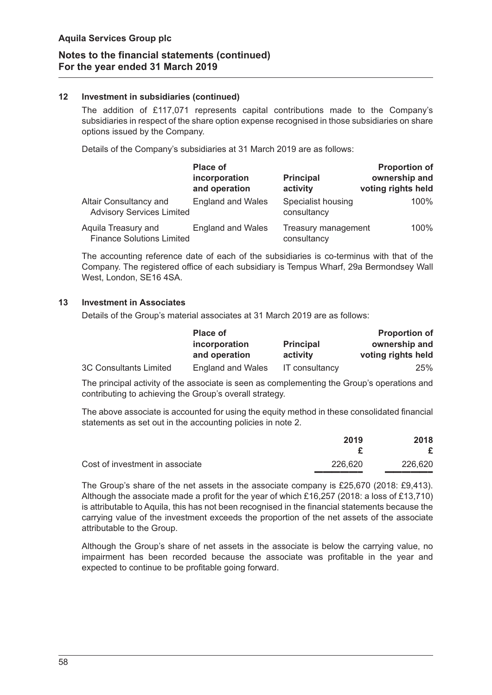### **12 Investment in subsidiaries (continued)**

The addition of £117,071 represents capital contributions made to the Company's subsidiaries in respect of the share option expense recognised in those subsidiaries on share options issued by the Company.

Details of the Company's subsidiaries at 31 March 2019 are as follows:

|                                                            | <b>Place of</b><br>incorporation<br>and operation | <b>Principal</b><br>activity       | <b>Proportion of</b><br>ownership and<br>voting rights held |
|------------------------------------------------------------|---------------------------------------------------|------------------------------------|-------------------------------------------------------------|
| Altair Consultancy and<br><b>Advisory Services Limited</b> | <b>England and Wales</b>                          | Specialist housing<br>consultancy  | 100%                                                        |
| Aquila Treasury and<br><b>Finance Solutions Limited</b>    | <b>England and Wales</b>                          | Treasury management<br>consultancy | 100%                                                        |

The accounting reference date of each of the subsidiaries is co-terminus with that of the Company. The registered office of each subsidiary is Tempus Wharf, 29a Bermondsey Wall West, London, SE16 4SA.

### **13 Investment in Associates**

Details of the Group's material associates at 31 March 2019 are as follows:

|                        | <b>Place of</b>                |                              | <b>Proportion of</b>                |
|------------------------|--------------------------------|------------------------------|-------------------------------------|
|                        | incorporation<br>and operation | <b>Principal</b><br>activity | ownership and<br>voting rights held |
| 3C Consultants Limited | <b>England and Wales</b>       | IT consultancy               | 25%                                 |

The principal activity of the associate is seen as complementing the Group's operations and contributing to achieving the Group's overall strategy.

The above associate is accounted for using the equity method in these consolidated financial statements as set out in the accounting policies in note 2.

| 2019    | 2018    |
|---------|---------|
|         |         |
| 226,620 | 226,620 |
|         |         |

The Group's share of the net assets in the associate company is £25,670 (2018: £9,413). Although the associate made a profit for the year of which £16,257 (2018: a loss of £13,710) is attributable to Aquila, this has not been recognised in the financial statements because the carrying value of the investment exceeds the proportion of the net assets of the associate attributable to the Group.

Although the Group's share of net assets in the associate is below the carrying value, no impairment has been recorded because the associate was profitable in the year and expected to continue to be profitable going forward.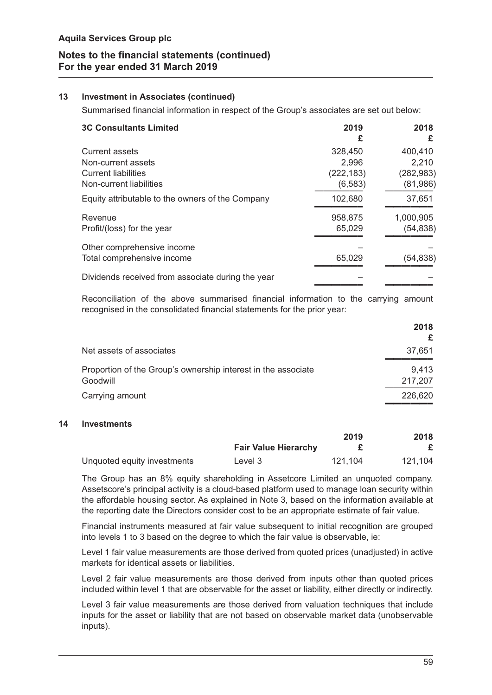# **Aquila Services Group plc**

# **Notes to the financial statements (continued) For the year ended 31 March 2019**

### **13 Investment in Associates (continued)**

Summarised financial information in respect of the Group's associates are set out below:

| <b>3C Consultants Limited</b>                     | 2019<br>£  | 2018<br>£  |
|---------------------------------------------------|------------|------------|
| Current assets                                    | 328,450    | 400,410    |
| Non-current assets                                | 2,996      | 2,210      |
| <b>Current liabilities</b>                        | (222, 183) | (282, 983) |
| Non-current liabilities                           | (6, 583)   | (81,986)   |
| Equity attributable to the owners of the Company  | 102,680    | 37,651     |
| Revenue                                           | 958,875    | 1,000,905  |
| Profit/(loss) for the year                        | 65,029     | (54,838)   |
| Other comprehensive income                        |            |            |
| Total comprehensive income                        | 65,029     | (54,838)   |
| Dividends received from associate during the year |            |            |

Reconciliation of the above summarised financial information to the carrying amount recognised in the consolidated financial statements for the prior year:

|                                                                           | 2018             |
|---------------------------------------------------------------------------|------------------|
| Net assets of associates                                                  | 37,651           |
| Proportion of the Group's ownership interest in the associate<br>Goodwill | 9,413<br>217,207 |
| Carrying amount                                                           | 226,620          |
|                                                                           |                  |

### **14 Investments**

|                             |                             | 2019    | 2018    |
|-----------------------------|-----------------------------|---------|---------|
|                             | <b>Fair Value Hierarchy</b> |         |         |
| Unquoted equity investments | Level 3                     | 121.104 | 121.104 |

The Group has an 8% equity shareholding in Assetcore Limited an unquoted company. Assetscore's principal activity is a cloud-based platform used to manage loan security within the affordable housing sector. As explained in Note 3, based on the information available at the reporting date the Directors consider cost to be an appropriate estimate of fair value.

Financial instruments measured at fair value subsequent to initial recognition are grouped into levels 1 to 3 based on the degree to which the fair value is observable, ie:

Level 1 fair value measurements are those derived from quoted prices (unadjusted) in active markets for identical assets or liabilities.

Level 2 fair value measurements are those derived from inputs other than quoted prices included within level 1 that are observable for the asset or liability, either directly or indirectly.

Level 3 fair value measurements are those derived from valuation techniques that include inputs for the asset or liability that are not based on observable market data (unobservable inputs).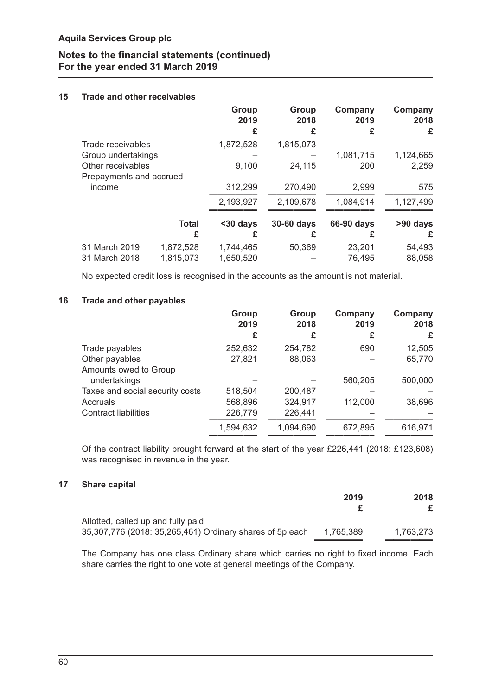### **15 Trade and other receivables**

|                         |                   | Group<br>2019<br>£ | Group<br>2018<br>£ | Company<br>2019<br>£ | Company<br>2018<br>£ |
|-------------------------|-------------------|--------------------|--------------------|----------------------|----------------------|
| Trade receivables       |                   | 1,872,528          | 1,815,073          |                      |                      |
| Group undertakings      |                   |                    |                    | 1,081,715            | 1,124,665            |
| Other receivables       |                   | 9,100              | 24,115             | 200                  | 2,259                |
| Prepayments and accrued |                   |                    |                    |                      |                      |
| income                  |                   | 312,299            | 270,490            | 2,999                | 575                  |
|                         |                   | 2,193,927          | 2,109,678          | 1,084,914            | 1,127,499            |
|                         | <b>Total</b><br>£ | <30 days<br>£      | 30-60 days<br>£    | 66-90 days<br>£      | >90 days<br>£        |
| 31 March 2019           | 1,872,528         | 1,744,465          | 50,369             | 23,201               | 54,493               |
| 31 March 2018           | 1,815,073         | 1,650,520          |                    | 76,495               | 88,058               |

No expected credit loss is recognised in the accounts as the amount is not material.

### **16 Trade and other payables**

|                                       | Group<br>2019<br>£ | Group<br>2018<br>£ | Company<br>2019<br>£ | Company<br>2018<br>£ |
|---------------------------------------|--------------------|--------------------|----------------------|----------------------|
| Trade payables                        | 252,632            | 254,782            | 690                  | 12,505               |
| Other payables                        | 27,821             | 88,063             |                      | 65,770               |
| Amounts owed to Group<br>undertakings |                    |                    | 560,205              | 500,000              |
| Taxes and social security costs       | 518,504            | 200,487            |                      |                      |
| Accruals                              | 568,896            | 324,917            | 112,000              | 38,696               |
| <b>Contract liabilities</b>           | 226,779            | 226,441            |                      |                      |
|                                       | 1,594,632          | 1,094,690          | 672,895              | 616,971              |

Of the contract liability brought forward at the start of the year £226,441 (2018: £123,608) was recognised in revenue in the year.

### **17 Share capital**

|                                                          | 2019      | 2018      |
|----------------------------------------------------------|-----------|-----------|
|                                                          |           |           |
| Allotted, called up and fully paid                       |           |           |
| 35,307,776 (2018: 35,265,461) Ordinary shares of 5p each | 1.765.389 | 1,763,273 |

 —————– —————– The Company has one class Ordinary share which carries no right to fixed income. Each share carries the right to one vote at general meetings of the Company.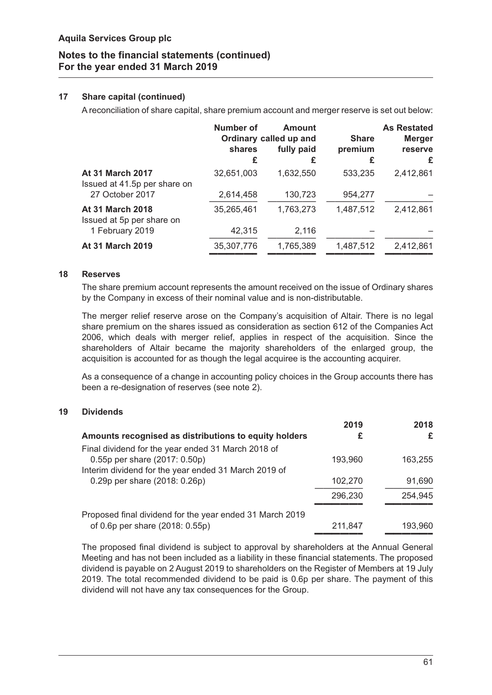### **17 Share capital (continued)**

A reconciliation of share capital, share premium account and merger reserve is set out below:

|                                                         | Number of<br>shares | <b>Amount</b><br>Ordinary called up and<br>fully paid | <b>Share</b><br>premium | <b>As Restated</b><br><b>Merger</b><br>reserve |
|---------------------------------------------------------|---------------------|-------------------------------------------------------|-------------------------|------------------------------------------------|
|                                                         | £                   | £                                                     | £                       | £                                              |
| <b>At 31 March 2017</b><br>Issued at 41.5p per share on | 32,651,003          | 1,632,550                                             | 533,235                 | 2,412,861                                      |
| 27 October 2017                                         | 2,614,458           | 130,723                                               | 954,277                 |                                                |
| <b>At 31 March 2018</b><br>Issued at 5p per share on    | 35,265,461          | 1,763,273                                             | 1,487,512               | 2,412,861                                      |
| 1 February 2019                                         | 42,315              | 2,116                                                 |                         |                                                |
| <b>At 31 March 2019</b>                                 | 35,307,776          | 1,765,389                                             | 1,487,512               | 2,412,861                                      |
|                                                         |                     |                                                       |                         |                                                |

### **18 Reserves**

The share premium account represents the amount received on the issue of Ordinary shares by the Company in excess of their nominal value and is non-distributable.

The merger relief reserve arose on the Company's acquisition of Altair. There is no legal share premium on the shares issued as consideration as section 612 of the Companies Act 2006, which deals with merger relief, applies in respect of the acquisition. Since the shareholders of Altair became the majority shareholders of the enlarged group, the acquisition is accounted for as though the legal acquiree is the accounting acquirer.

As a consequence of a change in accounting policy choices in the Group accounts there has been a re-designation of reserves (see note 2).

### **19 Dividends**

|                                                          | 2019    | 2018    |
|----------------------------------------------------------|---------|---------|
| Amounts recognised as distributions to equity holders    |         | £       |
| Final dividend for the year ended 31 March 2018 of       |         |         |
| 0.55p per share (2017: 0.50p)                            | 193.960 | 163.255 |
| Interim dividend for the year ended 31 March 2019 of     |         |         |
| 0.29p per share (2018: 0.26p)                            | 102,270 | 91,690  |
|                                                          | 296,230 | 254,945 |
| Proposed final dividend for the year ended 31 March 2019 |         |         |
| of 0.6p per share (2018: 0.55p)                          | 211,847 | 193.960 |
|                                                          |         |         |

The proposed final dividend is subject to approval by shareholders at the Annual General Meeting and has not been included as a liability in these financial statements. The proposed dividend is payable on 2 August 2019 to shareholders on the Register of Members at 19 July 2019. The total recommended dividend to be paid is 0.6p per share. The payment of this dividend will not have any tax consequences for the Group.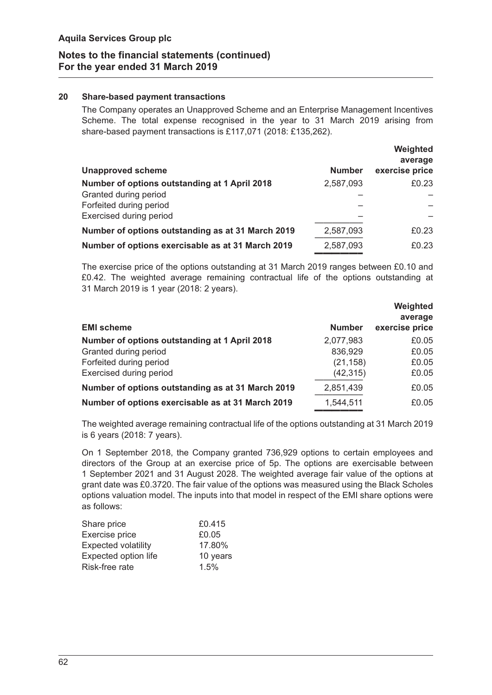### **20 Share-based payment transactions**

The Company operates an Unapproved Scheme and an Enterprise Management Incentives Scheme. The total expense recognised in the year to 31 March 2019 arising from share-based payment transactions is £117,071 (2018: £135,262).

|                                                   |               | Weighted<br>average |
|---------------------------------------------------|---------------|---------------------|
| <b>Unapproved scheme</b>                          | <b>Number</b> | exercise price      |
| Number of options outstanding at 1 April 2018     | 2,587,093     | £0.23               |
| Granted during period                             |               |                     |
| Forfeited during period                           |               |                     |
| Exercised during period                           |               |                     |
| Number of options outstanding as at 31 March 2019 | 2,587,093     | £0.23               |
| Number of options exercisable as at 31 March 2019 | 2,587,093     | £0.23               |

The exercise price of the options outstanding at 31 March 2019 ranges between £0.10 and £0.42. The weighted average remaining contractual life of the options outstanding at 31 March 2019 is 1 year (2018: 2 years).

—————–

|                                                   |               | Weighted       |
|---------------------------------------------------|---------------|----------------|
|                                                   |               | average        |
| <b>EMI scheme</b>                                 | <b>Number</b> | exercise price |
| Number of options outstanding at 1 April 2018     | 2,077,983     | £0.05          |
| Granted during period                             | 836,929       | £0.05          |
| Forfeited during period                           | (21, 158)     | £0.05          |
| Exercised during period                           | (42, 315)     | £0.05          |
| Number of options outstanding as at 31 March 2019 | 2,851,439     | £0.05          |
| Number of options exercisable as at 31 March 2019 | 1,544,511     | £0.05          |
|                                                   |               |                |

The weighted average remaining contractual life of the options outstanding at 31 March 2019 is 6 years (2018: 7 years).

On 1 September 2018, the Company granted 736,929 options to certain employees and directors of the Group at an exercise price of 5p. The options are exercisable between 1 September 2021 and 31 August 2028. The weighted average fair value of the options at grant date was £0.3720. The fair value of the options was measured using the Black Scholes options valuation model. The inputs into that model in respect of the EMI share options were as follows:

| £0.415   |
|----------|
| £0.05    |
| 17.80%   |
| 10 years |
| 1.5%     |
|          |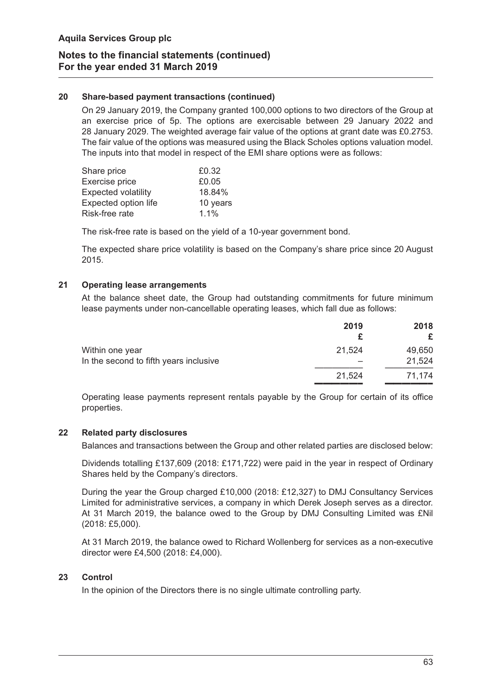### **20 Share-based payment transactions (continued)**

On 29 January 2019, the Company granted 100,000 options to two directors of the Group at an exercise price of 5p. The options are exercisable between 29 January 2022 and 28 January 2029. The weighted average fair value of the options at grant date was £0.2753. The fair value of the options was measured using the Black Scholes options valuation model. The inputs into that model in respect of the EMI share options were as follows:

| Share price                 | £0.32    |
|-----------------------------|----------|
| Exercise price              | £0.05    |
| <b>Expected volatility</b>  | 18.84%   |
| <b>Expected option life</b> | 10 years |
| Risk-free rate              | 1.1%     |

The risk-free rate is based on the yield of a 10-year government bond.

The expected share price volatility is based on the Company's share price since 20 August 2015.

### **21 Operating lease arrangements**

At the balance sheet date, the Group had outstanding commitments for future minimum lease payments under non-cancellable operating leases, which fall due as follows:

|                                        | 2019   | 2018<br>£ |
|----------------------------------------|--------|-----------|
| Within one year                        | 21,524 | 49,650    |
| In the second to fifth years inclusive |        | 21,524    |
|                                        | 21,524 | 71,174    |
|                                        |        |           |

Operating lease payments represent rentals payable by the Group for certain of its office properties.

### **22 Related party disclosures**

Balances and transactions between the Group and other related parties are disclosed below:

Dividends totalling £137,609 (2018: £171,722) were paid in the year in respect of Ordinary Shares held by the Company's directors.

During the year the Group charged £10,000 (2018: £12,327) to DMJ Consultancy Services Limited for administrative services, a company in which Derek Joseph serves as a director. At 31 March 2019, the balance owed to the Group by DMJ Consulting Limited was £Nil (2018: £5,000).

At 31 March 2019, the balance owed to Richard Wollenberg for services as a non-executive director were £4,500 (2018: £4,000).

### **23 Control**

In the opinion of the Directors there is no single ultimate controlling party.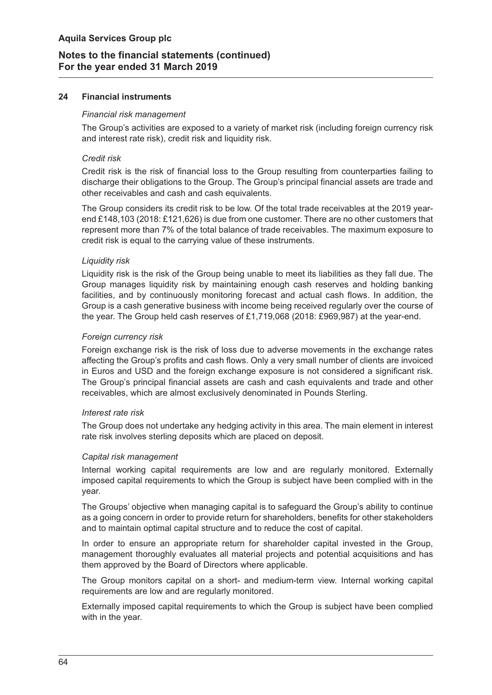### **24 Financial instruments**

### *Financial risk management*

The Group's activities are exposed to a variety of market risk (including foreign currency risk and interest rate risk), credit risk and liquidity risk.

### *Credit risk*

Credit risk is the risk of financial loss to the Group resulting from counterparties failing to discharge their obligations to the Group. The Group's principal financial assets are trade and other receivables and cash and cash equivalents.

The Group considers its credit risk to be low. Of the total trade receivables at the 2019 yearend £148,103 (2018: £121,626) is due from one customer. There are no other customers that represent more than 7% of the total balance of trade receivables. The maximum exposure to credit risk is equal to the carrying value of these instruments.

### *Liquidity risk*

Liquidity risk is the risk of the Group being unable to meet its liabilities as they fall due. The Group manages liquidity risk by maintaining enough cash reserves and holding banking facilities, and by continuously monitoring forecast and actual cash flows. In addition, the Group is a cash generative business with income being received regularly over the course of the year. The Group held cash reserves of £1,719,068 (2018: £969,987) at the year-end.

### *Foreign currency risk*

Foreign exchange risk is the risk of loss due to adverse movements in the exchange rates affecting the Group's profits and cash flows. Only a very small number of clients are invoiced in Euros and USD and the foreign exchange exposure is not considered a significant risk. The Group's principal financial assets are cash and cash equivalents and trade and other receivables, which are almost exclusively denominated in Pounds Sterling.

### *Interest rate risk*

The Group does not undertake any hedging activity in this area. The main element in interest rate risk involves sterling deposits which are placed on deposit.

### *Capital risk management*

Internal working capital requirements are low and are regularly monitored. Externally imposed capital requirements to which the Group is subject have been complied with in the year.

The Groups' objective when managing capital is to safeguard the Group's ability to continue as a going concern in order to provide return for shareholders, benefits for other stakeholders and to maintain optimal capital structure and to reduce the cost of capital.

In order to ensure an appropriate return for shareholder capital invested in the Group, management thoroughly evaluates all material projects and potential acquisitions and has them approved by the Board of Directors where applicable.

The Group monitors capital on a short- and medium-term view. Internal working capital requirements are low and are regularly monitored.

Externally imposed capital requirements to which the Group is subject have been complied with in the year.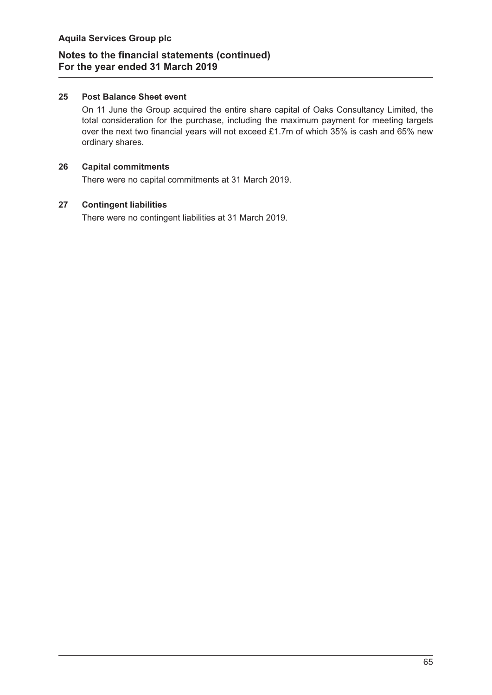### **25 Post Balance Sheet event**

On 11 June the Group acquired the entire share capital of Oaks Consultancy Limited, the total consideration for the purchase, including the maximum payment for meeting targets over the next two financial years will not exceed £1.7m of which 35% is cash and 65% new ordinary shares.

### **26 Capital commitments**

There were no capital commitments at 31 March 2019.

### **27 Contingent liabilities**

There were no contingent liabilities at 31 March 2019.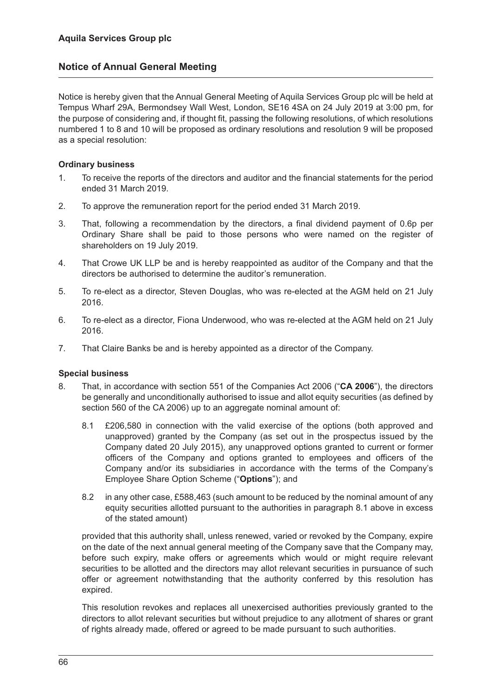Notice is hereby given that the Annual General Meeting of Aquila Services Group plc will be held at Tempus Wharf 29A, Bermondsey Wall West, London, SE16 4SA on 24 July 2019 at 3:00 pm, for the purpose of considering and, if thought fit, passing the following resolutions, of which resolutions numbered 1 to 8 and 10 will be proposed as ordinary resolutions and resolution 9 will be proposed as a special resolution:

### **Ordinary business**

- 1. To receive the reports of the directors and auditor and the financial statements for the period ended 31 March 2019.
- 2. To approve the remuneration report for the period ended 31 March 2019.
- 3. That, following a recommendation by the directors, a final dividend payment of 0.6p per Ordinary Share shall be paid to those persons who were named on the register of shareholders on 19 July 2019.
- 4. That Crowe UK LLP be and is hereby reappointed as auditor of the Company and that the directors be authorised to determine the auditor's remuneration.
- 5. To re-elect as a director, Steven Douglas, who was re-elected at the AGM held on 21 July 2016.
- 6. To re-elect as a director, Fiona Underwood, who was re-elected at the AGM held on 21 July 2016.
- 7. That Claire Banks be and is hereby appointed as a director of the Company.

### **Special business**

- 8. That, in accordance with section 551 of the Companies Act 2006 ("**CA 2006**"), the directors be generally and unconditionally authorised to issue and allot equity securities (as defined by section 560 of the CA 2006) up to an aggregate nominal amount of:
	- 8.1 £206,580 in connection with the valid exercise of the options (both approved and unapproved) granted by the Company (as set out in the prospectus issued by the Company dated 20 July 2015), any unapproved options granted to current or former officers of the Company and options granted to employees and officers of the Company and/or its subsidiaries in accordance with the terms of the Company's Employee Share Option Scheme ("**Options**"); and
	- 8.2 in any other case, £588,463 (such amount to be reduced by the nominal amount of any equity securities allotted pursuant to the authorities in paragraph 8.1 above in excess of the stated amount)

provided that this authority shall, unless renewed, varied or revoked by the Company, expire on the date of the next annual general meeting of the Company save that the Company may, before such expiry, make offers or agreements which would or might require relevant securities to be allotted and the directors may allot relevant securities in pursuance of such offer or agreement notwithstanding that the authority conferred by this resolution has expired.

This resolution revokes and replaces all unexercised authorities previously granted to the directors to allot relevant securities but without prejudice to any allotment of shares or grant of rights already made, offered or agreed to be made pursuant to such authorities.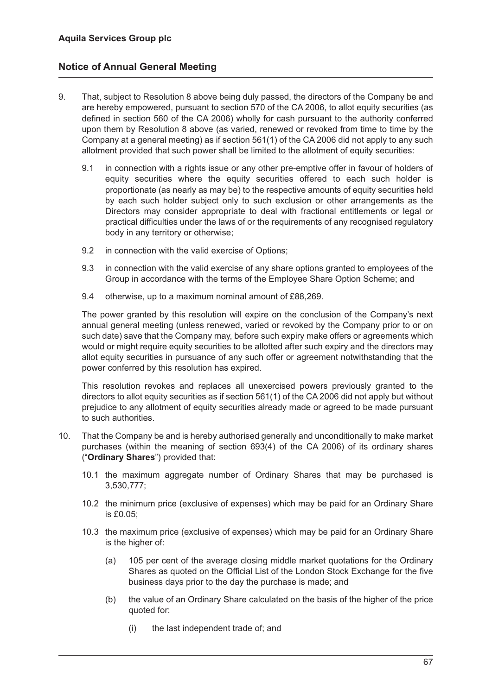- 9. That, subject to Resolution 8 above being duly passed, the directors of the Company be and are hereby empowered, pursuant to section 570 of the CA 2006, to allot equity securities (as defined in section 560 of the CA 2006) wholly for cash pursuant to the authority conferred upon them by Resolution 8 above (as varied, renewed or revoked from time to time by the Company at a general meeting) as if section 561(1) of the CA 2006 did not apply to any such allotment provided that such power shall be limited to the allotment of equity securities:
	- 9.1 in connection with a rights issue or any other pre-emptive offer in favour of holders of equity securities where the equity securities offered to each such holder is proportionate (as nearly as may be) to the respective amounts of equity securities held by each such holder subject only to such exclusion or other arrangements as the Directors may consider appropriate to deal with fractional entitlements or legal or practical difficulties under the laws of or the requirements of any recognised regulatory body in any territory or otherwise;
	- 9.2 in connection with the valid exercise of Options;
	- 9.3 in connection with the valid exercise of any share options granted to employees of the Group in accordance with the terms of the Employee Share Option Scheme; and
	- 9.4 otherwise, up to a maximum nominal amount of £88,269.

The power granted by this resolution will expire on the conclusion of the Company's next annual general meeting (unless renewed, varied or revoked by the Company prior to or on such date) save that the Company may, before such expiry make offers or agreements which would or might require equity securities to be allotted after such expiry and the directors may allot equity securities in pursuance of any such offer or agreement notwithstanding that the power conferred by this resolution has expired.

This resolution revokes and replaces all unexercised powers previously granted to the directors to allot equity securities as if section 561(1) of the CA 2006 did not apply but without prejudice to any allotment of equity securities already made or agreed to be made pursuant to such authorities.

- 10. That the Company be and is hereby authorised generally and unconditionally to make market purchases (within the meaning of section 693(4) of the CA 2006) of its ordinary shares ("**Ordinary Shares**") provided that:
	- 10.1 the maximum aggregate number of Ordinary Shares that may be purchased is 3,530,777;
	- 10.2 the minimum price (exclusive of expenses) which may be paid for an Ordinary Share is £0.05;
	- 10.3 the maximum price (exclusive of expenses) which may be paid for an Ordinary Share is the higher of:
		- (a) 105 per cent of the average closing middle market quotations for the Ordinary Shares as quoted on the Official List of the London Stock Exchange for the five business days prior to the day the purchase is made; and
		- (b) the value of an Ordinary Share calculated on the basis of the higher of the price quoted for:
			- (i) the last independent trade of; and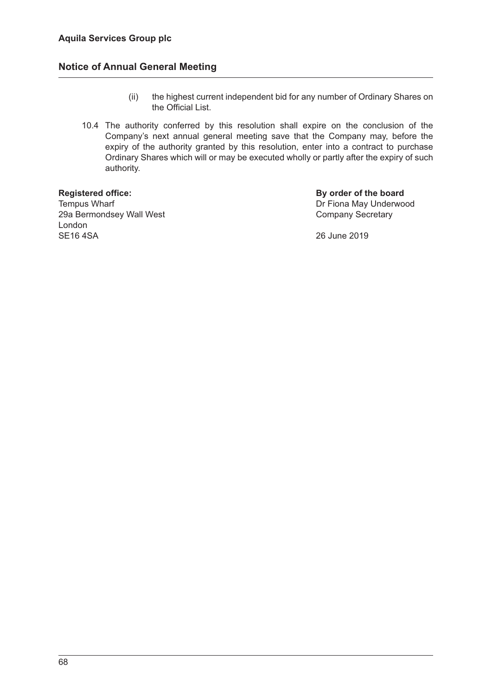- (ii) the highest current independent bid for any number of Ordinary Shares on the Official List.
- 10.4 The authority conferred by this resolution shall expire on the conclusion of the Company's next annual general meeting save that the Company may, before the expiry of the authority granted by this resolution, enter into a contract to purchase Ordinary Shares which will or may be executed wholly or partly after the expiry of such authority.

Tempus Wharf **Dr Fiona May Underwood** 29a Bermondsey Wall West Company Secretary London<br>SE16 4SA

**Registered office: By order of the board** 

26 June 2019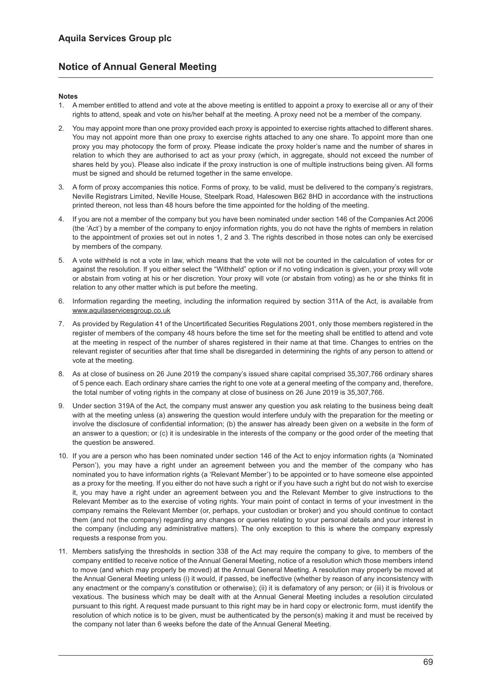### **Notes**

- 1. A member entitled to attend and vote at the above meeting is entitled to appoint a proxy to exercise all or any of their rights to attend, speak and vote on his/her behalf at the meeting. A proxy need not be a member of the company.
- 2. You may appoint more than one proxy provided each proxy is appointed to exercise rights attached to different shares. You may not appoint more than one proxy to exercise rights attached to any one share. To appoint more than one proxy you may photocopy the form of proxy. Please indicate the proxy holder's name and the number of shares in relation to which they are authorised to act as your proxy (which, in aggregate, should not exceed the number of shares held by you). Please also indicate if the proxy instruction is one of multiple instructions being given. All forms must be signed and should be returned together in the same envelope.
- 3. A form of proxy accompanies this notice. Forms of proxy, to be valid, must be delivered to the company's registrars, Neville Registrars Limited, Neville House, Steelpark Road, Halesowen B62 8HD in accordance with the instructions printed thereon, not less than 48 hours before the time appointed for the holding of the meeting.
- 4. If you are not a member of the company but you have been nominated under section 146 of the Companies Act 2006 (the 'Act') by a member of the company to enjoy information rights, you do not have the rights of members in relation to the appointment of proxies set out in notes 1, 2 and 3. The rights described in those notes can only be exercised by members of the company.
- 5. A vote withheld is not a vote in law, which means that the vote will not be counted in the calculation of votes for or against the resolution. If you either select the "Withheld" option or if no voting indication is given, your proxy will vote or abstain from voting at his or her discretion. Your proxy will vote (or abstain from voting) as he or she thinks fit in relation to any other matter which is put before the meeting.
- 6. Information regarding the meeting, including the information required by section 311A of the Act, is available from www.aquilaservicesgroup.co.uk
- 7. As provided by Regulation 41 of the Uncertificated Securities Regulations 2001, only those members registered in the register of members of the company 48 hours before the time set for the meeting shall be entitled to attend and vote at the meeting in respect of the number of shares registered in their name at that time. Changes to entries on the relevant register of securities after that time shall be disregarded in determining the rights of any person to attend or vote at the meeting.
- 8. As at close of business on 26 June 2019 the company's issued share capital comprised 35,307,766 ordinary shares of 5 pence each. Each ordinary share carries the right to one vote at a general meeting of the company and, therefore, the total number of voting rights in the company at close of business on 26 June 2019 is 35,307,766.
- 9. Under section 319A of the Act, the company must answer any question you ask relating to the business being dealt with at the meeting unless (a) answering the question would interfere unduly with the preparation for the meeting or involve the disclosure of confidential information; (b) the answer has already been given on a website in the form of an answer to a question; or (c) it is undesirable in the interests of the company or the good order of the meeting that the question be answered.
- 10. If you are a person who has been nominated under section 146 of the Act to enjoy information rights (a 'Nominated Person'), you may have a right under an agreement between you and the member of the company who has nominated you to have information rights (a 'Relevant Member') to be appointed or to have someone else appointed as a proxy for the meeting. If you either do not have such a right or if you have such a right but do not wish to exercise it, you may have a right under an agreement between you and the Relevant Member to give instructions to the Relevant Member as to the exercise of voting rights. Your main point of contact in terms of your investment in the company remains the Relevant Member (or, perhaps, your custodian or broker) and you should continue to contact them (and not the company) regarding any changes or queries relating to your personal details and your interest in the company (including any administrative matters). The only exception to this is where the company expressly requests a response from you.
- 11. Members satisfying the thresholds in section 338 of the Act may require the company to give, to members of the company entitled to receive notice of the Annual General Meeting, notice of a resolution which those members intend to move (and which may properly be moved) at the Annual General Meeting. A resolution may properly be moved at the Annual General Meeting unless (i) it would, if passed, be ineffective (whether by reason of any inconsistency with any enactment or the company's constitution or otherwise); (ii) it is defamatory of any person; or (iii) it is frivolous or vexatious. The business which may be dealt with at the Annual General Meeting includes a resolution circulated pursuant to this right. A request made pursuant to this right may be in hard copy or electronic form, must identify the resolution of which notice is to be given, must be authenticated by the person(s) making it and must be received by the company not later than 6 weeks before the date of the Annual General Meeting.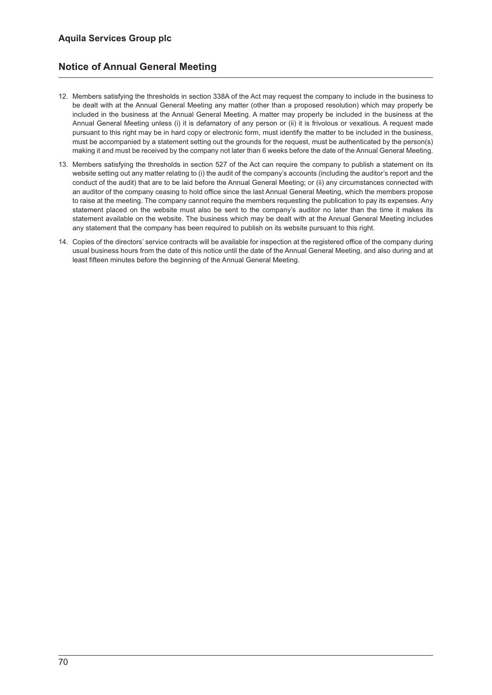- 12. Members satisfying the thresholds in section 338A of the Act may request the company to include in the business to be dealt with at the Annual General Meeting any matter (other than a proposed resolution) which may properly be included in the business at the Annual General Meeting. A matter may properly be included in the business at the Annual General Meeting unless (i) it is defamatory of any person or (ii) it is frivolous or vexatious. A request made pursuant to this right may be in hard copy or electronic form, must identify the matter to be included in the business, must be accompanied by a statement setting out the grounds for the request, must be authenticated by the person(s) making it and must be received by the company not later than 6 weeks before the date of the Annual General Meeting.
- 13. Members satisfying the thresholds in section 527 of the Act can require the company to publish a statement on its website setting out any matter relating to (i) the audit of the company's accounts (including the auditor's report and the conduct of the audit) that are to be laid before the Annual General Meeting; or (ii) any circumstances connected with an auditor of the company ceasing to hold office since the last Annual General Meeting, which the members propose to raise at the meeting. The company cannot require the members requesting the publication to pay its expenses. Any statement placed on the website must also be sent to the company's auditor no later than the time it makes its statement available on the website. The business which may be dealt with at the Annual General Meeting includes any statement that the company has been required to publish on its website pursuant to this right.
- 14. Copies of the directors' service contracts will be available for inspection at the registered office of the company during usual business hours from the date of this notice until the date of the Annual General Meeting, and also during and at least fifteen minutes before the beginning of the Annual General Meeting.